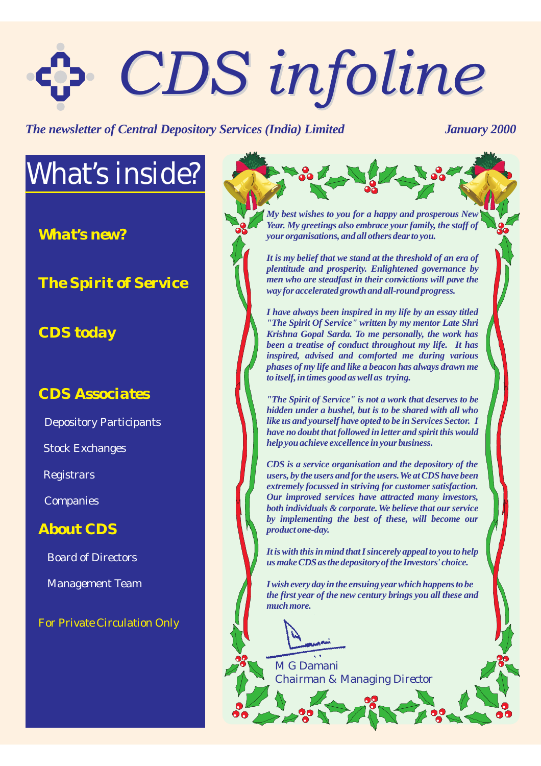# *CDS infoline CDS infoline*

**The newsletter of Central Depository Services (India) Limited January 2000** 

# *What's inside?*

*What's new?*

*The Spirit of Service*

#### *CDS today*

#### *CDS Associates*

Depository Participants

Stock Exchanges

Registrars

**Companies** 

#### *About CDS*

Board of Directors

Management Team

*For Private Circulation Only*

*My best wishes to you for a happy and prosperous New Year. My greetings also embrace your family, the staff of your organisations, and all others dear to you.*

*It is my belief that we stand at the threshold of an era of plentitude and prosperity. Enlightened governance by men who are steadfast in their convictions will pave the way for accelerated growth and all-round progress.*

*I have always been inspired in my life by an essay titled "The Spirit Of Service" written by my mentor Late Shri Krishna Gopal Sarda. To me personally, the work has been a treatise of conduct throughout my life. It has inspired, advised and comforted me during various phases of my life and like a beacon has always drawn me to itself, in times good as well as trying.*

*"The Spirit of Service" is not a work that deserves to be hidden under a bushel, but is to be shared with all who like us and yourself have opted to be in Services Sector. I have no doubt that followed in letter and spirit this would help you achieve excellence in your business.*

*CDS is a service organisation and the depository of the users, by the users and for the users.We at CDS have been extremely focussed in striving for customer satisfaction. Our improved services have attracted many investors, both individuals & corporate.We believe that our service* by implementing the best of these, will become our *product one-day.*

*It is with this in mind that I sincerely appeal to you to help us make CDS as the depository of the Investors' choice.*

*I wish every day in the ensuing year which happens to be the first year of the new century brings you all these and much more.*

*M G Damani Chairman & Managing Director*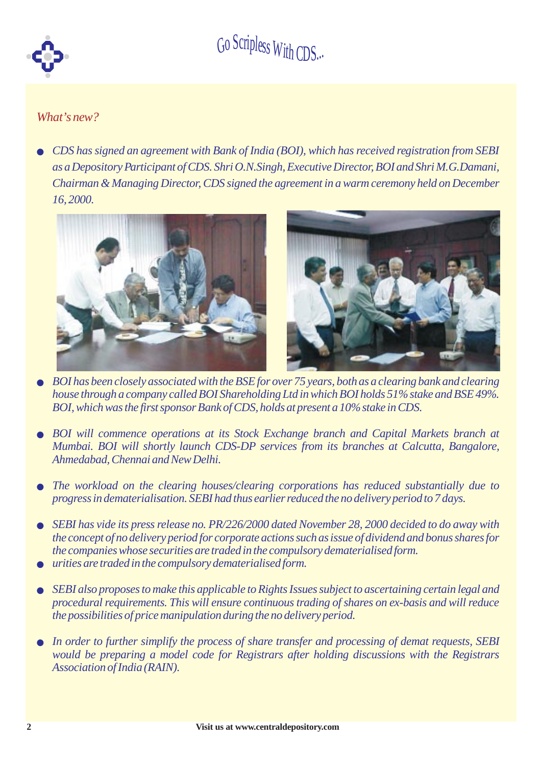

#### *What's new?*

l *CDS has signed an agreement with Bank of India (BOI), which has received registration from SEBI as a Depository Participant of CDS. Shri O.N.Singh, Executive Director, BOI and Shri M.G.Damani, Chairman & Managing Director, CDS signed the agreement in a warm ceremony held on December 16, 2000.*



- l *BOI has been closely associated with the BSE for over 75 years, both as a clearing bank and clearing house through a company called BOI Shareholding Ltd in which BOI holds 51% stake and BSE 49%. BOI, which was the first sponsor Bank of CDS, holds at present a 10%stake in CDS.*
- **BOI** will commence operations at its Stock Exchange branch and Capital Markets branch at *Mumbai. BOI will shortly launch CDS-DP services from its branches at Calcutta, Bangalore, Ahmedabad, Chennai and NewDelhi.*
- l *The workload on the clearing houses/clearing corporations has reduced substantially due to progress in dematerialisation. SEBI had thus earlier reduced the no delivery period to 7 days.*
- l *SEBI has vide its press release no. PR/226/2000 dated November 28, 2000 decided to do away with the concept of no delivery period for corporate actions such as issue of dividend and bonus shares for the companies whose securities are traded in the compulsory dematerialised form.*
- $\bullet$ *urities are traded in the compulsory dematerialised form.*
- $\bullet$ *SEBI also proposes to make this applicable to Rights Issues subject to ascertaining certain legal and procedural requirements. This will ensure continuous trading of shares on ex-basis and will reduce the possibilities of price manipulation during the no delivery period.*
- l *In order to further simplify the process of share transfer and processing of demat requests, SEBI would be preparing a model code for Registrars after holding discussions with the Registrars Association of India (RAIN).*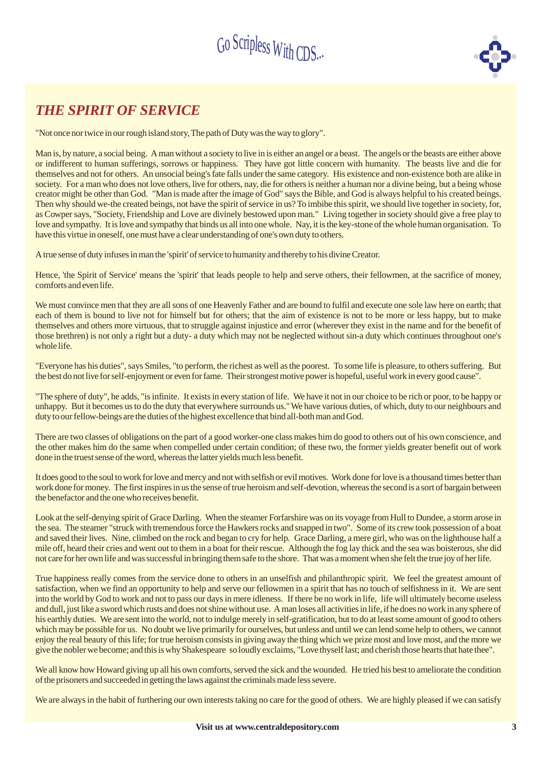

#### *THE SPIRIT OF SERVICE*

"Not once nor twice in our rough island story,The path of Duty was the way to glory".

Man is, by nature, a social being. A man without a society to live in is either an angel or a beast. The angels or the beasts are either above or indifferent to human sufferings, sorrows or happiness. They have got little concern with humanity. The beasts live and die for themselves and not for others. An unsocial being's fate falls under the same category. His existence and non-existence both are alike in society. For a man who does not love others, live for others, nay, die for others is neither a human nor a divine being, but a being whose creator might be other than God. "Man is made after the image of God" says the Bible, and God is always helpful to his created beings. Then why should we-the created beings, not have the spirit of service in us? To imbibe this spirit, we should live together in society, for, as Cowper says, "Society, Friendship and Love are divinely bestowed upon man." Living together in society should give a free play to love and sympathy. It is love and sympathy that binds us all into one whole. Nay, it is the key-stone of the whole human organisation. To have this virtue in oneself, one must have a clear understanding of one's own duty to others.

Atrue sense of duty infuses in man the 'spirit' of service to humanity and thereby to his divine Creator.

Hence, 'the Spirit of Service' means the 'spirit' that leads people to help and serve others, their fellowmen, at the sacrifice of money, comforts and even life.

We must convince men that they are all sons of one Heavenly Father and are bound to fulfil and execute one sole law here on earth; that each of them is bound to live not for himself but for others; that the aim of existence is not to be more or less happy, but to make themselves and others more virtuous, that to struggle against injustice and error (wherever they exist in the name and for the benefit of those brethren) is not only a right but a duty- a duty which may not be neglected without sin-a duty which continues throughout one's whole life.

"Everyone has his duties", says Smiles, "to perform, the richest as well as the poorest. To some life is pleasure, to others suffering. But the best do not live for self-enjoyment or even for fame. Their strongest motive power is hopeful, useful work in every good cause".

"The sphere of duty", he adds, "is infinite. It exists in every station of life. We have it not in our choice to be rich or poor, to be happy or unhappy. But it becomes us to do the duty that everywhere surrounds us." We have various duties, of which, duty to our neighbours and duty to our fellow-beings are the duties of the highest excellence that bind all-both man and God.

There are two classes of obligations on the part of a good worker-one class makes him do good to others out of his own conscience, and the other makes him do the same when compelled under certain condition; of these two, the former yields greater benefit out of work done in the truest sense of the word, whereas the latter yields much less benefit.

It does good to the soul to work for love and mercy and not with selfish or evil motives. Work done for love is a thousand times better than work done for money. The first inspires in us the sense of true heroism and self-devotion, whereas the second is a sort of bargain between the benefactor and the one who receives benefit.

Look at the self-denying spirit of Grace Darling. When the steamer Forfarshire was on its voyage from Hull to Dundee, a storm arose in the sea. The steamer "struck with tremendous force the Hawkers rocks and snapped in two". Some of its crew took possession of a boat and saved their lives. Nine, climbed on the rock and began to cry for help. Grace Darling, a mere girl, who was on the lighthouse half a mile off, heard their cries and went out to them in a boat for their rescue. Although the fog lay thick and the sea was boisterous, she did not care for her own life and was successful in bringing themsafe to the shore. That was a moment when she felt the true joy of her life.

True happiness really comes from the service done to others in an unselfish and philanthropic spirit. We feel the greatest amount of satisfaction, when we find an opportunity to help and serve our fellowmen in a spirit that has no touch of selfishness in it. We are sent into the world by God to work and not to pass our days in mere idleness. If there be no work in life, life will ultimately become useless and dull, just like a sword which rusts and does not shine without use. A man loses all activities in life, if he does no work in any sphere of his earthly duties. We are sent into the world, not to indulge merely in self-gratification, but to do at least some amount of good to others which may be possible for us. No doubt we live primarily for ourselves, but unless and until we can lend some help to others, we cannot enjoy the real beauty of this life; for true heroism consists in giving away the thing which we prize most and love most, and the more we give the nobler we become; and this is why Shakespeare so loudly exclaims, "Love thyself last; and cherish those hearts that hate thee".

We all know how Howard giving up all his own comforts, served the sick and the wounded. He tried his best to ameliorate the condition of the prisoners and succeeded in getting the laws against the criminals made less severe.

We are always in the habit of furthering our own interests taking no care for the good of others. We are highly pleased if we can satisfy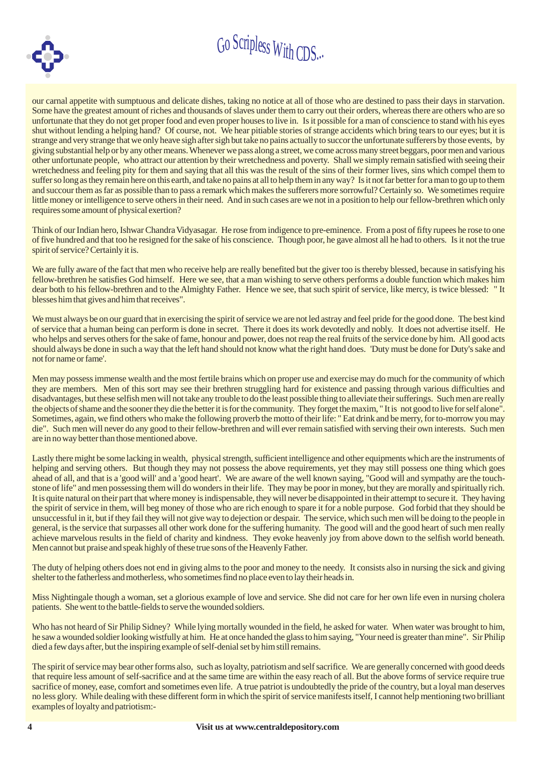



our carnal appetite with sumptuous and delicate dishes, taking no notice at all of those who are destined to pass their days in starvation. Some have the greatest amount of riches and thousands of slaves under them to carry out their orders, whereas there are others who are so unfortunate that they do not get proper food and even proper houses to live in. Is it possible for a man of conscience to stand with his eyes shut without lending a helping hand? Of course, not. We hear pitiable stories of strange accidents which bring tears to our eyes; but it is strange and very strange that we only heave sigh after sigh but take no pains actually to succor the unfortunate sufferers by those events, by giving substantial help or by any other means.Whenever we pass along a street, we come across many street beggars, poor men and various other unfortunate people, who attract our attention by their wretchedness and poverty. Shall we simply remain satisfied with seeing their wretchedness and feeling pity for them and saying that all this was the result of the sins of their former lives, sins which compel them to suffer so long as they remain here on this earth, and take no pains at all to help themin any way? Is it not far better for a man to go up to them and succour them as far as possible than to pass a remark which makes the sufferers more sorrowful? Certainly so. We sometimes require little money or intelligence to serve others in their need. And in such cases are we not in a position to help our fellow-brethren which only requires some amount of physical exertion?

Think of our Indian hero, Ishwar Chandra Vidyasagar. He rose from indigence to pre-eminence. From a post of fifty rupees he rose to one of five hundred and that too he resigned for the sake of his conscience. Though poor, he gave almost all he had to others. Is it not the true spirit of service? Certainly it is.

We are fully aware of the fact that men who receive help are really benefited but the giver too is thereby blessed, because in satisfying his fellow-brethren he satisfies God himself. Here we see, that a man wishing to serve others performs a double function which makes him dear both to his fellow-brethren and to the Almighty Father. Hence we see, that such spirit of service, like mercy, is twice blessed: " It blesses himthat gives and himthat receives".

We must always be on our guard that in exercising the spirit of service we are not led astray and feel pride for the good done. The best kind of service that a human being can perform is done in secret. There it does its work devotedly and nobly. It does not advertise itself. He who helps and serves others for the sake of fame, honour and power, does not reap the real fruits of the service done by him. All good acts should always be done in such a way that the left hand should not know what the right hand does. 'Duty must be done for Duty's sake and not for name or fame'.

Men may possess immense wealth and the most fertile brains which on proper use and exercise may do much for the community of which they are members. Men of this sort may see their brethren struggling hard for existence and passing through various difficulties and disadvantages, but these selfish men will not take any trouble to do the least possible thing to alleviate their sufferings. Such men are really the objects of shame and the sooner they die the better it is for the community. They forget the maxim, "It is not good to live for self alone". Sometimes, again, we find others who make the following proverb the motto of their life: " Eat drink and be merry, for to-morrow you may die". Such men will never do any good to their fellow-brethren and will ever remain satisfied with serving their own interests. Such men are in no way better than those mentioned above.

Lastly there might be some lacking in wealth, physical strength, sufficient intelligence and other equipments which are the instruments of helping and serving others. But though they may not possess the above requirements, yet they may still possess one thing which goes ahead of all, and that is a 'good will' and a 'good heart'. We are aware of the well known saying, "Good will and sympathy are the touchstone of life" and men possessing them will do wonders in their life. They may be poor in money, but they are morally and spiritually rich. It is quite natural on their part that where money is indispensable, they will never be disappointed in their attempt to secure it. They having the spirit of service in them, will beg money of those who are rich enough to spare it for a noble purpose. God forbid that they should be unsuccessful in it, but if they fail they will not give way to dejection or despair. The service, which such men will be doing to the people in general, is the service that surpasses all other work done for the suffering humanity. The good will and the good heart of such men really achieve marvelous results in the field of charity and kindness. They evoke heavenly joy from above down to the selfish world beneath. Men cannot but praise and speak highly of these true sons of the Heavenly Father.

The duty of helping others does not end in giving alms to the poor and money to the needy. It consists also in nursing the sick and giving shelter to the fatherless and motherless, who sometimes find no place even to lay their heads in.

Miss Nightingale though a woman, set a glorious example of love and service. She did not care for her own life even in nursing cholera patients. She went to the battle-fields to serve the wounded soldiers.

Who has not heard of Sir Philip Sidney? While lying mortally wounded in the field, he asked for water. When water was brought to him, he saw a wounded soldier looking wistfully at him. He at once handed the glass to him saying, "Your need is greater than mine". Sir Philip died a fewdays after, but the inspiring example of self-denial set by himstill remains.

The spirit of service may bear other forms also, such as loyalty, patriotism and self sacrifice. We are generally concerned with good deeds that require less amount of self-sacrifice and at the same time are within the easy reach of all. But the above forms of service require true sacrifice of money, ease, comfort and sometimes even life. A true patriot is undoubtedly the pride of the country, but a loyal man deserves no less glory. While dealing with these different form in which the spirit of service manifests itself, I cannot help mentioning two brilliant examples of loyalty and patriotism:-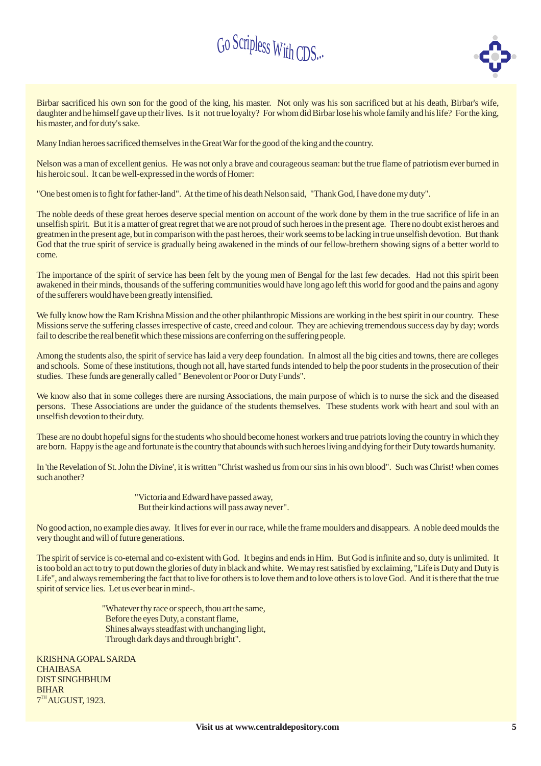

Birbar sacrificed his own son for the good of the king, his master. Not only was his son sacrificed but at his death, Birbar's wife, daughter and he himself gave up their lives. Is it not true loyalty? For whom did Birbar lose his whole family and his life? For the king, his master, and for duty's sake.

Many Indian heroes sacrificed themselves in the GreatWar for the good of the king and the country.

Nelson was a man of excellent genius. He was not only a brave and courageous seaman: but the true flame of patriotism ever burned in his heroic soul. It can be well-expressed in the words of Homer:

"One best omen is to fight for father-land". At the time of his death Nelson said, "Thank God, I have done my duty".

The noble deeds of these great heroes deserve special mention on account of the work done by them in the true sacrifice of life in an unselfish spirit. But it is a matter of great regret that we are not proud of such heroes in the present age. There no doubt exist heroes and greatmen in the present age, but in comparison with the past heroes, their work seems to be lacking in true unselfish devotion. But thank God that the true spirit of service is gradually being awakened in the minds of our fellow-brethern showing signs of a better world to come.

The importance of the spirit of service has been felt by the young men of Bengal for the last few decades. Had not this spirit been awakened in their minds, thousands of the suffering communities would have long ago left this world for good and the pains and agony of the sufferers would have been greatly intensified.

We fully know how the Ram Krishna Mission and the other philanthropic Missions are working in the best spirit in our country. These Missions serve the suffering classes irrespective of caste, creed and colour. They are achieving tremendous success day by day; words fail to describe the real benefit which these missions are conferring on the suffering people.

Among the students also, the spirit of service has laid a very deep foundation. In almost all the big cities and towns, there are colleges and schools. Some of these institutions, though not all, have started funds intended to help the poor students in the prosecution of their studies. These funds are generally called " Benevolent or Poor or Duty Funds".

We know also that in some colleges there are nursing Associations, the main purpose of which is to nurse the sick and the diseased persons. These Associations are under the guidance of the students themselves. These students work with heart and soul with an unselfish devotion to their duty.

These are no doubt hopeful signs for the students who should become honest workers and true patriots loving the country in which they are born. Happy is the age and fortunate is the country that abounds with such heroes living and dying for their Duty towards humanity.

In 'the Revelation of St. John the Divine', it is written "Christ washed us from our sins in his own blood". Such was Christ! when comes such another?

> "Victoria and Edward have passed away, But their kind actions will pass away never".

No good action, no example dies away. It lives for ever in our race, while the frame moulders and disappears. A noble deed moulds the very thought and will of future generations.

The spirit of service is co-eternal and co-existent with God. It begins and ends in Him. But God is infinite and so, duty is unlimited. It is too bold an act to try to put down the glories of duty in black and white. We may rest satisfied by exclaiming, "Life is Duty and Duty is Life", and always remembering the fact that to live for others is to love them and to love others is to love God. And it is there that the true spirit of service lies. Let us ever bear in mind-.

> "Whatever thy race or speech, thou art the same, Before the eyes Duty, a constant flame, Shines always steadfast with unchanging light, Through dark days and through bright".

KRISHNAGOPAL SARDA **CHAIBASA** DIST SINGHBHUM BIHAR  $7<sup>TH</sup>$ AUGUST, 1923.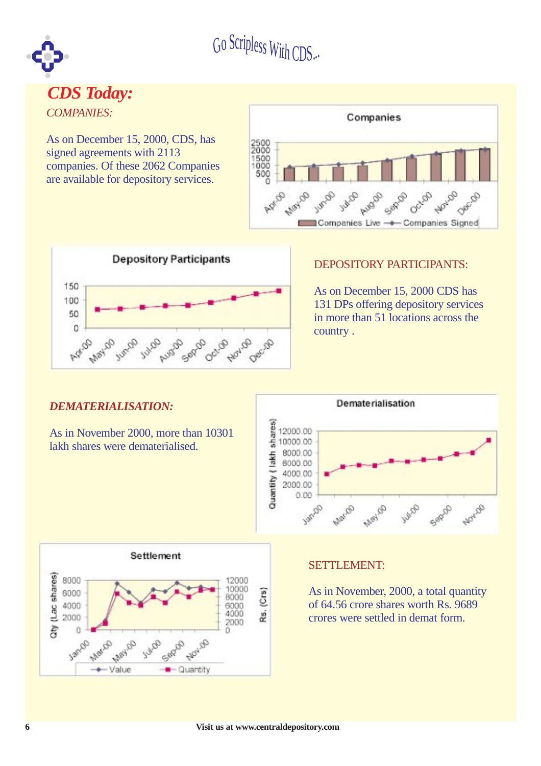





#### DEPOSITORY PARTICIPANTS:

As on December 15, 2000 CDS has 131 DPs offering depository services in more than 51 locations across the country .

#### *DEMATERIALISATION:*

As in November 2000, more than 10301 lakh shares were dematerialised.





#### SETTLEMENT:

As in November, 2000, a total quantity of 64.56 crore shares worth Rs. 9689 crores were settled in demat form.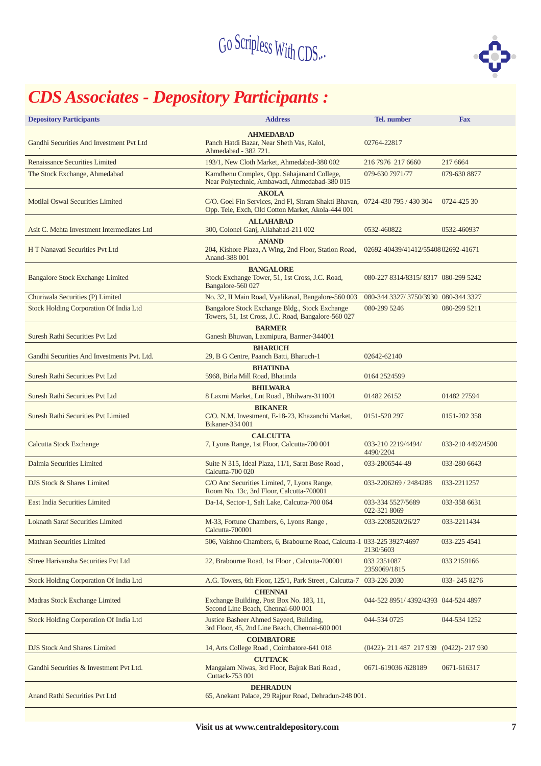

### *CDS Associates - Depository Participants :*

| <b>Depository Participants</b>              | <b>Address</b>                                                                                                                                   | <b>Tel.</b> number                    | <b>Fax</b>        |
|---------------------------------------------|--------------------------------------------------------------------------------------------------------------------------------------------------|---------------------------------------|-------------------|
| Gandhi Securities And Investment Pvt Ltd    | <b>AHMEDABAD</b><br>Panch Hatdi Bazar, Near Sheth Vas, Kalol,<br>Ahmedabad - 382 721.                                                            | 02764-22817                           |                   |
| <b>Renaissance Securities Limited</b>       | 193/1, New Cloth Market, Ahmedabad-380 002                                                                                                       | 216 7976 217 6660                     | 217 6664          |
| The Stock Exchange, Ahmedabad               | Kamdhenu Complex, Opp. Sahajanand College,<br>Near Polytechnic, Ambawadi, Ahmedabad-380 015                                                      | 079-630 7971/77                       | 079-630 8877      |
| Motilal Oswal Securities Limited            | <b>AKOLA</b><br>C/O. Goel Fin Services, 2nd Fl, Shram Shakti Bhavan, 0724-430 795 / 430 304<br>Opp. Tele, Exch, Old Cotton Market, Akola-444 001 |                                       | 0724-425 30       |
| Asit C. Mehta Investment Intermediates Ltd  | <b>ALLAHABAD</b><br>300, Colonel Ganj, Allahabad-211 002                                                                                         | 0532-460822                           | 0532-460937       |
| H T Nanavati Securities Pvt Ltd             | <b>ANAND</b><br>204, Kishore Plaza, A Wing, 2nd Floor, Station Road,<br>Anand-388 001                                                            | 02692-40439/41412/5540802692-41671    |                   |
| <b>Bangalore Stock Exchange Limited</b>     | <b>BANGALORE</b><br>Stock Exchange Tower, 51, 1st Cross, J.C. Road,<br>Bangalore-560 027                                                         | 080-227 8314/8315/8317 080-299 5242   |                   |
| Churiwala Securities (P) Limited            | No. 32, II Main Road, Vyalikaval, Bangalore-560 003                                                                                              | 080-344 3327/3750/3930 080-344 3327   |                   |
| Stock Holding Corporation Of India Ltd      | Bangalore Stock Exchange Bldg., Stock Exchange<br>Towers, 51, 1st Cross, J.C. Road, Bangalore-560 027                                            | 080-299 5246                          | 080-299 5211      |
| Suresh Rathi Securities Pvt Ltd             | <b>BARMER</b><br>Ganesh Bhuwan, Laxmipura, Barmer-344001                                                                                         |                                       |                   |
| Gandhi Securities And Investments Pvt. Ltd. | <b>BHARUCH</b><br>29, B G Centre, Paanch Batti, Bharuch-1                                                                                        | 02642-62140                           |                   |
| Suresh Rathi Securities Pvt Ltd             | <b>BHATINDA</b><br>5968, Birla Mill Road, Bhatinda                                                                                               | 0164 2524599                          |                   |
| Suresh Rathi Securities Pvt Ltd             | <b>BHILWARA</b><br>8 Laxmi Market, Lnt Road, Bhilwara-311001                                                                                     | 01482 26152                           | 01482 27594       |
| <b>Suresh Rathi Securities Pvt Limited</b>  | <b>BIKANER</b><br>C/O. N.M. Investment, E-18-23, Khazanchi Market,<br>Bikaner-334 001                                                            | 0151-520 297                          | 0151-202 358      |
| <b>Calcutta Stock Exchange</b>              | <b>CALCUTTA</b><br>7, Lyons Range, 1st Floor, Calcutta-700 001                                                                                   | 033-210 2219/4494/<br>4490/2204       | 033-210 4492/4500 |
| Dalmia Securities Limited                   | Suite N 315, Ideal Plaza, 11/1, Sarat Bose Road,<br>Calcutta-700 020                                                                             | 033-2806544-49                        | 033-280 6643      |
| DJS Stock & Shares Limited                  | C/O Anc Securities Limited, 7, Lyons Range,<br>Room No. 13c, 3rd Floor, Calcutta-700001                                                          | 033-2206269 / 2484288                 | 033-2211257       |
| <b>East India Securities Limited</b>        | Da-14, Sector-1, Salt Lake, Calcutta-700 064                                                                                                     | 033-334 5527/5689<br>022-321 8069     | 033-358 6631      |
| <b>Loknath Saraf Securities Limited</b>     | M-33, Fortune Chambers, 6, Lyons Range,<br>Calcutta-700001                                                                                       | 033-2208520/26/27                     | 033-2211434       |
| <b>Mathran Securities Limited</b>           | 506, Vaishno Chambers, 6, Brabourne Road, Calcutta-1 033-225 3927/4697                                                                           | 2130/5603                             | 033-225 4541      |
| Shree Harivansha Securities Pvt Ltd         | 22, Brabourne Road, 1st Floor, Calcutta-700001                                                                                                   | 033 2351087<br>2359069/1815           | 033 2159166       |
| Stock Holding Corporation Of India Ltd      | A.G. Towers, 6th Floor, 125/1, Park Street, Calcutta-7                                                                                           | 033-226 2030                          | 033-2458276       |
| Madras Stock Exchange Limited               | <b>CHENNAI</b><br>Exchange Building, Post Box No. 183, 11,<br>Second Line Beach, Chennai-600 001                                                 | 044-522 8951/ 4392/4393 044-524 4897  |                   |
| Stock Holding Corporation Of India Ltd      | Justice Basheer Ahmed Sayeed, Building,<br>3rd Floor, 45, 2nd Line Beach, Chennai-600 001                                                        | 044-534 0725                          | 044-534 1252      |
| <b>DJS Stock And Shares Limited</b>         | <b>COIMBATORE</b><br>14, Arts College Road, Coimbatore-641 018                                                                                   | (0422)-211 487 217 939 (0422)-217 930 |                   |
| Gandhi Securities & Investment Pvt Ltd.     | <b>CUTTACK</b><br>Mangalam Niwas, 3rd Floor, Bajrak Bati Road,<br>Cuttack-753 001                                                                | 0671-619036/628189                    | 0671-616317       |
| Anand Rathi Securities Pvt Ltd              | <b>DEHRADUN</b><br>65, Anekant Palace, 29 Rajpur Road, Dehradun-248 001.                                                                         |                                       |                   |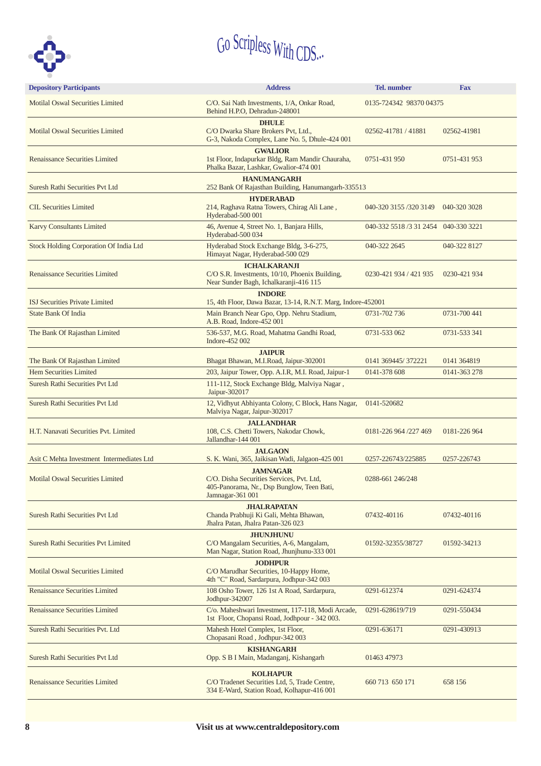

| <b>Depository Participants</b>                | <b>Address</b>                                                                                                                 | Tel. number                          | <b>Fax</b>   |
|-----------------------------------------------|--------------------------------------------------------------------------------------------------------------------------------|--------------------------------------|--------------|
| <b>Motilal Oswal Securities Limited</b>       | C/O. Sai Nath Investments, 1/A, Onkar Road,<br>Behind H.P.O, Dehradun-248001                                                   | 0135-724342 98370 04375              |              |
| <b>Motilal Oswal Securities Limited</b>       | <b>DHULE</b><br>C/O Dwarka Share Brokers Pvt, Ltd.,<br>G-3, Nakoda Complex, Lane No. 5, Dhule-424 001                          | 02562-41781 / 41881                  | 02562-41981  |
| <b>Renaissance Securities Limited</b>         | <b>GWALIOR</b><br>1st Floor, Indapurkar Bldg, Ram Mandir Chauraha,<br>Phalka Bazar, Lashkar, Gwalior-474 001                   | 0751-431 950                         | 0751-431 953 |
| Suresh Rathi Securities Pvt Ltd               | <b>HANUMANGARH</b><br>252 Bank Of Rajasthan Building, Hanumangarh-335513                                                       |                                      |              |
| <b>CIL Securities Limited</b>                 | <b>HYDERABAD</b><br>214, Raghava Ratna Towers, Chirag Ali Lane,<br>Hyderabad-500 001                                           | 040-320 3155 /320 3149               | 040-320 3028 |
| <b>Karvy Consultants Limited</b>              | 46, Avenue 4, Street No. 1, Banjara Hills,<br>Hyderabad-500 034                                                                | 040-332 5518 /3 31 2454 040-330 3221 |              |
| <b>Stock Holding Corporation Of India Ltd</b> | Hyderabad Stock Exchange Bldg, 3-6-275,<br>Himayat Nagar, Hyderabad-500 029                                                    | 040-322 2645                         | 040-322 8127 |
| <b>Renaissance Securities Limited</b>         | <b>ICHALKARANJI</b><br>C/O S.R. Investments, 10/10, Phoenix Building,<br>Near Sunder Bagh, Ichalkaranji-416 115                | 0230-421 934 / 421 935               | 0230-421 934 |
| <b>ISJ Securities Private Limited</b>         | <b>INDORE</b><br>15, 4th Floor, Dawa Bazar, 13-14, R.N.T. Marg, Indore-452001                                                  |                                      |              |
| <b>State Bank Of India</b>                    | Main Branch Near Gpo, Opp. Nehru Stadium,<br>A.B. Road, Indore-452 001                                                         | 0731-702 736                         | 0731-700 441 |
| The Bank Of Rajasthan Limited                 | 536-537, M.G. Road, Mahatma Gandhi Road,<br>Indore-452 002                                                                     | 0731-533 062                         | 0731-533 341 |
| The Bank Of Rajasthan Limited                 | <b>JAIPUR</b><br>Bhagat Bhawan, M.I.Road, Jaipur-302001                                                                        | 0141 369445/372221                   | 0141 364819  |
| Hem Securities Limited                        | 203, Jaipur Tower, Opp. A.I.R, M.I. Road, Jaipur-1                                                                             | 0141-378 608                         | 0141-363 278 |
| Suresh Rathi Securities Pvt Ltd               | 111-112, Stock Exchange Bldg, Malviya Nagar,<br>Jaipur-302017                                                                  |                                      |              |
| Suresh Rathi Securities Pvt Ltd               | 12, Vidhyut Abhiyanta Colony, C Block, Hans Nagar,<br>Malviya Nagar, Jaipur-302017                                             | 0141-520682                          |              |
| H.T. Nanavati Securities Pvt. Limited         | <b>JALLANDHAR</b><br>108, C.S. Chetti Towers, Nakodar Chowk,<br>Jallandhar-144 001                                             | 0181-226 964 /227 469                | 0181-226 964 |
| Asit C Mehta Investment Intermediates Ltd     | <b>JALGAON</b><br>S. K. Wani, 365, Jaikisan Wadi, Jalgaon-425 001                                                              | 0257-226743/225885                   | 0257-226743  |
| <b>Motilal Oswal Securities Limited</b>       | <b>JAMNAGAR</b><br>C/O. Disha Securities Services, Pvt. Ltd.<br>405-Panorama, Nr., Dsp Bunglow, Teen Bati,<br>Jamnagar-361 001 | 0288-661 246/248                     |              |
| Suresh Rathi Securities Pvt Ltd               | <b>JHALRAPATAN</b><br>Chanda Prabhuji Ki Gali, Mehta Bhawan,<br>Jhalra Patan, Jhalra Patan-326 023                             | 07432-40116                          | 07432-40116  |
| <b>Suresh Rathi Securities Pvt Limited</b>    | <b>JHUNJHUNU</b><br>C/O Mangalam Securities, A-6, Mangalam,<br>Man Nagar, Station Road, Jhunjhunu-333 001                      | 01592-32355/38727                    | 01592-34213  |
| <b>Motilal Oswal Securities Limited</b>       | <b>JODHPUR</b><br>C/O Marudhar Securities, 10-Happy Home,<br>4th "C" Road, Sardarpura, Jodhpur-342 003                         |                                      |              |
| <b>Renaissance Securities Limited</b>         | 108 Osho Tower, 126 1st A Road, Sardarpura,<br>Jodhpur-342007                                                                  | 0291-612374                          | 0291-624374  |
| <b>Renaissance Securities Limited</b>         | C/o. Maheshwari Investment, 117-118, Modi Arcade,<br>1st Floor, Chopansi Road, Jodhpour - 342 003.                             | 0291-628619/719                      | 0291-550434  |
| Suresh Rathi Securities Pvt. Ltd              | Mahesh Hotel Complex, 1st Floor,<br>Chopasani Road, Jodhpur-342 003                                                            | 0291-636171                          | 0291-430913  |
| Suresh Rathi Securities Pvt Ltd               | <b>KISHANGARH</b><br>Opp. S B I Main, Madanganj, Kishangarh                                                                    | 01463 47973                          |              |
| <b>Renaissance Securities Limited</b>         | <b>KOLHAPUR</b><br>C/O Tradenet Securities Ltd, 5, Trade Centre,<br>334 E-Ward, Station Road, Kolhapur-416 001                 | 660 713 650 171                      | 658 156      |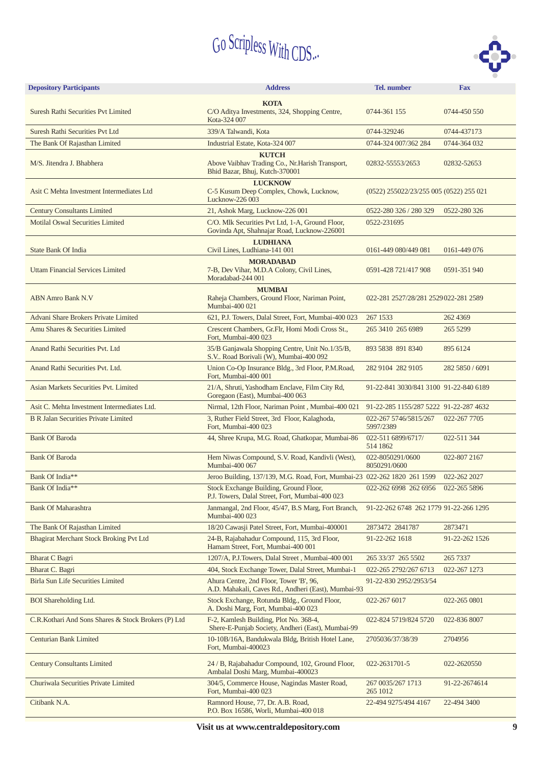

| <b>Depository Participants</b>                      | <b>Address</b>                                                                                     | <b>Tel.</b> number                      | <b>Fax</b>      |
|-----------------------------------------------------|----------------------------------------------------------------------------------------------------|-----------------------------------------|-----------------|
|                                                     | <b>KOTA</b>                                                                                        |                                         |                 |
| <b>Suresh Rathi Securities Pvt Limited</b>          | C/O Aditya Investments, 324, Shopping Centre,<br>Kota-324 007                                      | 0744-361 155                            | 0744-450 550    |
| Suresh Rathi Securities Pvt Ltd                     | 339/A Talwandi, Kota                                                                               | 0744-329246                             | 0744-437173     |
| The Bank Of Rajasthan Limited                       | Industrial Estate, Kota-324 007                                                                    | 0744-324 007/362 284                    | 0744-364 032    |
| M/S. Jitendra J. Bhabhera                           | <b>KUTCH</b><br>Above Vaibhav Trading Co., Nr. Harish Transport,<br>Bhid Bazar, Bhuj, Kutch-370001 | 02832-55553/2653                        | 02832-52653     |
| Asit C Mehta Investment Intermediates Ltd           | <b>LUCKNOW</b><br>C-5 Kusum Deep Complex, Chowk, Lucknow,<br>Lucknow-226 003                       | (0522) 255022/23/255 005 (0522) 255 021 |                 |
| <b>Century Consultants Limited</b>                  | 21, Ashok Marg, Lucknow-226 001                                                                    | 0522-280 326 / 280 329                  | 0522-280 326    |
| <b>Motilal Oswal Securities Limited</b>             | C/O. Mlk Securities Pvt Ltd, 1-A, Ground Floor,<br>Govinda Apt, Shahnajar Road, Lucknow-226001     | 0522-231695                             |                 |
| <b>State Bank Of India</b>                          | <b>LUDHIANA</b><br>Civil Lines, Ludhiana-141 001                                                   | 0161-449 080/449 081                    | 0161-449 076    |
| <b>Uttam Financial Services Limited</b>             | <b>MORADABAD</b><br>7-B, Dev Vihar, M.D.A Colony, Civil Lines,<br>Moradabad-244 001                | 0591-428 721/417 908                    | 0591-351 940    |
| <b>ABN Amro Bank N.V</b>                            | <b>MUMBAI</b><br>Raheja Chambers, Ground Floor, Nariman Point,<br>Mumbai-400 021                   | 022-281 2527/28/281 2529 022-281 2589   |                 |
| Advani Share Brokers Private Limited                | 621, P.J. Towers, Dalal Street, Fort, Mumbai-400 023                                               | 267 1533                                | 262 4369        |
| Amu Shares & Securities Limited                     | Crescent Chambers, Gr.Flr, Homi Modi Cross St.,<br>Fort, Mumbai-400 023                            | 265 3410 265 6989                       | 265 5299        |
| Anand Rathi Securities Pvt. Ltd                     | 35/B Ganjawala Shopping Centre, Unit No.1/35/B,<br>S.V., Road Borivali (W), Mumbai-400 092         | 893 5838 891 8340                       | 895 6124        |
| Anand Rathi Securities Pvt. Ltd.                    | Union Co-Op Insurance Bldg., 3rd Floor, P.M.Road,<br>Fort, Mumbai-400 001                          | 282 9104 282 9105                       | 282 5850 / 6091 |
| Asian Markets Securities Pvt. Limited               | 21/A, Shruti, Yashodham Enclave, Film City Rd,<br>Goregaon (East), Mumbai-400 063                  | 91-22-841 3030/841 3100 91-22-840 6189  |                 |
| Asit C. Mehta Investment Intermediates Ltd.         | Nirmal, 12th Floor, Nariman Point, Mumbai-400 021                                                  | 91-22-285 1155/287 5222 91-22-287 4632  |                 |
| <b>B R Jalan Securities Private Limited</b>         | 3, Ruther Field Street, 3rd Floor, Kalaghoda,<br>Fort, Mumbai-400 023                              | 022-267 5746/5815/267<br>5997/2389      | 022-267 7705    |
| <b>Bank Of Baroda</b>                               | 44, Shree Krupa, M.G. Road, Ghatkopar, Mumbai-86                                                   | 022-511 6899/6717/<br>514 1862          | 022-511 344     |
| <b>Bank Of Baroda</b>                               | Hem Niwas Compound, S.V. Road, Kandivli (West),<br>Mumbai-400 067                                  | 022-8050291/0600<br>8050291/0600        | 022-807 2167    |
| Bank Of India**                                     | Jeroo Building, 137/139, M.G. Road, Fort, Mumbai-23 022-262 1820 261 1599                          |                                         | 022-262 2027    |
| Bank Of India**                                     | Stock Exchange Building, Ground Floor,<br>P.J. Towers, Dalal Street, Fort, Mumbai-400 023          | 022-262 6998 262 6956                   | 022-265 5896    |
| <b>Bank Of Maharashtra</b>                          | Janmangal, 2nd Floor, 45/47, B.S Marg, Fort Branch,<br>Mumbai-400 023                              | 91-22-262 6748 262 1779 91-22-266 1295  |                 |
| The Bank Of Rajasthan Limited                       | 18/20 Cawasji Patel Street, Fort, Mumbai-400001                                                    | 2873472 2841787                         | 2873471         |
| Bhagirat Merchant Stock Broking Pvt Ltd             | 24-B, Rajabahadur Compound, 115, 3rd Floor,<br>Hamam Street, Fort, Mumbai-400 001                  | 91-22-262 1618                          | 91-22-262 1526  |
| <b>Bharat C Bagri</b>                               | 1207/A, P.J.Towers, Dalal Street, Mumbai-400 001                                                   | 265 33/37 265 5502                      | 265 7337        |
| Bharat C. Bagri                                     | 404, Stock Exchange Tower, Dalal Street, Mumbai-1                                                  | 022-265 2792/267 6713                   | 022-267 1273    |
| Birla Sun Life Securities Limited                   | Ahura Centre, 2nd Floor, Tower 'B', 96,<br>A.D. Mahakali, Caves Rd., Andheri (East), Mumbai-93     | 91-22-830 2952/2953/54                  |                 |
| <b>BOI</b> Shareholding Ltd.                        | Stock Exchange, Rotunda Bldg., Ground Floor,<br>A. Doshi Marg, Fort, Mumbai-400 023                | 022-267 6017                            | 022-265 0801    |
| C.R.Kothari And Sons Shares & Stock Brokers (P) Ltd | F-2, Kamlesh Building, Plot No. 368-4,<br>Shere-E-Punjab Society, Andheri (East), Mumbai-99        | 022-824 5719/824 5720                   | 022-836 8007    |
| <b>Centurian Bank Limited</b>                       | 10-10B/16A, Bandukwala Bldg, British Hotel Lane,<br>Fort, Mumbai-400023                            | 2705036/37/38/39                        | 2704956         |
| <b>Century Consultants Limited</b>                  | 24 / B, Rajabahadur Compound, 102, Ground Floor,<br>Ambalal Doshi Marg, Mumbai-400023              | 022-2631701-5                           | 022-2620550     |
| Churiwala Securities Private Limited                | 304/5, Commerce House, Nagindas Master Road,<br>Fort, Mumbai-400 023                               | 267 0035/267 1713<br>265 1012           | 91-22-2674614   |
| Citibank N.A.                                       | Ramnord House, 77, Dr. A.B. Road,<br>P.O. Box 16586, Worli, Mumbai-400 018                         | 22-494 9275/494 4167                    | 22-494 3400     |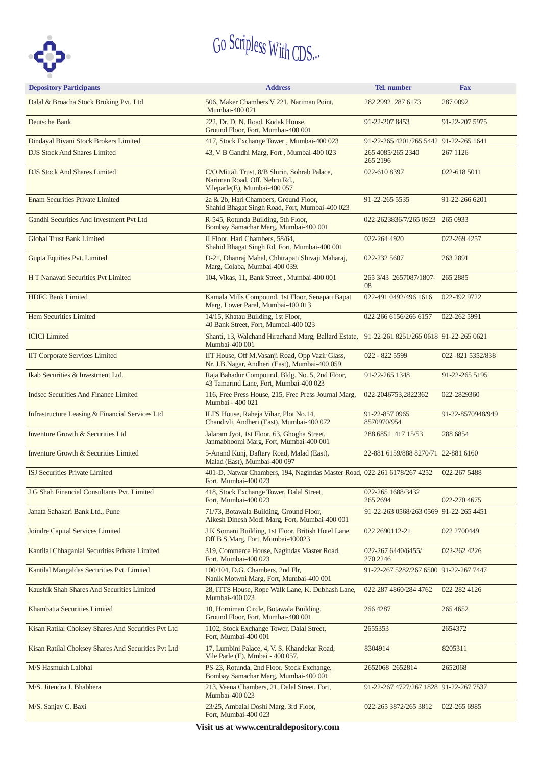

| <b>Depository Participants</b>                      | <b>Address</b>                                                                                                 | <b>Tel.</b> number                     | <b>Fax</b>         |
|-----------------------------------------------------|----------------------------------------------------------------------------------------------------------------|----------------------------------------|--------------------|
| Dalal & Broacha Stock Broking Pvt. Ltd              | 506, Maker Chambers V 221, Nariman Point,<br>Mumbai-400 021                                                    | 282 2992 287 6173                      | 287 0092           |
| Deutsche Bank                                       | 222, Dr. D. N. Road, Kodak House,<br>Ground Floor, Fort, Mumbai-400 001                                        | 91-22-207 8453                         | 91-22-207 5975     |
| Dindayal Biyani Stock Brokers Limited               | 417, Stock Exchange Tower, Mumbai-400 023                                                                      | 91-22-265 4201/265 5442 91-22-265 1641 |                    |
| <b>DJS Stock And Shares Limited</b>                 | 43, V B Gandhi Marg, Fort, Mumbai-400 023                                                                      | 265 4085/265 2340<br>265 2196          | 267 1126           |
| <b>DJS Stock And Shares Limited</b>                 | C/O Mittali Trust, 8/B Shirin, Sohrab Palace,<br>Nariman Road, Off. Nehru Rd.,<br>Vileparle(E), Mumbai-400 057 | 022-610 8397                           | 022-618 5011       |
| <b>Enam Securities Private Limited</b>              | 2a & 2b, Hari Chambers, Ground Floor,<br>Shahid Bhagat Singh Road, Fort, Mumbai-400 023                        | 91-22-265 5535                         | 91-22-266 6201     |
| Gandhi Securities And Investment Pvt Ltd            | R-545, Rotunda Building, 5th Floor,<br>Bombay Samachar Marg, Mumbai-400 001                                    | 022-2623836/7/265 0923 265 0933        |                    |
| <b>Global Trust Bank Limited</b>                    | II Floor, Hari Chambers, 58/64,<br>Shahid Bhagat Singh Rd, Fort, Mumbai-400 001                                | 022-264 4920                           | 022-269 4257       |
| Gupta Equities Pvt. Limited                         | D-21, Dhanraj Mahal, Chhtrapati Shivaji Maharaj,<br>Marg, Colaba, Mumbai-400 039.                              | 022-232 5607                           | 263 2891           |
| H T Nanavati Securities Pvt Limited                 | 104, Vikas, 11, Bank Street, Mumbai-400 001                                                                    | 265 3/43 2657087/1807- 265 2885<br>08  |                    |
| <b>HDFC Bank Limited</b>                            | Kamala Mills Compound, 1st Floor, Senapati Bapat<br>Marg, Lower Parel, Mumbai-400 013                          | 022-491 0492/496 1616                  | 022-492 9722       |
| Hem Securities Limited                              | 14/15, Khatau Building, 1st Floor,<br>40 Bank Street, Fort, Mumbai-400 023                                     | 022-266 6156/266 6157                  | 022-262 5991       |
| <b>ICICI</b> Limited                                | Shanti, 13, Walchand Hirachand Marg, Ballard Estate, 91-22-261 8251/265 0618 91-22-265 0621<br>Mumbai-400 001  |                                        |                    |
| <b>IIT Corporate Services Limited</b>               | IIT House, Off M. Vasanji Road, Opp Vazir Glass,<br>Nr. J.B.Nagar, Andheri (East), Mumbai-400 059              | 022 - 822 5599                         | 022 - 821 5352/838 |
| Ikab Securities & Investment Ltd.                   | Raja Bahadur Compound, Bldg. No. 5, 2nd Floor,<br>43 Tamarind Lane, Fort, Mumbai-400 023                       | 91-22-265 1348                         | 91-22-265 5195     |
| <b>Indsec Securities And Finance Limited</b>        | 116, Free Press House, 215, Free Press Journal Marg,<br>Mumbai - 400 021                                       | 022-2046753,2822362                    | 022-2829360        |
| Infrastructure Leasing & Financial Services Ltd     | ILFS House, Raheja Vihar, Plot No.14,<br>Chandivli, Andheri (East), Mumbai-400 072                             | 91-22-857 0965<br>8570970/954          | 91-22-8570948/949  |
| Inventure Growth & Securities Ltd                   | Jalaram Jyot, 1st Floor, 63, Ghogha Street,<br>Janmabhoomi Marg, Fort, Mumbai-400 001                          | 288 6851 417 15/53                     | 288 6854           |
| Inventure Growth & Securities Limited               | 5-Anand Kunj, Daftary Road, Malad (East),<br>Malad (East), Mumbai-400 097                                      | 22-881 6159/888 8270/71 22-881 6160    |                    |
| ISJ Securities Private Limited                      | 401-D, Natwar Chambers, 194, Nagindas Master Road, 022-261 6178/267 4252<br>Fort, Mumbai-400 023               |                                        | 022-267 5488       |
| J G Shah Financial Consultants Pvt. Limited         | 418, Stock Exchange Tower, Dalal Street,<br>Fort, Mumbai-400 023                                               | 022-265 1688/3432<br>265 2694          | 022-270 4675       |
| Janata Sahakari Bank Ltd., Pune                     | 71/73, Botawala Building, Ground Floor,<br>Alkesh Dinesh Modi Marg, Fort, Mumbai-400 001                       | 91-22-263 0568/263 0569 91-22-265 4451 |                    |
| Joindre Capital Services Limited                    | J K Somani Building, 1st Floor, British Hotel Lane,<br>Off B S Marg, Fort, Mumbai-400023                       | 022 2690112-21                         | 022 2700449        |
| Kantilal Chhaganlal Securities Private Limited      | 319, Commerce House, Nagindas Master Road,<br>Fort, Mumbai-400 023                                             | 022-267 6440/6455/<br>270 2246         | 022-262 4226       |
| Kantilal Mangaldas Securities Pvt. Limited          | 100/104, D.G. Chambers, 2nd Flr,<br>Nanik Motwni Marg, Fort, Mumbai-400 001                                    | 91-22-267 5282/267 6500 91-22-267 7447 |                    |
| Kaushik Shah Shares And Securities Limited          | 28, ITTS House, Rope Walk Lane, K. Dubhash Lane,<br>Mumbai-400 023                                             | 022-287 4860/284 4762                  | 022-282 4126       |
| Khambatta Securities Limited                        | 10, Horniman Circle, Botawala Building,<br>Ground Floor, Fort, Mumbai-400 001                                  | 266 4287                               | 265 4652           |
| Kisan Ratilal Choksey Shares And Securities Pvt Ltd | 1102, Stock Exchange Tower, Dalal Street,<br>Fort, Mumbai-400 001                                              | 2655353                                | 2654372            |
| Kisan Ratilal Choksey Shares And Securities Pvt Ltd | 17, Lumbini Palace, 4, V. S. Khandekar Road,<br>Vile Parle (E), Mmbai - 400 057.                               | 8304914                                | 8205311            |
| M/S Hasmukh Lalbhai                                 | PS-23, Rotunda, 2nd Floor, Stock Exchange,<br>Bombay Samachar Marg, Mumbai-400 001                             | 2652068 2652814                        | 2652068            |
| M/S. Jitendra J. Bhabhera                           | 213, Veena Chambers, 21, Dalal Street, Fort,<br>Mumbai-400 023                                                 | 91-22-267 4727/267 1828 91-22-267 7537 |                    |
| M/S. Sanjay C. Baxi                                 | 23/25, Ambalal Doshi Marg, 3rd Floor,<br>Fort, Mumbai-400 023                                                  | 022-265 3872/265 3812                  | 022-265 6985       |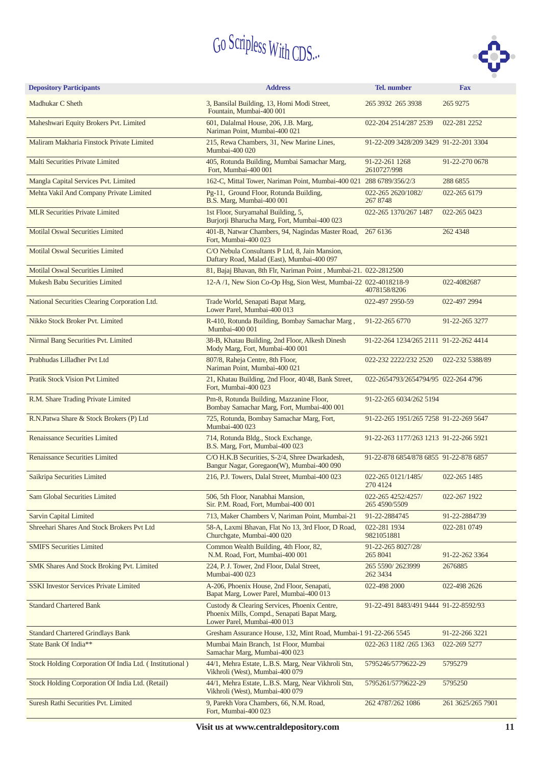

| <b>Depository Participants</b>                          | <b>Address</b>                                                                                                             | Tel. number                            | <b>Fax</b>        |
|---------------------------------------------------------|----------------------------------------------------------------------------------------------------------------------------|----------------------------------------|-------------------|
| Madhukar C Sheth                                        | 3, Bansilal Building, 13, Homi Modi Street,<br>Fountain, Mumbai-400 001                                                    | 265 3932 265 3938                      | 265 9275          |
| Maheshwari Equity Brokers Pvt. Limited                  | 601, Dalalmal House, 206, J.B. Marg,<br>Nariman Point, Mumbai-400 021                                                      | 022-204 2514/287 2539                  | 022-281 2252      |
| Maliram Makharia Finstock Private Limited               | 215, Rewa Chambers, 31, New Marine Lines,<br>Mumbai-400 020                                                                | 91-22-209 3428/209 3429 91-22-201 3304 |                   |
| Malti Securities Private Limited                        | 405, Rotunda Building, Mumbai Samachar Marg,<br>Fort, Mumbai-400 001                                                       | 91-22-261 1268<br>2610727/998          | 91-22-270 0678    |
| Mangla Capital Services Pvt. Limited                    | 162-C, Mittal Tower, Nariman Point, Mumbai-400 021 288 6789/356/2/3                                                        |                                        | 288 6855          |
| Mehta Vakil And Company Private Limited                 | Pg-11, Ground Floor, Rotunda Building,<br>B.S. Marg, Mumbai-400 001                                                        | 022-265 2620/1082/<br>267 8748         | 022-265 6179      |
| <b>MLR Securities Private Limited</b>                   | 1st Floor, Suryamahal Building, 5,<br>Burjorji Bharucha Marg, Fort, Mumbai-400 023                                         | 022-265 1370/267 1487                  | 022-265 0423      |
| <b>Motilal Oswal Securities Limited</b>                 | 401-B, Natwar Chambers, 94, Nagindas Master Road,<br>Fort. Mumbai-400 023                                                  | 267 6136                               | 262 4348          |
| <b>Motilal Oswal Securities Limited</b>                 | C/O Nebula Consultants P Ltd, 8, Jain Mansion,<br>Daftary Road, Malad (East), Mumbai-400 097                               |                                        |                   |
| <b>Motilal Oswal Securities Limited</b>                 | 81, Bajaj Bhavan, 8th Flr, Nariman Point, Mumbai-21. 022-2812500                                                           |                                        |                   |
| Mukesh Babu Securities Limited                          | 12-A /1, New Sion Co-Op Hsg, Sion West, Mumbai-22 022-4018218-9                                                            | 4078158/8206                           | 022-4082687       |
| National Securities Clearing Corporation Ltd.           | Trade World, Senapati Bapat Marg,<br>Lower Parel, Mumbai-400 013                                                           | 022-497 2950-59                        | 022-497 2994      |
| Nikko Stock Broker Pvt. Limited                         | R-410, Rotunda Building, Bombay Samachar Marg,<br>Mumbai-400 001                                                           | 91-22-265 6770                         | 91-22-265 3277    |
| Nirmal Bang Securities Pvt. Limited                     | 38-B, Khatau Building, 2nd Floor, Alkesh Dinesh<br>Mody Marg, Fort, Mumbai-400 001                                         | 91-22-264 1234/265 2111 91-22-262 4414 |                   |
| Prabhudas Lilladher Pvt Ltd                             | 807/8, Raheja Centre, 8th Floor,<br>Nariman Point, Mumbai-400 021                                                          | 022-232 2222/232 2520                  | 022-232 5388/89   |
| <b>Pratik Stock Vision Pvt Limited</b>                  | 21, Khatau Building, 2nd Floor, 40/48, Bank Street,<br>Fort, Mumbai-400 023                                                | 022-2654793/2654794/95 022-264 4796    |                   |
| R.M. Share Trading Private Limited                      | Pm-8, Rotunda Building, Mazzanine Floor,<br>Bombay Samachar Marg, Fort, Mumbai-400 001                                     | 91-22-265 6034/262 5194                |                   |
| R.N.Patwa Share & Stock Brokers (P) Ltd                 | 725, Rotunda, Bombay Samachar Marg, Fort,<br>Mumbai-400 023                                                                | 91-22-265 1951/265 7258 91-22-269 5647 |                   |
| <b>Renaissance Securities Limited</b>                   | 714, Rotunda Bldg., Stock Exchange,<br>B.S. Marg, Fort, Mumbai-400 023                                                     | 91-22-263 1177/263 1213 91-22-266 5921 |                   |
| <b>Renaissance Securities Limited</b>                   | C/O H.K.B Securities, S-2/4, Shree Dwarkadesh,<br>Bangur Nagar, Goregaon(W), Mumbai-400 090                                | 91-22-878 6854/878 6855 91-22-878 6857 |                   |
| Saikripa Securities Limited                             | 216, P.J. Towers, Dalal Street, Mumbai-400 023                                                                             | 022-265 0121/1485/<br>270 4124         | 022-265 1485      |
| <b>Sam Global Securities Limited</b>                    | 506, 5th Floor, Nanabhai Mansion,<br>Sir. P.M. Road, Fort, Mumbai-400 001                                                  | 022-265 4252/4257/<br>265 4590/5509    | 022-267 1922      |
| <b>Sarvin Capital Limited</b>                           | 713, Maker Chambers V, Nariman Point, Mumbai-21                                                                            | 91-22-2884745                          | 91-22-2884739     |
| Shreehari Shares And Stock Brokers Pvt Ltd              | 58-A, Laxmi Bhavan, Flat No 13, 3rd Floor, D Road,<br>Churchgate, Mumbai-400 020                                           | 022-281 1934<br>9821051881             | 022-281 0749      |
| <b>SMIFS Securities Limited</b>                         | Common Wealth Building, 4th Floor, 82,<br>N.M. Road, Fort, Mumbai-400 001                                                  | 91-22-265 8027/28/<br>265 8041         | 91-22-262 3364    |
| SMK Shares And Stock Broking Pvt. Limited               | 224, P. J. Tower, 2nd Floor, Dalal Street,<br>Mumbai-400 023                                                               | 265 5590/2623999<br>262 3434           | 2676885           |
| <b>SSKI Investor Services Private Limited</b>           | A-206, Phoenix House, 2nd Floor, Senapati,<br>Bapat Marg, Lower Parel, Mumbai-400 013                                      | 022-498 2000                           | 022-498 2626      |
| <b>Standard Chartered Bank</b>                          | Custody & Clearing Services, Phoenix Centre,<br>Phoenix Mills, Compd., Senapati Bapat Marg,<br>Lower Parel, Mumbai-400 013 | 91-22-491 8483/491 9444 91-22-8592/93  |                   |
| <b>Standard Chartered Grindlays Bank</b>                | Gresham Assurance House, 132, Mint Road, Mumbai-1 91-22-266 5545                                                           |                                        | 91-22-266 3221    |
| State Bank Of India**                                   | Mumbai Main Branch, 1st Floor, Mumbai<br>Samachar Marg, Mumbai-400 023                                                     | 022-263 1182 /265 1363                 | 022-269 5277      |
| Stock Holding Corporation Of India Ltd. (Institutional) | 44/1, Mehra Estate, L.B.S. Marg, Near Vikhroli Stn,<br>Vikhroli (West), Mumbai-400 079                                     | 5795246/5779622-29                     | 5795279           |
| Stock Holding Corporation Of India Ltd. (Retail)        | 44/1, Mehra Estate, L.B.S. Marg, Near Vikhroli Stn,<br>Vikhroli (West), Mumbai-400 079                                     | 5795261/5779622-29                     | 5795250           |
| Suresh Rathi Securities Pvt. Limited                    | 9, Parekh Vora Chambers, 66, N.M. Road,<br>Fort, Mumbai-400 023                                                            | 262 4787/262 1086                      | 261 3625/265 7901 |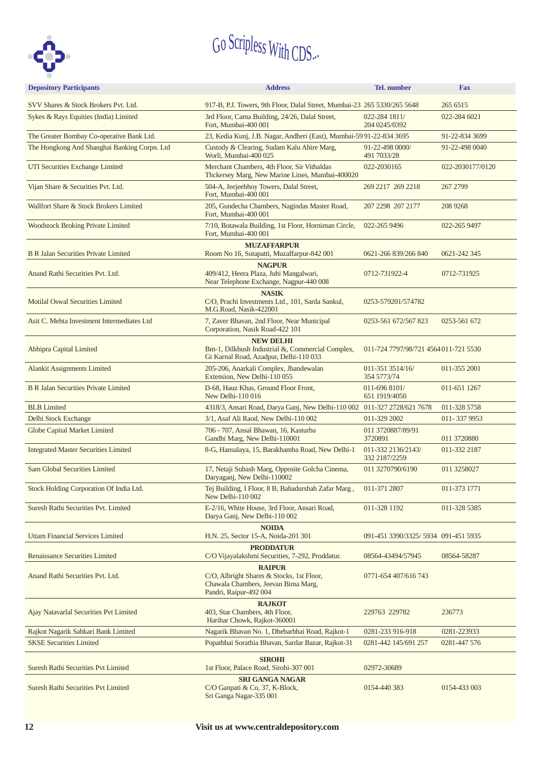

| <b>Depository Participants</b>               | <b>Address</b>                                                                                                              | <b>Tel.</b> number                    | <b>Fax</b>       |
|----------------------------------------------|-----------------------------------------------------------------------------------------------------------------------------|---------------------------------------|------------------|
| SVV Shares & Stock Brokers Pvt. Ltd.         | 917-B, P.J. Towers, 9th Floor, Dalal Street, Mumbai-23 265 5330/265 5648                                                    |                                       | 265 6515         |
| Sykes & Rays Equities (India) Limited        | 3rd Floor, Cama Building, 24/26, Dalal Street,<br>Fort, Mumbai-400 001                                                      | 022-284 1811/<br>204 0245/0392        | 022-284 6021     |
| The Greater Bombay Co-operative Bank Ltd.    | 23, Kedia Kunj, J.B. Nagar, Andheri (East), Mumbai-5991-22-834 3695                                                         |                                       | 91-22-834 3699   |
| The Hongkong And Shanghai Banking Corpn. Ltd | Custody & Clearing, Sudam Kalu Ahire Marg,<br>Worli, Mumbai-400 025                                                         | 91-22-498 0000/<br>491 7033/28        | 91-22-498 0040   |
| UTI Securities Exchange Limited              | Merchant Chambers, 4th Floor, Sir Vithaldas<br>Thckersey Marg, New Marine Lines, Mumbai-400020                              | 022-2030165                           | 022-2030177/0120 |
| Vijan Share & Securities Pvt. Ltd.           | 504-A, Jeejeebhoy Towers, Dalal Street,<br>Fort, Mumbai-400 001                                                             | 269 2217 269 2218                     | 267 2799         |
| Wallfort Share & Stock Brokers Limited       | 205, Gundecha Chambers, Nagindas Master Road,<br>Fort, Mumbai-400 001                                                       | 207 2298 207 2177                     | 208 9268         |
| <b>Woodstock Broking Private Limited</b>     | 7/10, Botawala Building, 1st Floor, Horniman Circle,<br>Fort, Mumbai-400 001                                                | 022-265 9496                          | 022-265 9497     |
|                                              | <b>MUZAFFARPUR</b>                                                                                                          |                                       |                  |
| <b>B R Jalan Securities Private Limited</b>  | Room No 16, Sutapatti, Muzaffarpur-842 001                                                                                  | 0621-266 839/266 840                  | 0621-242 345     |
| Anand Rathi Securities Pvt. Ltd.             | <b>NAGPUR</b><br>409/412, Heera Plaza, Juhi Mangalwari,<br>Near Telephone Exchange, Nagpur-440 008                          | 0712-731922-4                         | 0712-731925      |
|                                              | <b>NASIK</b>                                                                                                                |                                       |                  |
| <b>Motilal Oswal Securities Limited</b>      | C/O, Prachi Investments Ltd., 101, Sarda Sankul,<br>M.G.Road, Nasik-422001                                                  | 0253-579201/574782                    |                  |
| Asit C. Mehta Investment Intermediates Ltd   | 7, Zaver Bhavan, 2nd Floor, Near Municipal<br>Corporation, Nasik Road-422 101                                               | 0253-561 672/567 823                  | 0253-561 672     |
| Abhipra Capital Limited                      | <b>NEW DELHI</b><br>Bm-1, Dilkhush Industrial &, Commercial Complex,<br>Gt Karnal Road, Azadpur, Delhi-110 033              | 011-724 7797/98/721 4564 011-721 5530 |                  |
| <b>Alankit Assignments Limited</b>           | 205-206, Anarkali Complex, Jhandewalan<br>Extension, New Delhi-110 055                                                      | 011-351 3514/16/<br>354 5773/74       | 011-355 2001     |
| <b>B R Jalan Securities Private Limited</b>  | D-68, Hauz Khas, Ground Floor Front,<br>New Delhi-110 016                                                                   | 011-696 8101/<br>651 1919/4050        | 011-651 1267     |
| <b>BLB</b> Limited                           | 4318/3, Ansari Road, Darya Ganj, New Delhi-110 002 011-327 2728/621 7678                                                    |                                       | 011-328 5758     |
| Delhi Stock Exchange                         | 3/1, Asaf Ali Raod, New Delhi-110 002                                                                                       | 011-329 2002                          | 011-3379953      |
| Globe Capital Market Limited                 | 706 - 707, Ansal Bhawan, 16, Kasturba<br>Gandhi Marg, New Delhi-110001                                                      | 011 3720887/89/91<br>3720891          | 011 3720880      |
| <b>Integrated Master Securities Limited</b>  | 8-G, Hansalaya, 15, Barakhamba Road, New Delhi-1                                                                            | 011-332 2136/2143/<br>332 2187/2259   | 011-332 2187     |
| <b>Sam Global Securities Limited</b>         | 17, Netaji Subash Marg, Opposite Golcha Cinema,<br>Daryaganj, New Delhi-110002                                              | 011 3270790/6190                      | 011 3258027      |
| Stock Holding Corporation Of India Ltd.      | Tej Building, I Floor, 8 B, Bahadurshah Zafar Marg,<br>New Delhi-110 002                                                    | 011-371 2807                          | 011-373 1771     |
| Suresh Rathi Securities Pvt. Limited         | E-2/16, White House, 3rd Floor, Ansari Road,<br>Darya Ganj, New Delhi-110 002                                               | 011-328 1192                          | 011-328 5385     |
| <b>Uttam Financial Services Limited</b>      | <b>NOIDA</b><br>H.N. 25, Sector 15-A, Noida-201 301                                                                         | 091-451 3390/3325/ 5934 091-451 5935  |                  |
| <b>Renaissance Securities Limited</b>        | <b>PRODDATUR</b><br>C/O Vijayalakshmi Securities, 7-292, Proddatur.                                                         | 08564-43494/57945                     | 08564-58287      |
| Anand Rathi Securities Pvt. Ltd.             | <b>RAIPUR</b><br>C/O, Albright Shares & Stocks, 1st Floor,<br>Chawala Chambers, Jeevan Bima Marg,<br>Pandri, Raipur-492 004 | 0771-654 407/616 743                  |                  |
| Ajay Natavarlal Securities Pvt Limited       | <b>RAJKOT</b><br>403, Star Chambers, 4th Floor,<br>Harihar Chowk, Rajkot-360001                                             | 229763 229782                         | 236773           |
| Rajkot Nagarik Sahkari Bank Limited          | Nagarik Bhavan No. 1, Dhebarbhai Road, Rajkot-1                                                                             | 0281-233 916-918                      | 0281-223933      |
| <b>SKSE Securities Limited</b>               | Popatbhai Sorathia Bhavan, Sardar Bazar, Rajkot-31                                                                          | 0281-442 145/691 257                  | 0281-447 576     |
| <b>Suresh Rathi Securities Pvt Limited</b>   | <b>SIROHI</b><br>1st Floor, Palace Road, Sirohi-307 001                                                                     | 02972-30689                           |                  |
| <b>Suresh Rathi Securities Pvt Limited</b>   | <b>SRI GANGA NAGAR</b><br>C/O Ganpati & Co, 37, K-Block,<br>Sri Ganga Nagar-335 001                                         | 0154-440 383                          | 0154-433 003     |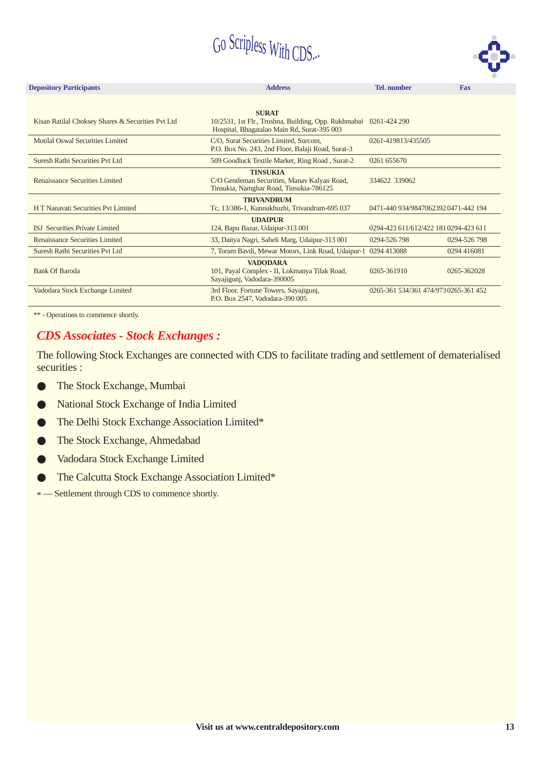

| <b>Depository Participants</b>                                                                                                                                | <b>Address</b>                                                                                                      | <b>Tel.</b> number                    | <b>Fax</b>   |  |  |  |  |
|---------------------------------------------------------------------------------------------------------------------------------------------------------------|---------------------------------------------------------------------------------------------------------------------|---------------------------------------|--------------|--|--|--|--|
|                                                                                                                                                               |                                                                                                                     |                                       |              |  |  |  |  |
| Kisan Ratilal Choksey Shares & Securities Pvt Ltd                                                                                                             | <b>SURAT</b><br>10/2531, 1st Flr., Trushna, Building, Opp. Rukhmabai<br>Hospital, Bhagatalao Main Rd, Surat-395 003 | 0261-424 290                          |              |  |  |  |  |
| <b>Motilal Oswal Securities Limited</b>                                                                                                                       | C/O, Surat Securities Limited, Surcom,<br>P.O. Box No. 243, 2nd Floor, Balaji Road, Surat-3                         | 0261-419813/435505                    |              |  |  |  |  |
| Suresh Rathi Securities Pvt Ltd                                                                                                                               | 509 Goodluck Textile Market, Ring Road, Surat-2                                                                     | 0261 655670                           |              |  |  |  |  |
| <b>TINSUKIA</b><br>Renaissance Securities Limited<br>C/O Gentleman Securities, Manav Kalyan Road,<br>334622 339062<br>Tinsukia, Namghar Road, Tinsukia-786125 |                                                                                                                     |                                       |              |  |  |  |  |
| <b>TRIVANDRUM</b><br>H T Nanavati Securities Pvt Limited<br>Tc, 13/386-1, Kunnukhuzhi, Trivandrum-695 037<br>0471-440 934/9847062392 0471-442 194             |                                                                                                                     |                                       |              |  |  |  |  |
| <b>ISJ</b> Securities Private Limited                                                                                                                         | <b>UDAIPUR</b><br>124, Bapu Bazar, Udaipur-313 001                                                                  | 0294-423 611/612/422 1810294-423 611  |              |  |  |  |  |
| Renaissance Securities Limited                                                                                                                                | 33, Daitya Nagri, Saheli Marg, Udaipur-313 001                                                                      | 0294-526 798                          | 0294-526 798 |  |  |  |  |
| Suresh Rathi Securities Pvt Ltd                                                                                                                               | 7, Toram Bavdi, Mewar Motors, Link Road, Udaipur-1                                                                  | 0294 413088                           | 0294 416081  |  |  |  |  |
| <b>Bank Of Baroda</b>                                                                                                                                         | <b>VADODARA</b><br>101, Payal Complex - II, Lokmanya Tilak Road,<br>Sayajigunj, Vadodara-390005                     | 0265-361910                           | 0265-362028  |  |  |  |  |
| Vadodara Stock Exchange Limited                                                                                                                               | 3rd Floor. Fortune Towers, Sayajigunj,<br>P.O. Box 2547, Vadodara-390 005                                           | 0265-361 534/361 474/973 0265-361 452 |              |  |  |  |  |

\*\* - Operations to commence shortly.

#### *CDS Associates - Stock Exchanges :*

The following Stock Exchanges are connected with CDS to facilitate trading and settlement of dematerialised securities :

- The Stock Exchange, Mumbai  $\bullet$
- National Stock Exchange of India Limited  $\bullet$
- The Delhi Stock Exchange Association Limited\*  $\bullet$
- The Stock Exchange, Ahmedabad  $\bullet$
- Vadodara Stock Exchange Limited  $\bullet$
- The Calcutta Stock Exchange Association Limited\*  $\bullet$

\* — Settlement through CDS to commence shortly.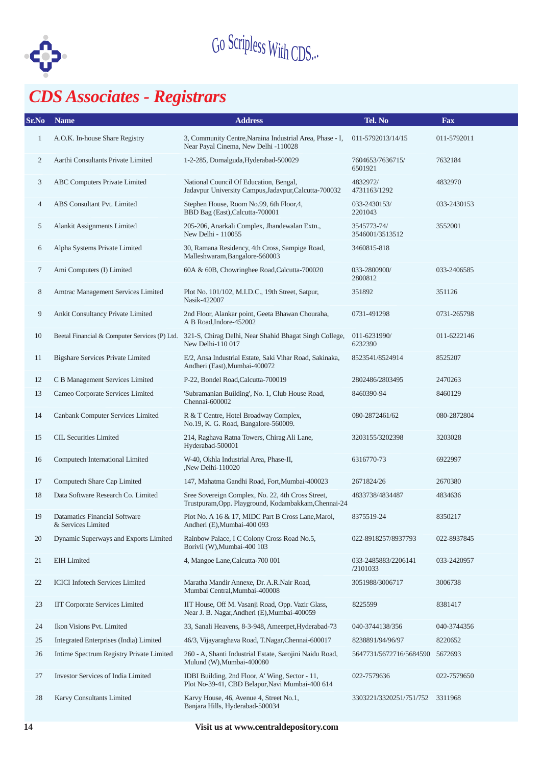

## *CDS Associates - Registrars*

| Sr.No          | <b>Name</b>                                         | <b>Address</b>                                                                                                            | Tel. No                         | <b>Fax</b>  |
|----------------|-----------------------------------------------------|---------------------------------------------------------------------------------------------------------------------------|---------------------------------|-------------|
| 1              | A.O.K. In-house Share Registry                      | 3, Community Centre, Naraina Industrial Area, Phase - I,<br>Near Payal Cinema, New Delhi -110028                          | 011-5792013/14/15               | 011-5792011 |
| $\overline{c}$ | Aarthi Consultants Private Limited                  | 1-2-285, Domalguda, Hyderabad-500029                                                                                      | 7604653/7636715/<br>6501921     | 7632184     |
| 3              | ABC Computers Private Limited                       | National Council Of Education, Bengal,<br>Jadavpur University Campus, Jadavpur, Calcutta-700032                           | 4832972/<br>4731163/1292        | 4832970     |
| $\overline{4}$ | ABS Consultant Pvt. Limited                         | Stephen House, Room No.99, 6th Floor, 4,<br>BBD Bag (East), Calcutta-700001                                               | 033-2430153/<br>2201043         | 033-2430153 |
| 5              | Alankit Assignments Limited                         | 205-206, Anarkali Complex, Jhandewalan Extn.,<br>New Delhi - 110055                                                       | 3545773-74/<br>3546001/3513512  | 3552001     |
| 6              | Alpha Systems Private Limited                       | 30, Ramana Residency, 4th Cross, Sampige Road,<br>Malleshwaram, Bangalore-560003                                          | 3460815-818                     |             |
| 7              | Ami Computers (I) Limited                           | 60A & 60B, Chowringhee Road, Calcutta-700020                                                                              | 033-2800900/<br>2800812         | 033-2406585 |
| 8              | Amtrac Management Services Limited                  | Plot No. 101/102, M.I.D.C., 19th Street, Satpur,<br>Nasik-422007                                                          | 351892                          | 351126      |
| 9              | Ankit Consultancy Private Limited                   | 2nd Floor, Alankar point, Geeta Bhawan Chouraha,<br>A B Road, Indore-452002                                               | 0731-491298                     | 0731-265798 |
| 10             |                                                     | Beetal Financial & Computer Services (P) Ltd. 321-S, Chirag Delhi, Near Shahid Bhagat Singh College,<br>New Delhi-110 017 | 011-6231990/<br>6232390         | 011-6222146 |
| 11             | <b>Bigshare Services Private Limited</b>            | E/2, Ansa Industrial Estate, Saki Vihar Road, Sakinaka,<br>Andheri (East), Mumbai-400072                                  | 8523541/8524914                 | 8525207     |
| 12             | C B Management Services Limited                     | P-22, Bondel Road, Calcutta-700019                                                                                        | 2802486/2803495                 | 2470263     |
| 13             | Cameo Corporate Services Limited                    | 'Subramanian Building', No. 1, Club House Road,<br>Chennai-600002                                                         | 8460390-94                      | 8460129     |
| 14             | Canbank Computer Services Limited                   | R & T Centre, Hotel Broadway Complex,<br>No.19, K. G. Road, Bangalore-560009.                                             | 080-2872461/62                  | 080-2872804 |
| 15             | <b>CIL Securities Limited</b>                       | 214, Raghava Ratna Towers, Chirag Ali Lane,<br>Hyderabad-500001                                                           | 3203155/3202398                 | 3203028     |
| 16             | Computech International Limited                     | W-40, Okhla Industrial Area, Phase-II,<br>New Delhi-110020                                                                | 6316770-73                      | 6922997     |
| 17             | Computech Share Cap Limited                         | 147, Mahatma Gandhi Road, Fort, Mumbai-400023                                                                             | 2671824/26                      | 2670380     |
| 18             | Data Software Research Co. Limited                  | Sree Sovereign Complex, No. 22, 4th Cross Street,<br>Trustpuram, Opp. Playground, Kodambakkam, Chennai-24                 | 4833738/4834487                 | 4834636     |
|                | Datamatics Financial Software<br>& Services Limited | Plot No. A 16 & 17, MIDC Part B Cross Lane, Marol,<br>Andheri (E), Mumbai-400 093                                         | 8375519-24                      | 8350217     |
| 20             | Dynamic Superways and Exports Limited               | Rainbow Palace, I C Colony Cross Road No.5,<br>Borivli (W), Mumbai-400 103                                                | 022-8918257/8937793             | 022-8937845 |
| 21             | <b>EIH</b> Limited                                  | 4, Mangoe Lane, Calcutta-700 001                                                                                          | 033-2485883/2206141<br>/2101033 | 033-2420957 |
| 22             | <b>ICICI</b> Infotech Services Limited              | Maratha Mandir Annexe, Dr. A.R.Nair Road,<br>Mumbai Central, Mumbai-400008                                                | 3051988/3006717                 | 3006738     |
| 23             | <b>IIT Corporate Services Limited</b>               | IIT House, Off M. Vasanji Road, Opp. Vazir Glass,<br>Near J. B. Nagar, Andheri (E), Mumbai-400059                         | 8225599                         | 8381417     |
| 24             | Ikon Visions Pvt. Limited                           | 33, Sanali Heavens, 8-3-948, Ameerpet, Hyderabad-73                                                                       | 040-3744138/356                 | 040-3744356 |
| 25             | Integrated Enterprises (India) Limited              | 46/3, Vijayaraghava Road, T.Nagar, Chennai-600017                                                                         | 8238891/94/96/97                | 8220652     |
| 26             | Intime Spectrum Registry Private Limited            | 260 - A, Shanti Industrial Estate, Sarojini Naidu Road,<br>Mulund (W), Mumbai-400080                                      | 5647731/5672716/5684590         | 5672693     |
| 27             | <b>Investor Services of India Limited</b>           | IDBI Building, 2nd Floor, A' Wing, Sector - 11,<br>Plot No-39-41, CBD Belapur, Navi Mumbai-400 614                        | 022-7579636                     | 022-7579650 |
| 28             | Karvy Consultants Limited                           | Karvy House, 46, Avenue 4, Street No.1,<br>Banjara Hills, Hyderabad-500034                                                | 3303221/3320251/751/752         | 3311968     |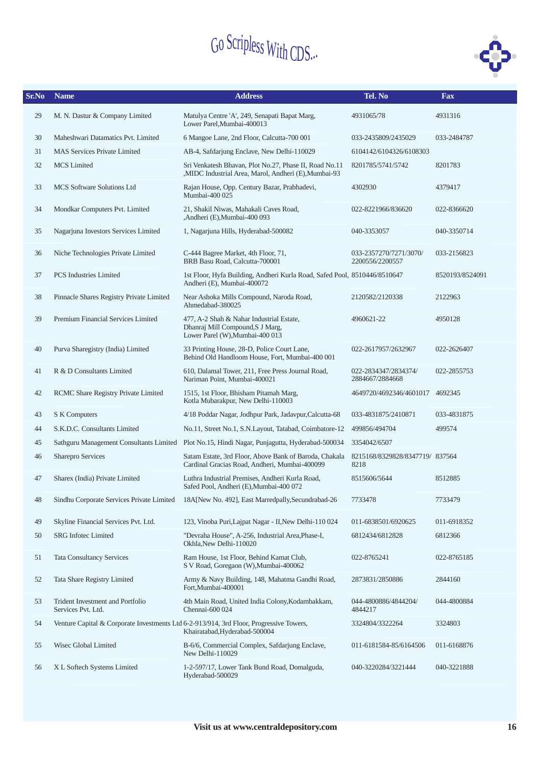

| Sr.No | <b>Name</b>                                                                             | <b>Address</b>                                                                                                  | Tel. No                                   | <b>Fax</b>      |
|-------|-----------------------------------------------------------------------------------------|-----------------------------------------------------------------------------------------------------------------|-------------------------------------------|-----------------|
| 29    | M. N. Dastur & Company Limited                                                          | Matulya Centre 'A', 249, Senapati Bapat Marg,<br>Lower Parel, Mumbai-400013                                     | 4931065/78                                | 4931316         |
| 30    | Maheshwari Datamatics Pvt. Limited                                                      | 6 Mangoe Lane, 2nd Floor, Calcutta-700 001                                                                      | 033-2435809/2435029                       | 033-2484787     |
| 31    | <b>MAS Services Private Limited</b>                                                     | AB-4, Safdarjung Enclave, New Delhi-110029                                                                      | 6104142/6104326/6108303                   |                 |
| 32    | <b>MCS</b> Limited                                                                      | Sri Venkatesh Bhavan, Plot No.27, Phase II, Road No.11<br>,MIDC Industrial Area, Marol, Andheri (E),Mumbai-93   | 8201785/5741/5742                         | 8201783         |
| 33    | MCS Software Solutions Ltd                                                              | Rajan House, Opp. Century Bazar, Prabhadevi,<br>Mumbai-400 025                                                  | 4302930                                   | 4379417         |
| 34    | Mondkar Computers Pvt. Limited                                                          | 21, Shakil Niwas, Mahakali Caves Road,<br>,Andheri (E),Mumbai-400 093                                           | 022-8221966/836620                        | 022-8366620     |
| 35    | Nagarjuna Investors Services Limited                                                    | 1, Nagarjuna Hills, Hyderabad-500082                                                                            | 040-3353057                               | 040-3350714     |
| 36    | Niche Technologies Private Limited                                                      | C-444 Bagree Market, 4th Floor, 71,<br>BRB Basu Road, Calcutta-700001                                           | 033-2357270/7271/3070/<br>2200556/2200557 | 033-2156823     |
| 37    | <b>PCS</b> Industries Limited                                                           | 1st Floor, Hyfa Building, Andheri Kurla Road, Safed Pool, 8510446/8510647<br>Andheri (E), Mumbai-400072         |                                           | 8520193/8524091 |
| 38    | Pinnacle Shares Registry Private Limited                                                | Near Ashoka Mills Compound, Naroda Road,<br>Ahmedabad-380025                                                    | 2120582/2120338                           | 2122963         |
| 39    | Premium Financial Services Limited                                                      | 477, A-2 Shah & Nahar Industrial Estate,<br>Dhanraj Mill Compound, S J Marg,<br>Lower Parel (W), Mumbai-400 013 | 4960621-22                                | 4950128         |
| 40    | Purva Sharegistry (India) Limited                                                       | 33 Printing House, 28-D, Police Court Lane,<br>Behind Old Handloom House, Fort, Mumbai-400 001                  | 022-2617957/2632967                       | 022-2626407     |
| 41    | R & D Consultants Limited                                                               | 610, Dalamal Tower, 211, Free Press Journal Road,<br>Nariman Point, Mumbai-400021                               | 022-2834347/2834374/<br>2884667/2884668   | 022-2855753     |
| 42    | RCMC Share Registry Private Limited                                                     | 1515, 1st Floor, Bhisham Pitamah Marg,<br>Kotla Mubarakpur, New Delhi-110003                                    | 4649720/4692346/4601017 4692345           |                 |
| 43    | S K Computers                                                                           | 4/18 Poddar Nagar, Jodhpur Park, Jadavpur, Calcutta-68                                                          | 033-4831875/2410871                       | 033-4831875     |
| 44    | S.K.D.C. Consultants Limited                                                            | No.11, Street No.1, S.N.Layout, Tatabad, Coimbatore-12                                                          | 499856/494704                             | 499574          |
| 45    |                                                                                         | Sathguru Management Consultants Limited Plot No.15, Hindi Nagar, Punjagutta, Hyderabad-500034                   | 3354042/6507                              |                 |
| 46    | Sharepro Services                                                                       | Satam Estate, 3rd Floor, Above Bank of Baroda, Chakala<br>Cardinal Gracias Road, Andheri, Mumbai-400099         | 8215168/8329828/8347719/837564<br>8218    |                 |
| 47    | Sharex (India) Private Limited                                                          | Luthra Industrial Premises, Andheri Kurla Road,<br>Safed Pool, Andheri (E), Mumbai-400 072                      | 8515606/5644                              | 8512885         |
| 48    |                                                                                         | Sindhu Corporate Services Private Limited 18A[New No. 492], East Marredpally, Secundrabad-26                    | 7733478                                   | 7733479         |
| 49    | Skyline Financial Services Pvt. Ltd.                                                    | 123, Vinoba Puri, Lajpat Nagar - II, New Delhi-110 024                                                          | 011-6838501/6920625                       | 011-6918352     |
| 50    | <b>SRG</b> Infotec Limited                                                              | "Devraha House", A-256, Industrial Area, Phase-I,<br>Okhla, New Delhi-110020                                    | 6812434/6812828                           | 6812366         |
| 51    | <b>Tata Consultancy Services</b>                                                        | Ram House, 1st Floor, Behind Kamat Club,<br>S V Road, Goregaon (W), Mumbai-400062                               | 022-8765241                               | 022-8765185     |
| 52    | Tata Share Registry Limited                                                             | Army & Navy Building, 148, Mahatma Gandhi Road,<br>Fort, Mumbai-400001                                          | 2873831/2850886                           | 2844160         |
| 53    | Trident Investment and Portfolio<br>Services Pvt. Ltd.                                  | 4th Main Road, United India Colony, Kodambakkam,<br>Chennai-600 024                                             | 044-4800886/4844204/<br>4844217           | 044-4800884     |
| 54    | Venture Capital & Corporate Investments Ltd 6-2-913/914, 3rd Floor, Progressive Towers, | Khairatabad, Hyderabad-500004                                                                                   | 3324804/3322264                           | 3324803         |
| 55    | Wisec Global Limited                                                                    | B-6/6, Commercial Complex, Safdarjung Enclave,<br>New Delhi-110029                                              | 011-6181584-85/6164506                    | 011-6168876     |
| 56    | X L Softech Systems Limited                                                             | 1-2-597/17, Lower Tank Bund Road, Domalguda,<br>Hyderabad-500029                                                | 040-3220284/3221444                       | 040-3221888     |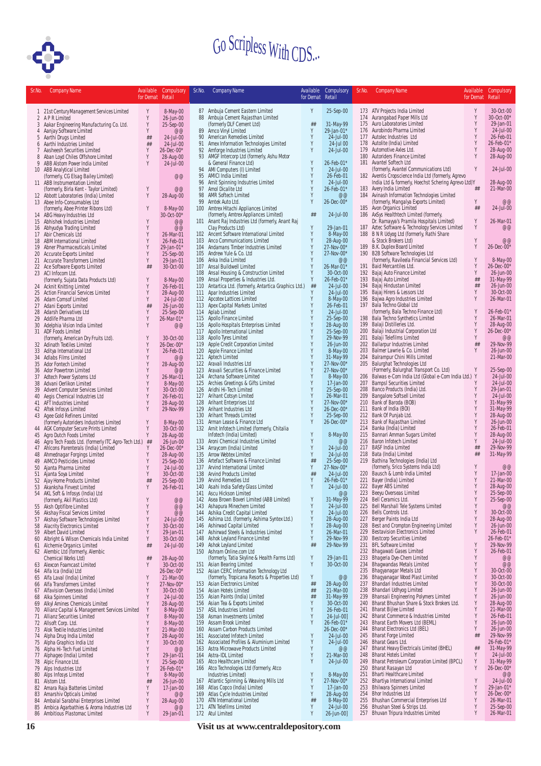

| Sr.No.         | <b>Company Name</b>                                                                                | Available<br>for Demat Retail | Compulsory                   | Sr.No.     | <b>Company Name</b>                                                                        | Available<br>for Demat Retail | Compulsory                  | Sr.No.     | <b>Company Name</b>                                                                 | for Demat Retail | Available Compulsory     |
|----------------|----------------------------------------------------------------------------------------------------|-------------------------------|------------------------------|------------|--------------------------------------------------------------------------------------------|-------------------------------|-----------------------------|------------|-------------------------------------------------------------------------------------|------------------|--------------------------|
|                | 1 21st Century Management Services Limited                                                         | Y                             | 8-May-00                     |            | 87 Ambuja Cement Eastern Limited                                                           | Y                             | 25-Sep-00                   |            | 173 ATV Projects India Limited                                                      | Y                | 30-Oct-00                |
|                | 2 APR Limited                                                                                      | Y                             | 26-Jun-00                    |            | 88 Ambuja Cement Rajasthan Limited                                                         |                               |                             |            | 174 Aurangabad Paper Mills Ltd                                                      | Y                | 30-Oct-00*               |
|                | 3 Aakar Engineering Manufacturing Co. Ltd.                                                         | Y                             | 25-Sep-00                    |            | (formerly DLF Cement Ltd)                                                                  | ##                            | 31-May-99                   |            | 175 Auro Laboratories Limited                                                       | Y                | 29-Jan-01                |
|                | 4 Aanjay Software Limited<br>5 Aarthi Drugs Limited                                                | Y<br>##                       | @@<br>24-Jul-00              | 90         | 89 Amco Vinyl Limited<br>American Remedies Limited                                         | Y<br>Y                        | 29-Jan-01*<br>24-Jul-00     |            | 176 Aurobindo Pharma Limited<br>177 Autolec Industries Ltd                          | Y<br>Y           | 24-Jul-00<br>26-Feb-01   |
|                | 6 Aarthi Industries Limited                                                                        | ##                            | 24-Jul-00                    |            | 91 Amex Information Technologies Limited                                                   | Y                             | 24-Jul 00                   |            | 178 Autolite (India) Limited                                                        | Y                | 26-Feb-01*               |
| $\overline{7}$ | Aasheesh Securities Limited                                                                        | Y                             | $26 - Dec -00*$              |            | 92 Amforge Industries Limited                                                              | Y                             | 24-Jul-00                   |            | 179 Automotive Axles Ltd.                                                           |                  | 28-Aug-00                |
| 8              | Aban Loyd Chiles Offshore Limited                                                                  | Y                             | 28-Aug-00                    |            | 93 AMGF Intercorp Ltd (formerly, Ashu Motor                                                |                               |                             |            | 180 Autoriders Finance Limited                                                      | Y                | 28-Aug-00                |
|                | 9 ABB Alstom Power India Limited<br>10 ABB Analytical Limited                                      | Y                             | 24-Jul-00                    |            | & General Finance Ltd)<br>94 AMI Computers (I) Limited                                     | Y<br>Y                        | 26-Feb-01*<br>24-Jul-00     |            | 181 Avantel Softech Ltd<br>(formerly, Avantel Communications Ltd)                   | Y                | 24-Jul-00                |
|                | (formerly, CG Elsag Bailey Limited)                                                                |                               | @@                           |            | 95 AMICI India Limited                                                                     | Y                             | 26-Feb-01                   |            | 182 Aventis Cropscience India Ltd (formerly, Agrevo                                 |                  |                          |
|                | 11 ABB Instrumentation Limited                                                                     |                               |                              |            | 96 Amit Spinning Indsutries Limited                                                        | Y                             | 24-Jul-00                   |            | India Ltd & formerly, Hoechst Schering Agrevo Ltd)Y                                 |                  | 28-Aug-00                |
|                | (formerly, Birla Kent - Taylor Limited)<br>12 Abbott Laboratories (India) Limited                  | Y<br>Y                        | @@<br>28-Aug-00              | 98         | 97 Amol Dicalite Ltd<br>AMR Softech Limited                                                | Y<br>Y                        | 26-Feb-01*<br>@@            |            | 183 Avery India Limited<br>184 Avinash Information Technologies Limited             | ##               | 21-Mar-00                |
|                | 13 Abee Info-Consumables Ltd                                                                       |                               |                              |            | 99 Amtek Auto Ltd.                                                                         | Y                             | 26-Dec-00*                  |            | (formerly, Mangalya Exports Limited)                                                | Υ                | @@                       |
|                | (formerly, Abee Printer Ribons Ltd)                                                                | Y                             | 8-May-00                     |            | 100 Amtrex Hitachi Appliances Limited                                                      |                               |                             |            | 185 Avon Organics Limited                                                           | ##               | 24-Jul-00                |
|                | 14 ABG Heavy Industries Ltd<br>15 Abhishek Industries Limited                                      | Y                             | 30-Oct-00*<br>@@             |            | (formerly, Amtrex Appliances Limited)<br>101 Anant Raj Industries Ltd (formerly, Anant Raj | ##                            | 24-Jul-00                   |            | 186 AxSys Healthtech Limited (formerly,<br>Dr. Ramayya's Pramila Hospitals Limited) | Y                | 26-Mar-01                |
|                | 16 Abhyudya Trading Limited                                                                        | Y                             | @@                           |            | Clay Products Ltd)                                                                         | Y                             | 29-Jan-01                   |            | 187 Aztec Software & Technology Services Limited                                    | Y                | @@                       |
|                | 17 Abir Chemicals Ltd                                                                              | Y                             | 26-Mar-01                    |            | 102 Ancent Software International Limited                                                  | Y                             | 8-May-00                    |            | 188 B N R Udyog Ltd (formerly, Rathi Share                                          |                  |                          |
|                | 18 ABM International Limited                                                                       | Y<br>Y                        | 26-Feb-01                    |            | 103 Anco Communications Limited                                                            | Y<br>Y                        | 28-Aug-00<br>27-Nov-00*     |            | & Stock Brokers Ltd)<br>189 B.K. Duplex Board Limited                               | Y<br>Y           | @@<br>26-Dec-00*         |
|                | 19 Abner Pharmaceuticals Limited<br>20 Accurate Exports Limited                                    | Y                             | 29-Jan-01*<br>25-Sep-00      |            | 104 Andamans Timber Industries Limited<br>105 Andrew Yule & Co. Ltd                        | $\lambda$                     | 27-Nov-00*                  |            | 190 B2B Software Technologies Ltd                                                   |                  |                          |
|                | 21 Accurate Transformers Limited                                                                   | Y                             | 29-Jan-01                    |            | 106 Anka India Limited                                                                     | Y                             | @@                          |            | (formerly, Ravileela Financial Services Ltd)                                        | Y                | 8-May-00                 |
|                | 22 Ace Software Exports Limited                                                                    | ##                            | 30-Oct-00                    |            | 107 Ansal Buildwell Limited                                                                | Y                             | 26-Mar-01*                  |            | 191 Baid Mercantiles Ltd.                                                           | Y<br>Y           | 26-Dec-00*               |
|                | 23 ACI Infocom Ltd.<br>(formerly, Sujata Data Products Ltd)                                        | Y                             | 8-May-00                     |            | 108 Ansal Housing & Construction Limited<br>109 Ansal Properties & Industries Ltd.         | Y<br>Y                        | 30-Oct-00<br>26-Feb-01*     |            | 192 Bajaj Auto Finance Limited<br>193 Bajaj Auto Limited                            | ##               | 26-Jun-00<br>31-May-99   |
|                | 24 Acknit Knitting Limited                                                                         | Y                             | 26-Feb-01                    |            | 110 Antartica Ltd. (formerly, Antartica Graphics Ltd.)                                     | ##                            | 24-Jul-00                   |            | 194 Bajaj Hindustan Limited                                                         | ##               | 26-Jun-00                |
|                | 25 Action Financial Services Limited                                                               | Y                             | 28-Aug-00                    |            | 111 Apar Industries Limited                                                                | Y                             | 24-Jul-00                   |            | 195 Bajaj Hirers & Lessors Ltd                                                      | Y                | 30-Oct-00                |
|                | 26 Adam Comsof Limited<br>27 Adani Exports Limited                                                 | Y<br>##                       | 24-Jul-00<br>26-Jun-00       |            | 112 Apcotex Lattices Limited<br>113 Apex Capital Markets Limited                           | Y<br>Y                        | 8-May-00<br>26-Feb-01       |            | 196 Bajwa Agro Industries Limited<br>197 Bala Techno Global Ltd                     | Y                | 26-Mar-01                |
|                | 28 Adarsh Derivatives Ltd                                                                          | Y                             | 25-Sep-00                    |            | 114 Aplab Limited                                                                          | Y                             | 24-Jul-00                   |            | (formerly, Bala Techno Finance Ltd)                                                 | Y                | 26-Feb-01*               |
|                | 29 Addlife Pharma Ltd                                                                              | Y                             | 26-Mar-01*                   |            | 115 Apollo Finance Limited                                                                 | Y                             | 25-Sep-00                   | 198        | Bala Techno Synthetics Limited                                                      | Y                | 26-Mar-01                |
|                | 30 Adelphia Vision India Limited                                                                   | Y                             | @@                           |            | 116 Apollo Hospitals Enterprises Limited                                                   |                               | 28-Aug-00                   | 200        | 199 Balaji Distilleries Ltd.                                                        | Y<br>Y           | 28-Aug-00<br>26-Dec-00*  |
|                | 31 ADF Foods Limited<br>(formerly, American Dry Fruits Ltd).                                       | Y                             | 30-Oct-00                    | 117        | Apollo International Limited<br>118 Apollo Tyres Limited                                   | Y                             | 25-Sep-00<br>29-Nov-99      | 201        | Balaji Industrial Corporation Ltd<br>Balaji Telefilms Limited                       | Y                | @@                       |
|                | 32 Adinath Textiles Limited                                                                        | Y                             | 26-Dec-00*                   |            | 119 Apple Credit Corporation Limited                                                       | Y                             | 26-Jun-00                   |            | 202 Ballarpur Industries Limited                                                    | ##               | 29-Nov-99                |
|                | 33 Aditya International Ltd                                                                        | Y                             | 26-Feb-01                    |            | 120 Apple Finance Limited                                                                  | Y                             | 8-May-00                    | 203        | Balmer Lawrie & Co. Limited                                                         | Y                | 26-Jun-00                |
|                | 34 Adlabs Films Limited<br>35 Ador Fontech Limited                                                 | Y<br>Y                        | @@<br>28-Aug-00              |            | 121 Aptech Limited<br>122 Aravali Industries Ltd                                           | Y                             | 31-May-99<br>27-Nov-00*     |            | 204 Balrampur Chini Mills Limited<br>205 Balurghat Technologies Ltd                 |                  | 21-Mar-00                |
|                | 36 Ador Powertron Limited                                                                          | Y                             | @@                           |            | 123 Aravali Securities & Finance Limited                                                   | Y                             | 27-Nov-00*                  |            | (Formerly, Balurghat Transport Co. Ltd)                                             | Y                | 25-Sep-00                |
|                | 37 Adtech Power Systems Ltd                                                                        | Y                             | 26-Mar-01                    |            | 124 Archana Software Limited                                                               | Y                             | 8-May-00                    |            | 206 Balwas e-Com India Ltd (Global e-Com India Ltd.) Y                              |                  | 24-Jul-00                |
|                | 38 Advani Oerlikon Limited                                                                         | Y<br>Y                        | 8-May-00<br>30-Oct-00        |            | 125 Archies Greetings & Gifts Limited<br>126 Aridhi Hi-Tech Limited                        | Y<br>Y                        | 17-Jan-00<br>25-Sep-00      | 207        | <b>BampsI Securities Limited</b><br>208 Banco Products (India) Ltd.                 | Y<br>Y           | 24-Jul-00<br>29-Jan-01   |
|                | 39 Advent Computer Services Limited<br>40 Aegis Chemical Industries Ltd                            | Y                             | 26-Feb-01                    |            | 127 Arihant Cotsyn Limited                                                                 | Y                             | 26-Mar-01                   |            | 209 Bangalore Softsell Limited                                                      | Y                | 24-Jul-00                |
|                | 41 AFT Industries Limited                                                                          | Y                             | 28-Aug-00                    | 128        | Arihant Enterprises Ltd                                                                    | $\mathsf{Y}$                  | 27-Nov-00*                  |            | 210 Bank of Baroda (BOB)                                                            |                  | 31-May-99                |
|                | 42 Aftek Infosys Limited                                                                           | Y                             | 29-Nov-99                    |            | 129 Arihant Industries Ltd                                                                 | Y                             | 26-Dec-00*                  |            | 211 Bank of India (BOI)                                                             | Y<br>Y           | 31-May-99                |
|                | 43 Agee Gold Refiners Limited<br>(formerly Autoriders Industries Limited                           | Y                             | 8-May-00                     |            | 130 Arihant Threads Limited<br>131 Arman Lease & Finance Ltd                               | Y<br>Y                        | 25-Sep-00<br>26-Dec-00*     | 213        | 212 Bank Of Punjab Ltd.<br>Bank of Rajasthan Limited                                | Y                | 28-Aug-00<br>26-Jun-00   |
|                | 44 AGK Computer Secure Prints Limited                                                              | Y                             | 30-Oct-00                    |            | 132 Arnit Infotech Limited (formerly, Chitalia                                             |                               |                             | 214        | Banka (India) Limited                                                               |                  | 26-Feb-01                |
|                | 45 Agro Dutch Foods Limited                                                                        | Y                             | 28-Aug-00                    |            | Infotech (India) Limited)                                                                  | Y                             | 8-May-00                    |            | 215 Bannari Amman Sugars Limited                                                    | Y<br>Y           | 28-Aug-00                |
|                | 46 Agro Tech Foods Ltd. (formerly ITC Agro-Tech Ltd.) ##<br>47 Ahlcons Parenterals (India) Limited | Y                             | 26-Jun-00<br>$26 - Dec -00*$ |            | 133 Aroni Chemical Industries Limited<br>134 Arraycom (India) Limited                      | Y<br>Y                        | @@<br>24-Jul-00             |            | 216 Baron Infotech Limited<br>217 BASF India Limited                                | ##               | 24-Jul-00<br>29-Nov-99   |
|                | 48 Ahmednagar Forgings Limited                                                                     | Y                             | 28-Aug-00                    |            | 135 Arrow Webtex Limited                                                                   | Y                             | 24-Jul-00                   |            | 218 Bata (India) Limited                                                            | ##               | 31-May-99                |
|                | 49 AIMCO Pesticides Limited                                                                        | Y                             | 25-Sep-00                    |            | 136 Artefact Software & Finance Limited                                                    | ##                            | 25-Sep-00                   |            | 219 Bathina Technologies (India) Ltd                                                | Y                |                          |
|                | 50 Ajanta Pharma Limited<br>51 Ajanta Soya Limited                                                 | Y<br>Y                        | 24-Jul-00<br>30-Oct-00       |            | 137 Arvind International Limited<br>138 Arvind Products Limited                            | Y<br>##                       | 27-Nov-00*<br>24-Jul-00     |            | (formerly, Srico Systems India Ltd)<br>220 Bausch & Lomb India Limited              | Y                | @@<br>17-Jan-00          |
|                | 52 Ajay Home Products Limited                                                                      | ##                            | 25-Sep-00                    |            | 139 Arvind Remedies Ltd                                                                    | Y                             | 26-Feb-01*                  |            | 221 Bayer (India) Limited                                                           | Y                | 21-Mar-00                |
|                | 53 Akanksha Finvest Limited                                                                        | Y                             | 26-Feb-01                    |            | 140 Asahi India Safety Glass Limited                                                       | Y                             | 24-Jul-00                   |            | 222 Bayer ABS Limited                                                               | Y                | 28-Aug-00                |
|                | 54 AKL Soft & Infosys (India) Ltd<br>(formerly, Akil Plastics Ltd)                                 | Y                             | @@                           |            | 141 Ascu Hickson Limited<br>142 Asea Brown Boveri Limited (ABB Limited)                    | Y                             | $\omega\omega$<br>31-May-99 |            | 223 Beeyu Overseas Limited<br>224 Bell Ceramics Ltd.                                | Y<br>Y           | 25-Sep-00<br>25-Sep-00   |
|                | 55 Aksh Optifibre Limited                                                                          | Y                             | @@                           |            | 143 Ashapura Minechem Limited                                                              | Y                             | 24-Jul-00                   |            | 225 Bell Marshall Tele Systems Limited                                              | Y                | @@                       |
|                | 56 Akshay Fiscal Services Limited                                                                  | Y                             | @@                           | 144        | Ashika Credit Capital Limited                                                              | Y                             | 24-Jul-00                   |            | 226 Bells Controls Ltd.                                                             | Y                | 30-Oct-00                |
|                | 57 Akshay Software Technologies Limited<br>58 Alacrity Electronics Limited                         | Y<br>Y                        | 24-Jul-00<br>30-Oct-00       |            | 145 Ashima Ltd. (formerly, Ashima Syntex Ltd.)<br>146 Ashirwad Capital Limited             | Y<br>Y                        | 28-Aug-00<br>28-Aug-00      |            | 227 Berger Paints India Ltd<br>228 Best and Crompton Engineering Limited            | Y<br>Y           | 28-Aug-00<br>26-Jun-00   |
|                | 59 Albert David Limited                                                                            | Y                             | 29-Jan-01                    |            | 147 Ashirwad Steels & Industries Limited                                                   | Y                             | 26-Mar-01                   |            | 229 Bestavision Electronics Limited                                                 | Y                | 26-Feb-01                |
|                | 60 Albright & Wilson Chemicals India Limited                                                       | Y                             | 30-Oct-00                    | 148        | Ashok Leyland Finance Limited                                                              | Y                             | 29-Nov-99                   |            | 230 Bestcorp Securities Limited                                                     |                  | 26-Feb-01*               |
|                | 61 Alchemie Organics Limited<br>62 Alembic Ltd (formerly, Alembic                                  | ##                            | 24-Jul-00                    |            | 149 Ashok Leyland Limited<br>150 Ashram Online.com Ltd                                     | ##                            | 29-Nov-99                   |            | 231 BFL Software Limited<br>232 Bhagawati Gases Limited                             | Y<br>Y           | 29-Nov-99<br>26-Feb-01   |
|                | Chemical Works Ltd)                                                                                | ##                            | 28-Aug-00                    |            | (formerly, Tatia Skyline & Health Farms Ltd)                                               | Y                             | 29-Jan-01                   | 233        | Bhageria Dye-Chem Limited                                                           | Y                | @@                       |
|                | 63 Alexcon Foamcast Limited                                                                        | Y                             | 30-Oct-00                    |            | 151 Asian Bearing Limited                                                                  | Y                             | 30-Oct-00                   | 234        | <b>Bhagwandas Metals Limited</b>                                                    | Y                | @@                       |
|                | 64 Alfa Ica (India) Ltd                                                                            |                               | 26-Dec-00*                   |            | 152 Asian CERC Information Technology Ltd                                                  |                               |                             |            | 235 Bhagyanagar Metals Ltd                                                          | Y<br>Y           | 30-Oct-00                |
|                | 65 Alfa Laval (India) Limited<br>66 Alfa Transformers Limited                                      | Y<br>Y                        | 21-Mar-00<br>27-Nov-00*      |            | (formerly, Tropicana Resorts & Properties Ltd)<br>153 Asian Electronics Limited            | Y<br>##                       | @@<br>28-Aug-00             | 237        | 236 Bhagyanagar Wood Plast Limited<br>Bhandari Industries Limited                   | Y                | 30-Oct-00<br>30-Oct-00   |
|                | 67 Alfavision Overseas (India) Limited                                                             | Y                             | 30-Oct-00                    |            | 154 Asian Hotels Limited                                                                   | ##                            | 21-Mar-00                   |            | 238 Bhandari Udhyog Limited                                                         | Y                | 26-Jun-00                |
|                | 68 Alka Spinners Limited                                                                           | Y                             | 24-Jul-00                    |            | 155 Asian Paints (India) Limited                                                           | ##                            | 31-May-99                   |            | 239 Bhansali Engineering Polymers Limited                                           | Y                | 26-Jun-00                |
|                | 69 Alkyl Amines Chemicals Limited<br>70 Allianz Capital & Management Services Limited              | Y<br>Y                        | 28-Aug-00<br>8-May-00        | 156<br>157 | Asian Tea & Exports Limited<br>ASIL Industries Limited                                     | Y                             | 30-Oct-00<br>26-Feb-01      | 241        | 240 Bharat Bhushan Share & Stock Brokers Ltd.<br><b>Bharat Bijlee Limited</b>       | Y                | 28-Aug-00<br>21-Mar-00   |
|                | 71 Allianz Securities Limited                                                                      | Y                             | 8-May-00                     |            | 158 Asman Investments Limited                                                              | Y                             | 24-Jul-00]                  |            | 242 Bharat Commerce & Industries Limited                                            | Y                | 26-Feb-01                |
|                | 72 Allsoft Corp. Ltd.                                                                              | Y                             | 8-May-00                     |            | 159 Assam Brook Limited                                                                    | Y                             | 26-Feb-01*                  |            | 243 Bharat Earth Movers Ltd (BEML)                                                  | Y                | 26-Jun-00                |
|                | 73 Alok Textile Industries Limited<br>74 Alpha Drug India Limited                                  | Y<br>Y                        | 21-Mar-00<br>28-Aug-00       |            | 160 Assam Carbon Products Limited<br>161 Associated Infotech Limited                       | Y                             | 26-Dec-00*<br>24-Jul-00     |            | 244 Bharat Electronics Ltd (BEL)<br>245 Bharat Forge Limited                        | Y<br>##          | 26-Jun-00<br>29-Nov-99   |
|                | 75 Alpha Graphics India Ltd                                                                        | Y                             | 30-Oct-00                    |            | 162 Associated Profiles & Aluminium Limited                                                | Y                             | 24-Jul-00                   |            | 246 Bharat Gears Ltd.                                                               |                  | 26-Feb-01*               |
|                | 76 Alpha Hi-Tech Fuel Limited                                                                      | Y                             | @@                           |            | 163 Astra Microwave Products Limited                                                       | Y                             | @@                          |            | 247 Bharat Heavy Electricals Limited (BHEL)                                         | ##               | 31-May-99                |
|                | 77 Alphageo (India) Limited                                                                        | Y                             | 29-Jan-01                    |            | 164 Astra-IDL Limited                                                                      | Y<br>Y                        | 21-Mar-00                   |            | 248 Bharat Hotels Limited                                                           | Y<br>Y           | 24-Jul-00<br>31-May-99   |
|                | 78 Alpic Finance Ltd.<br>79 Alps Industries Ltd                                                    | Y<br>Y                        | 25-Sep-00<br>26-Feb-01*      |            | 165 Atco Healthcare Limited<br>166 Atco Technologies Ltd (formerly, Atco                   |                               | 24-Jul-00                   | 249<br>250 | Bharat Petroleum Corporation Limited (BPCL)<br>Bharat Rasayan Ltd                   | Y                | 26-Dec-00*               |
|                | 80 Alps Infosys Limited                                                                            | Y                             | 8-May-00                     |            | Industries Limited)                                                                        | Y                             | 8-May-00                    |            | 251 Bharti Healthcare Limited                                                       |                  | @@                       |
|                | 81 Alstom Ltd.                                                                                     | ##                            | 26-Jun-00                    |            | 167 Atlantic Spinning & Weaving Mills Ltd                                                  | Y<br>Y                        | 27-Nov-00*                  | 252        | Bhartiya International Limited                                                      | Y<br>Y           | 24-Jul-00                |
|                | 82 Amara Raja Batteries Limited<br>83 Amarshiv Opticals Limited                                    | Y<br>Y                        | 17-Jan-00<br>$@@$            |            | 168 Atlas Copco (India) Limited<br>169 Atlas Cycle Industries Limited                      | Y                             | 17-Jan-00<br>28-Aug-00      |            | 253 Bhilwara Spinners Limited<br>254 Bhor Industries Ltd                            | Y                | 29-Jan-01*<br>26-Dec-00* |
|                | 84 Ambalal Sarabhai Enterprises Limited                                                            | Y                             | 28-Aug-00                    |            | 170 ATN International Limited                                                              | ##                            | 8-May-00                    |            | 255 Bhushan Commercial Enterprises Ltd                                              | Y                | 26-Mar-01                |
|                | 85 Ambica Agarbathies & Aroma Industries Ltd                                                       | Y<br>Y                        | @@                           |            | 171 ATN Telefilms Limited<br>172 Atul Limited                                              | Y                             | 24-Jul-00<br>26-Jun-00]     | 257        | 256 Bhushan Steel & Strips Ltd.<br>Bhuvan Tripura Industries Limited                | Y                | 25-Sep-00<br>26-Mar-01   |
|                | 86 Ambitious Plastomac Limited                                                                     |                               | 29-Jan-01                    |            |                                                                                            |                               |                             |            |                                                                                     |                  |                          |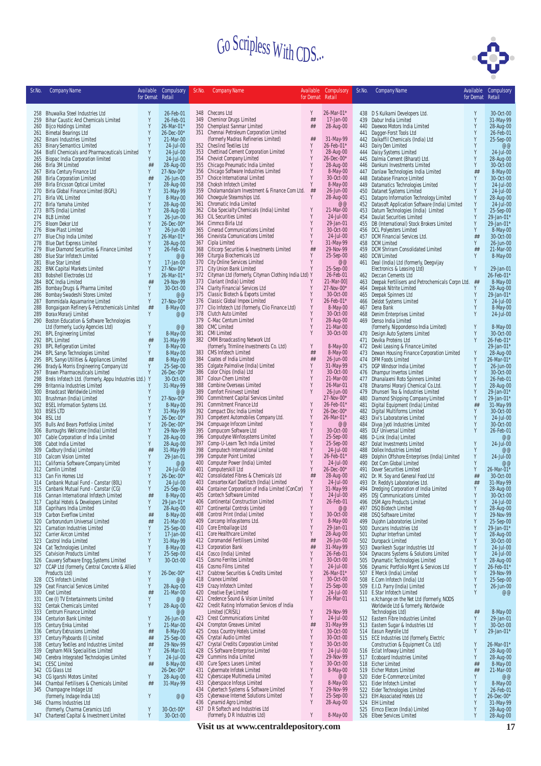

| Sr.No.     | <b>Company Name</b>                                                                 | Available<br>for Demat Retail | Compulsory                   | Sr.No. | <b>Company Name</b>                                                                                 | Available<br>for Demat Retail | Compulsory               | Sr.No.     | <b>Company Name</b>                                                            | for Demat Retail | Available Compulsory    |
|------------|-------------------------------------------------------------------------------------|-------------------------------|------------------------------|--------|-----------------------------------------------------------------------------------------------------|-------------------------------|--------------------------|------------|--------------------------------------------------------------------------------|------------------|-------------------------|
|            |                                                                                     |                               |                              |        |                                                                                                     |                               |                          |            |                                                                                |                  |                         |
|            | 258 Bhuwalka Steel Industries Ltd                                                   | Y                             | 26-Feb-01                    |        | 348 Checons Ltd                                                                                     | Y                             | 26-Mar-01*               |            | 438 D S Kulkarni Developers Ltd.                                               | Y                | 30-Oct-00               |
| 259<br>260 | Bihar Caustic And Chemicals Limited<br><b>Bijco Holdings Limited</b>                | Y<br>Y                        | 26-Feb-01<br>26-Mar-01*      |        | 349 Cheminor Drugs Limited<br>350 Chemplast Sanmar Limited                                          | ##<br>##                      | 17-Jan-00<br>28-Aug-00   | 440        | 439 Dabur India Limited<br>Daewoo Motors India Limited                         | Y<br>Υ           | 31-May-99<br>28-Aug-00  |
| 261        | <b>Bimetal Bearings Ltd</b>                                                         | Y                             | $26 - Dec -00*$              |        | 351 Chennai Petroleum Corporation Limited                                                           |                               |                          |            | 441 Dagger-Forst Tools Ltd                                                     | Y                | 26-Feb-01               |
|            | 262 Binani Industries Limited                                                       | Y<br>Y                        | 21-Mar-00                    |        | (formerly Madras Refineries Limited)<br>352 Cheslind Textiles Ltd                                   | ##<br>Y                       | 31-May-99<br>26-Feb-01*  |            | 442 Daikaffil Chemicals (India) Ltd                                            | Y                | 25-Sep-00               |
| 263<br>264 | <b>Binary Semantics Limited</b><br>Biofil Chemicals and Pharmaceuticals Limited     | Y                             | 24-Jul-00<br>24-Jul-00       |        | 353 Chettinad Cement Corporation Limited                                                            | Y                             | 28-Aug-00                |            | 443 Dairy Den Limited<br>444 Daisy Systems Limited                             | Y                | @@<br>24-Jul-00         |
| 265        | <b>Biopac India Corporation limited</b>                                             | Y                             | 24-Jul-00                    |        | 354 Cheviot Company Limited                                                                         | Y                             | 26-Dec-00*               |            | 445 Dalmia Cement (Bharat) Ltd.                                                | Y                | 28-Aug-00               |
| 266<br>267 | Birla 3M Limited<br>Birla Century Finance Ltd                                       | ##<br>Y                       | 28-Aug-00<br>27-Nov-00*      |        | 355 Chicago Pneumatic India Limited<br>356 Chicago Software Industries Limited                      | Y<br>Y                        | 28-Aug-00<br>8-May-00    |            | 446 Dankuni Investments Limited<br>447 Danlaw Technologies India Limited       | Y<br>##          | 30-Oct-00<br>8-May-00   |
| 268        | <b>Birla Corporation Limited</b>                                                    | ##                            | 26-Jun-00                    |        | 357 Choice International Limited                                                                    | Y                             | 30-Oct-00                | 448        | Database Finance Limited                                                       | Y                | 30-Oct-00               |
| 269<br>270 | <b>Birla Ericsson Optical Limited</b>                                               | Y<br>Y                        | 28-Aug-00<br>31-May-99       |        | 358 Choksh Infotech Limited<br>359 Cholamandalam Investment & Finance Com Ltd.                      | Y<br>##                       | 8-May-00<br>26-Jun-00    |            | 449 Datamatics Technologies Limited                                            | Y<br>Y           | 24-Jul-00<br>24-Jul-00  |
| 271        | Birla Global Finance Limited (BGFL)<br>Birla VXL Limited                            | Y                             | 8-May-00                     |        | 360 Chowqule Steamships Ltd.                                                                        | Y                             | 28-Aug-00                |            | 450 Datanet Systems Limited<br>451 Datapro Information Technology Limited      | Υ                | 28-Aug-00               |
|            | 272 Birla Yamaha Limited                                                            | Y                             | 28-Aug-00                    |        | 361 Chromatic India Limited                                                                         | Y                             | @@                       | 452        | Datasoft Application Software (India) Limited                                  | Y                | $24 - Ju - 00$          |
|            | 273 BITS (India) Limited<br>274 BLB Limited                                         | Y<br>Y                        | 28-Aug-00<br>26-Jun-00       |        | 362 Ciba Specialty Chemicals (India) Limited<br>363 CIL Securities Limited                          | Y                             | 21-Mar-00<br>24-Jul-00   | 453        | Datum Technologies (India) Limited<br>454 Daulat Securities Limited            | Y<br>Y           | 25-Sep-00<br>29-Jan-01  |
|            | 275 Bloom Dekor Ltd                                                                 | Y                             | 26-Dec-00*                   |        | 364 Cimmco Birla Ltd                                                                                | Y                             | 29-Jan-01                |            | 455 DB (International) Stock Brokers Limited                                   | Y                | 29-Jan-01               |
|            | 276 Blow Plast Limited<br>277 Blue Chip India Limited                               | Y<br>Y                        | 26-Jun-00<br>26-Mar-01*      |        | 365 Cinerad Communications Limited<br>366 Cinevista Comunications Limited                           | Y<br>Y                        | 30-Oct-00<br>24-Jul-00   |            | 456 DCL Polyesters Limited<br>457 DCM Financial Services Ltd.                  | Y<br>##          | 8-May-00<br>30-Oct-00   |
|            | 278 Blue Dart Express Limited                                                       | Y                             | 28-Aug-00                    |        | 367 Cipla Limited                                                                                   | Y                             | 31-May-99                |            | 458 DCM Limited                                                                | Y                | 26-Jun-00               |
| 279<br>280 | Blue Diamond Securities & Finance Limited<br><b>Blue Star Infotech Limited</b>      | Y<br>Y                        | 26-Feb-01<br>@@              |        | 368 Citicorp Securities & Investments Limited<br>369 Citurgia Biochemicals Ltd                      | ##<br>Y                       | 29-Nov-99<br>25-Sep-00   |            | 459 DCM Shriram Consolidated Limited<br>460 DCW Limited                        | ##<br>Y          | 21-Mar-00<br>8-May-00   |
| 281        | <b>Blue Star Limited</b>                                                            | Y                             | 17-Jan-00                    |        | 370 City Online Services Limited                                                                    | Y                             | @@                       |            | 461 Deal (India) Ltd (formerly, Deegvijay                                      |                  |                         |
| 282        | <b>BNK Capital Markets Limited</b>                                                  | Y                             | 27-Nov-00*                   |        | 371 City Union Bank Limited                                                                         | Y                             | 25-Sep-00                |            | Electronics & Leasing Ltd)                                                     | Y                | 29-Jan-01               |
| 283<br>284 | <b>Bobshell Electrodes Ltd</b><br><b>BOC</b> India Limited                          | Y<br>##                       | 26-Mar-01*<br>29-Nov-99      |        | 372 Cityman Ltd (formerly, Cityman Clothing India Ltd) Y<br>373 Clariant (India) Limited            |                               | 26-Feb-01<br>21-Mar-00]  | 463        | 462 Deccan Cements Ltd<br>Deepak Fertilisers and Petrochemicals Corpn Ltd. ##  |                  | 26-Feb-01*<br>8-May-00  |
| 285        | Bombay Drugs & Pharma Limited                                                       | Y                             | 30-Oct-00                    |        | 374 Clarity Financial Services Ltd                                                                  | Y                             | 27-Nov-00*               |            | 464 Deepak Nitrite Limited                                                     | Y                | 28-Aug-00               |
| 286<br>287 | Bombay Swadeshi Stores Limited<br>Bommidala Aquamarine Limited                      | Y<br>Y                        | @@<br>27-Nov-00*             |        | 375 Classic Biotech & Exports Limited<br>376 Classic Global Impex Limited                           | Y<br>Y                        | 30-Oct-00<br>26-Feb-01*  |            | 465 Deepak Spinners Ltd<br>466 Deldot Systems Limited                          | Y<br>Y           | 29-Jan-01*<br>24-Jul-00 |
| 288        | Bongaigaon Refinery & Petrochemicals Limited                                        | ##                            | 8-May-00                     |        | 377 Clio Infotech Ltd (formerly, Clio Finance Ltd)                                                  | Y                             | 8-May-00                 |            | 467 Dena Bank                                                                  | Y                | 8-May-00                |
| 289        | Borax Morarji Limited                                                               | Y                             | @@                           |        | 378 Clutch Auto Limited                                                                             | Y<br>Y                        | 30-Oct-00                |            | 468 Denim Enterprises Limited                                                  | Y                | 24-Jul-00               |
| 290        | Boston Education & Software Technologies<br>Ltd (formerly, Lucky Agencies Ltd)      | Y                             | @@                           |        | 379 C-Mac Centum Limited<br>380 CMC Limited                                                         | Y                             | 28-Aug-00<br>21-Mar-00   |            | 469 Denso India Limited<br>(formerly, Nippondenso India Limited)               | Y                | 8-May-00                |
| 291        | <b>BPL Engineering Limited</b>                                                      | Y                             | 8-May-00                     |        | 381 CMI Limited                                                                                     | Y                             | 30-Oct-00                | 470        | Design Auto Systems Limited                                                    | Y                | 30-Oct-00               |
|            | 292 BPL Limited<br>293 BPL Refigeration Limited                                     | $\# \#$<br>Y                  | 31-May-99<br>8-May-00        |        | 382 CMM Broadcasting Network Ltd<br>(formerly, Trimline Investments Co. Ltd)                        | Y                             | 8-May-00                 |            | 471 Devika Proteins Ltd<br>472 Devki Leasing & Finance Limited                 | Y                | 26-Feb-01<br>29-Jan-01  |
| 294        | BPL Sanyo Technologies Limited                                                      | Y                             | 8-May-00                     |        | 383 CMS Infotech Limited                                                                            | ##                            | 8-May-00                 |            | 473 Dewan Housing Finance Corporation Limited                                  | Y                | 28-Aug-00               |
| 295<br>296 | BPL Sanyo Utilities & Appliances Limited<br>Brady & Morris Engineering Company Ltd  | ##<br>Y                       | 8-May-00<br>25-Sep-00        |        | 384 Coates of India Limited<br>385 Colgate Palmolive (India) Limited                                | ##<br>Y                       | 26-Jun-00<br>31-May-99   |            | 474 DFM Foods Limited<br>475 DGP Windsor India Limited                         | Y<br>Y           | 26-Mar-01<br>26-Jun-00  |
| 297        | Brawn Pharmaceuticals Limited                                                       | Y                             | 26-Dec-00*                   |        | 386 Color Chips (India) Ltd                                                                         | Y                             | 30-Oct-00                |            | 476 Dhampur Invertos Limited                                                   | Y                | 30-Oct-00               |
| 298        | Brels Infotech Ltd. (formerly, Appu Industries Ltd.) Y                              |                               | 30-Oct-00                    |        | 387 Colour-Chem Limited<br>388 Combine Overseas Limited                                             | Y                             | 21-Mar-00<br>26-Mar-01   |            | 477 Dhanalaxmi Roto Spinners Limited                                           | Y<br>Υ           | 26-Feb-01               |
| 299<br>300 | Britannia Industries Limited<br>Broadcast Worldwide Limited                         | Y                             | 31-May-99<br>@@              | 389    | <b>Comfort Fininvest Limited</b>                                                                    | Y                             | 26-Jun-00                | 478<br>479 | Dharamsi Morarji Chemical Co.Ltd.<br>Dhunseri Tea & Industries Limited         | Y                | 28-Aug-00<br>29-Jan-01  |
| 301        | Brushman (India) Limited                                                            | Y                             | 27-Nov-00*                   |        | 390 Commitment Capital Services Limited                                                             | Y                             | 27-Nov-00*               | 480        | Diamond Shipping Company Limited                                               | Y                | 29-Jan-01               |
| 302<br>303 | <b>BSEL Information Systems Ltd.</b><br><b>BSES LTD</b>                             | Y                             | 8-May-00<br>31-May-99        |        | 391 Commitment Finance Ltd<br>392 Compact Disc India Limited                                        | Y                             | 26-Feb-01*<br>26-Dec-00* | 481        | Digital Equipment (India) Limited<br>482 Digital Multiforms Limited            | $\# \#$<br>Y     | 31-May-99<br>30-Oct-00  |
| 304        | <b>BSL Ltd</b>                                                                      | Y                             | 26-Dec-00*                   | 393    | Competent Automobiles Company Ltd.                                                                  | Y                             | 26-Mar-01*               |            | 483 Divi's Laboratories Limited                                                | Y                | 24-Jul-00               |
| 305<br>306 | <b>Bulls And Bears Portfolios Limited</b><br>Burroughs Wellcome (India) Limited     | Y<br>Y                        | $26 - Dec -00*$<br>29-Nov-99 |        | 394 Compuage Infocom Limited<br>395 Compucom Software Ltd                                           | Y<br>Y                        | @@<br>30-Oct-00          | 484        | Divya Jyoti Industries Limited<br>485 DLF Universal Limited                    | Y<br>Y           | 30-Oct-00<br>26-Feb-01  |
| 307        | Cable Corporation of India Limited                                                  | Y                             | 28-Aug-00                    |        | 396 Compudyne Winfosystems Limited                                                                  | Y                             | 25-Sep-00                |            | 486 D-Link (India) Limited                                                     |                  | @@                      |
| 308<br>309 | Cabot India Limited<br>Cadbury (India) Limited                                      | Y<br>##                       | 28-Aug-00<br>31-May-99       |        | 397 Comp-U-Learn Tech India Limited<br>398 Computech International Limited                          | Y<br>Y                        | 25-Sep-00<br>24-Jul-00   |            | 487 Dolat Investments Limited<br>488 Dollex Industries Limited                 | Y<br>Y           | 24-Jul-00<br>@@         |
| 310        | Calcom Vision Limited                                                               | Y                             | 29-Jan-01                    | 399    | <b>Computer Point Limited</b>                                                                       | Y                             | 26-Feb-01*               | 489        | Dolphin Offshore Enterprises (India) Limited                                   | Υ                | 24-Jul-00               |
|            | 311 California Software Company Limited<br>312 Camlin Limited                       | Y<br>Y                        | @@<br>24-Jul-00              |        | 400 Computer Power (India) Limited<br>401 Computerskill Ltd                                         | Y<br>Y                        | 24-Jul-00<br>26-Dec-00*  |            | 490 Dot Com Global Limited<br>491 Dover Securities Limited                     | Y<br>Y           | @@<br>26-Mar-01*        |
| 313        | Can Fin Homes Ltd                                                                   | Y                             | 26-Dec-00*                   |        | 402 Consolidated Fibres & Chemicals Ltd                                                             | ##                            | 28-Aug-00                |            | 492 Dr. M. Soy and General Food Ltd                                            | ##               | 30-Oct-00               |
| 314        | Canbank Mutual Fund - Canstar (80L)                                                 | Y<br>Y                        | 24-Jul-00<br>25-Sep-00       |        | 403 Consortex Karl Doelitzch (India) Limited<br>404 Container Corporation of India Limited (ConCor) | Y<br>Y                        | 24-Jul-00<br>31-May-99   |            | 493 Dr. Reddy's Laboratories Ltd.                                              | ##<br>Y          | 31-May-99               |
|            | 315 Canbank Mutual Fund - Canstar (CG)<br>316 Cannan International Infotech Limited | ##                            | 8-May-00                     |        | 405 Contech Software Limited                                                                        | Y                             | $24$ -Jul-00             |            | 494 Dredging Corporation of India Limited<br>495 DSJ Communications Limited    |                  | 28-Aug-00<br>30-Oct-00  |
| 317        | Capital Hotels & Developers Limited                                                 | Y                             | 29-Jan-01*                   |        | 406 Continental Construction Limited                                                                | Y                             | 26-Feb-01                |            | 496 DSM Agro Products Limited                                                  | Y                | 24-Jul-00               |
| 318<br>319 | Caprihans India Limited<br>Carbon Everflow Limited                                  | Y<br>##                       | 28-Aug-00<br>8-May-00        | 408    | 407 Continental Controls Limited<br>Control Print (India) Limited                                   | Y<br>Y                        | @@<br>30-Oct-00          | 497        | DSQ Biotech Limited<br>498 DSQ Software Limited                                | Y<br>Y           | 28-Aug-00<br>29-Nov-99  |
| 320        | Carborundum Universal Limited                                                       | ##                            | 21-Mar-00                    | 409    | Corcomp Infosystems Ltd.                                                                            | Y                             | 8-May-00                 |            | 499 Dujohn Laboratories Limited                                                | Y                | 25-Sep-00               |
| 321<br>322 | Carnation Industries Limited<br>Carrier Aircon Limited                              | Y<br>Y                        | 25-Sep-00<br>17-Jan-00       |        | 410 Core Emballage Ltd<br>411 Core Healthcare Limited                                               | Y<br>Y                        | 29-Jan-01<br>28-Aug-00   | 500        | Duncans Industries Ltd<br>501 Duphar Interfran Limited                         | Y<br>Y           | 29-Jan-01*<br>28-Aug-00 |
| 323        | Castrol India Limited                                                               | Y                             | 31-May-99                    |        | 412 Coromandel Fertilisers Limited                                                                  | ##                            | 26-Jun-00                |            | 502 Duropack Limited                                                           | Y                | 30-Oct-00               |
| 325        | 324 Cat Technologies Limited<br><b>Catvision Products Limited</b>                   | Y<br>Y                        | 8-May-00<br>25-Sep-00        |        | 413 Corporation Bank<br>414 Cosco (India) Limited                                                   | ##<br>Y                       | 31-May-99<br>26-Feb-01   |            | 503 Dwarikesh Sugar Industries Ltd<br>504 Dynacons Systems & Solutions Limited | Y<br>Y           | 24-Jul-00<br>24-Jul-00  |
| 326        | Cauvery Software Engg. Systems Limited                                              | Υ                             | 30-Oct-00                    |        | 415 Cosmo Ferrites Limited                                                                          | Y                             | 30-Oct-00                | 505        | Dynamatic Technologies Limited                                                 | Y                | 28-Aug-00               |
|            | 327 CCAP Ltd (formerly, Central Concrete & Allied                                   | Y                             |                              |        | 416 Cosmo Films Limited<br>417 Crabtree Securities & Credits Limited                                | Y<br>Y                        | 24-Jul-00<br>26-Mar-01*  | 506        | Dynamic Portfolio Mgmt & Services Ltd                                          | Y<br>Y           | 26-Feb-01*              |
| 328        | Products Ltd)<br><b>CCS Infotech Limited</b>                                        | Y                             | 26-Dec-00*<br>@@             |        | 418 Cranex Limited                                                                                  | Y                             | 30-Oct-00                |            | 507 E Merck (India) Limited<br>508 E.Com Infotech (India) Ltd                  | Y                | 29-Nov-99<br>25-Sep-00  |
|            | 329 Ceat Financial Services Limited                                                 | Y                             | 28-Aug-00                    |        | 419 Crazy Infotech Limited                                                                          | Y                             | 25-Sep-00                |            | 509 E.I.D. Parry (India) Limited                                               | Y                | 26-Jun-00               |
|            | 330 Ceat Limited<br>331 Cee (I) TV Entertainments Limited                           | ##<br>Y                       | 21-Mar-00<br>@@              |        | 420 Creative Eye Limited<br>421 Credence Sound & Vision Limited                                     | Y<br>Y                        | 24-Jul-00<br>26-Mar-01   |            | 510 E.Star Infotech Limited<br>511 e.Xchange on the Net Ltd (formerly, NODS    | Y                | @@                      |
|            | 332 Centak Chemicals Limited                                                        | Y                             | 28-Aug-00                    |        | 422 Credit Rating Information Services of India                                                     |                               |                          |            | Worldwide Ltd & formerly, Worldwide                                            |                  |                         |
| 333<br>334 | Centrum Finance Limited<br><b>Centurion Bank Limited</b>                            | Y                             | @@<br>26-Jun-00              |        | Limited (CRISIL)<br>423 Crest Communications Limited                                                | Y<br>Y                        | 29-Nov-99<br>24-Jul-00   |            | Technologies Ltd)<br>512 Eastern Fibre Industries Limited                      | ##<br>Y          | 8-May-00<br>29-Jan-01   |
|            | 335 Century Enka Limited                                                            | Y                             | 21-Mar-00                    |        | 424 Crompton Greaves Limited                                                                        | ##                            | 31-May-99                |            | 513 Eastern Sugar & Industries Ltd                                             | Y                | 30-Oct-00               |
| 337        | 336 Century Extrusions Limited<br>Century Plyboards (I) Limited                     | $\# \#$<br>$\# \#$            | 8-May-00<br>25-Sep-00        |        | 425 Cross Country Hotels Limited<br>426 Crystal Audio Limited                                       | Y<br>Y                        | 30-Oct-00<br>30-Oct-00   |            | 514 Easun Reyrolle Ltd<br>515 ECE Industries Ltd (formerly, Electric           | Y                | 29-Jan-01*              |
| 338        | Century Textiles and Industries Limited                                             | $\# \#$                       | 29-Nov-99                    |        | 427 Crystal Credits Corporation Limited                                                             | Y                             | 30-Oct-00                |            | Construction & Equipment Co. Ltd)                                              | Y                | 26-Mar-01*              |
| 339        | Cepham Milk Specialities Limited                                                    | Y                             | 26-Mar-01                    |        | 428 CS Software Enterprise Limited                                                                  | Y<br>Y                        | 24-Jul-00                |            | 516 Eclat Infoway Limited                                                      | Y                | 28-Aug-00               |
| 340        | Cerebra Integrated Technologies Limited<br>341 CESC Limited                         | Υ<br>$\# \#$                  | 24-Jul-00<br>8-May-00        |        | 429 Cummins India Limited<br>430 Cure Specs Lasers Limited                                          | Y                             | 29-Nov-99<br>30-Oct-00   |            | 517 Ecoboard Industries Limited<br>518 Eicher Limited                          | Y<br>##          | 28-Aug-00<br>8-May-00   |
|            | 342 CG Glass Ltd                                                                    |                               | 26-Dec-00*                   |        | 431 Cybermate Infotek Limited                                                                       | Y                             | 8-May-00                 |            | 519 Eicher Motors Limited                                                      | ##               | 21-Mar-00               |
| 343<br>344 | CG Igarshi Motors Limited<br>Chambal Fertilisers & Chemicals Limited                | Y<br>$\# \#$                  | 28-Aug-00<br>31-May-99       |        | 432 Cyberscape Multimedia Limited<br>433 Cyberspace Infosys Limited                                 | Y<br>Y                        | @@<br>8-May-00           |            | 520 Eider E-Commerce Limited<br>521 Eider Infotech Limited                     | Y<br>Y           | @@<br>8-May-00          |
| 345        | Champagne Indage Ltd                                                                |                               |                              |        | 434 Cybertech Systems & Software Limited                                                            | Y                             | 29-Nov-99                | 522        | Eider Technologies Limited                                                     | Y                | 26-Feb-01               |
|            | (formerly, Indage India Ltd)<br>346 Charms Industries Ltd                           | Y                             | @@                           | 436    | 435 Cyberwave Internet Solutions Limited<br>Cynamid Agro Limited                                    | Y<br>Y                        | 25-Sep-00<br>28-Aug-00   |            | 523 EIH Associated Hotels Ltd<br>524 EIH Limited                               | Y<br>Y           | 26-Dec-00*<br>31-May-99 |
|            | (formerly, Charma Ceramics Ltd)                                                     | Y                             | 30-Oct-00*                   |        | 437 D R Softech and Industries Ltd                                                                  |                               |                          |            | 525 Eimco Elecon (India) Limited                                               | Y                | 28-Aug-00               |
|            | 347 Chartered Capital & Investment Limited                                          | Υ                             | 30-Oct-00                    |        | (formerly, D R Industries Ltd)                                                                      | Y                             | 8-May-00                 |            | 526 Elbee Services Limited                                                     | Y                | 28-Aug-00               |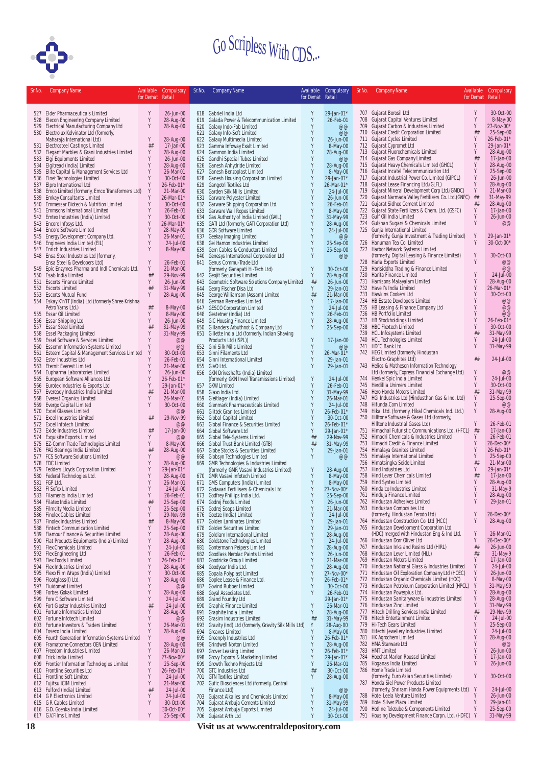

| Sr.No.     | <b>Company Name</b>                                                                  |                  | Available Compulsory    | Sr.No.     | <b>Company Name</b>                                                                    |                  | Available Compulsory     | Sr.No. | <b>Company Name</b>                                                                                   | Available        | Compulsory              |
|------------|--------------------------------------------------------------------------------------|------------------|-------------------------|------------|----------------------------------------------------------------------------------------|------------------|--------------------------|--------|-------------------------------------------------------------------------------------------------------|------------------|-------------------------|
|            |                                                                                      | for Demat Retail |                         |            |                                                                                        | for Demat Retail |                          |        |                                                                                                       | for Demat Retail |                         |
|            | 527 Elder Pharmaceuticals Limited                                                    | Y                | 26-Jun-00               |            | 618 Gabriel India Ltd                                                                  | Y                | 29-Jan-01*               |        | 707 Gujarat Borosil Ltd                                                                               | Y                | 30-Oct-00               |
| 528        | Elecon Engineering Company Limited                                                   | Y                | 28-Aug-00               |            | 619 Galada Power & Telecommunication Limited                                           | Y                | 26-Feb-01                |        | 708 Gujarat Capital Ventures Limited                                                                  | Y                | 8-May-00                |
|            | 529 Electrical Manufacturing Company Ltd<br>530 Electrolux Kelvinator Ltd (formerly, | Y                | 28-Aug-00               | 621        | 620 Galaxy Indo-Fab Limited<br>Galaxy Info-Soft Limited                                | Y<br>Y           | @@<br>@@                 |        | 709 Gujarat Carbon & Industries Limited<br>710 Gujarat Credit Corporation Limited                     | Y<br>##          | 27-Nov-00*<br>25-Sep-00 |
|            | Maharaja International Ltd)                                                          | Y                | 28-Aug-00               |            | 622 Galaxy Multimedia Limited                                                          | Y                | 26-Jun-00                |        | 711 Gujarat Cycles Limited                                                                            | Y                | 26-Feb-01*              |
|            | 531 Electrosteel Castings Limited                                                    | ##               | 17-Jan-00               | 623        | Gamma Infoway Exalt Limited                                                            | Y                | 8-May-00                 |        | 712 Gujarat Cypromet Ltd                                                                              | Y                | 29-Jan-01*              |
| 532        | Elegant Marbles & Grani Industries Limited<br>533 Elgi Equipments Limited            | Y<br>Y           | 28-Aug-00<br>26-Jun-00  |            | 624 Gammon India Limited<br>625 Gandhi Special Tubes Limited                           | Y<br>Y           | 28-Aug-00<br>@@          |        | 713 Gujarat Fluorochemicals Limited<br>714 Gujarat Gas Company Limited                                | Y<br>##          | 28-Aug-00<br>17-Jan-00  |
|            | 534 Elgitread (India) Limited                                                        | Y                | 28-Aug-00               |            | 626 Ganesh Anhydride Limited                                                           | Y                | 28-Aug-00                |        | 715 Gujarat Heavy Chemicals Limited (GHCL)                                                            | Y                | 28-Aug-00               |
| 535        | Elite Capital & Management Services Ltd                                              | Y<br>Y           | 26-Mar-01               |            | 627 Ganesh Benzoplast Limited                                                          | Y                | 8-May-00                 |        | 716 Gujarat Incatel Telecommunication Ltd                                                             | Y<br>Y           | 25-Sep-00               |
|            | 536 Elnet Technologies Limited<br>537 Elpro International Ltd                        | Y                | 30-Oct-00<br>26-Feb-01* |            | 628 Ganesh Housing Corporation Limited<br>629 Gangotri Textiles Ltd                    | Y<br>Y           | 29-Jan-01*<br>26-Mar-01* |        | 717 Gujarat Industrial Power Co. Limited (GIPCL)<br>718 Gujarat Lease Financing Ltd.(GLFL)            |                  | 26-Jun-00<br>28-Aug-00  |
|            | 538 Emco Limited (formerly, Emco Transformers Ltd)                                   | Y                | 21-Mar-00               | 630        | <b>Garden Silk Mills Limited</b>                                                       | Y                | 24-Jul-00                |        | 719 Gujarat Mineral Development Corp Ltd.(GMDC)                                                       | Y                | 21-Mar-00               |
| 539        | <b>Emkay Consultants Limited</b>                                                     | Y                | 26-Mar-01*              | 631        | <b>Garware Polyester Limited</b>                                                       | Y                | 26-Jun-00                |        | 720 Gujarat Narmada Valley Fertilizers Co. Ltd.(GNFC)                                                 | ##               | 31-May-99               |
| 540<br>541 | Emmessar Biotech & Nutrition Limited<br>Emmsons International Limited                | Y<br>Y           | 30-Oct-00<br>26-Feb-01  |            | 632 Garware Shipping Corporation Ltd.<br>633 Garware Wall Ropes Limited                | Y<br>Y           | 26-Feb-01<br>8-May-00    |        | 721 Gujarat Sidhee Cement Limited<br>722 Gujarat State Fertilizers & Chem. Ltd. (GSFC)                | ##<br>Y          | 28-Aug-00<br>17-Jan-00  |
| 542        | Emtex Industries (India) Limited                                                     | Y                | 30-Oct-00               |            | 634 Gas Authority of India Limited (GAIL)                                              | Y                | 31-May-99                |        | 723 Gulf Oil India Limited                                                                            | Y                | 26-Jun-00               |
| 543        | Encore Infosys Ltd.                                                                  | Y                | 26-Mar-01*              |            | 635 GATI Ltd (formerly, GATI Corporation Ltd)                                          | Y<br>Y           | 28-Aug-00                |        | 724 Gulshan Sugars & Chemicals Limited                                                                | Y                | @@                      |
| 544<br>545 | <b>Encore Software Limited</b><br>Energy Development Company Ltd.                    | Y<br>Y           | 28-May-00<br>26-Mar-01  | 637        | 636 GDR Software Limited<br>Geekay Imaging Limited                                     | Y                | 24-Jul-00<br>@@          |        | 725 Gunja International Limited<br>(formerly, Gunja Investment & Trading Limited)                     | Y                | 29-Jan-01*              |
| 546        | Engineers India Limited (EIL)                                                        | Y                | 24-Jul-00               |            | 638 Gei Hamon Industries Limited                                                       | Y                | 25-Sep-00                |        | 726 Hanuman Tea Co. Limited                                                                           | Y                | 30-Oct-00*              |
|            | 547 Enrich Industries Limited                                                        | Y                | 8-May-00                |            | 639 Gem Cables & Conductors Limited                                                    | Y                | 25-Sep-00                |        | 727 Harbor Network Systems Limited                                                                    |                  |                         |
|            | 548 Ensa Steel Industries Ltd (formerly,<br>Ensa Steel & Developers Ltd)             | Y                | 26-Feb-01               | 640        | Genesys International Corporation Ltd<br>641 Genus Commu-Trade Ltd                     | Y                | @@                       |        | (formerly, Digital Leasing & Finance Limited)<br>728 Haria Exports Limited                            | Y<br>Υ           | 30-Oct-00<br>@@         |
| 549        | Epic Enzymes Pharma and Indl Chemicals Ltd.                                          | Y                | 21-Mar-00               |            | (formerly, Ganapati Hi-Tech Ltd)                                                       | Y                | 30-Oct-00                |        | 729 Harisiddha Trading & Finance Limited                                                              |                  | @@                      |
| 550        | Esab India Limited                                                                   | ##               | 29-Nov-99               |            | 642 Geojit Securities Limited                                                          | Y                | 28-Aug-00                |        | 730 Harita Finance Limited                                                                            | Y                | $24$ -Jul-00            |
| 551        | <b>Escorts Finance Limited</b><br>552 Escorts Limited                                | Y<br>##          | 26-Jun-00<br>31-May-99  |            | 643 Geometric Software Solutions Company Limited<br>644 Georg Fischer Disa Ltd         | ##<br>Y          | 26-Jun-00<br>29-Jan-01   |        | 731 Harrisons Malayalam Limited<br>732 Havell's India Limited                                         | Y<br>Υ           | 28-Aug-00<br>26-Mar-01* |
|            | 553 Escorts Mutual Fund                                                              | Y                | 28-Aug-00               |            | 645 George Williamson (Assam) Limited                                                  | ##               | 21-Mar-00                |        | 733 Hawkins Cookers Ltd                                                                               |                  | 30-Oct-00               |
|            | 554 Eskay K'n'lT (India) Ltd (formerly Shree Krishna                                 |                  |                         |            | 646 German Remedies Limited                                                            | Y                | 17-Jan-00                |        | 734 HB Estate Developers Limited                                                                      | Y                | @@                      |
| 555        | Petro Yarns Ltd.)<br>Essar Oil Limited                                               | ##<br>Y          | 8-May-00<br>8-May-00    |            | 647 GESCO Corporation Limited<br>648 Gestetner (India) Ltd                             | Y<br>Y           | 24-Jul-00<br>26-Feb-01   |        | 735 HB Leasing & Finance Company Ltd<br>736 HB Portfolio Limited                                      | Y                | @@<br>@@                |
| 556        | Essar Shipping Ltd                                                                   | Y                | 26-Jun-00               |            | 649 GIC Housing Finance Limited                                                        | Y                | 28-Aug-00                |        | 737 HB Stockholdings Limited                                                                          | Y                | 26-Feb-01*              |
|            | 557 Essar Steel Limited                                                              | ##               | 31-May-99               |            | 650 Gillanders Arbuthnot & Company Ltd                                                 | Y                | 25-Sep-00                |        | 738 HBC Flextech Limited                                                                              | Y                | 30-Oct-00               |
|            | 558 Essel Packaging Limited<br>Essel Software & Services Limited                     | Y<br>Y           | 31-May-99<br>@@         |            | 651 Gillette India Ltd (formerly, Indian Shaving                                       | Y                |                          |        | 739 HCL Infosystems Limited<br>740 HCL Technologies Limited                                           | ##<br>Υ          | 31-May-99               |
| 559<br>560 | <b>Essemm Information Systems Limited</b>                                            | Y                | @@                      |            | Products Ltd (ISPL))<br>652 Gini Silk Mills Limited                                    | Y                | 17-Jan-00<br>@@          |        | 741 HDFC Bank Ltd.                                                                                    |                  | 24-Jul-00<br>31-May-99  |
| 561        | Esteem Capital & Management Services Limited                                         | Y                | 30-Oct-00               |            | 653 Ginni Filaments Ltd                                                                | Y                | 26-Mar-01*               |        | 742 HEG Limited (formerly, Hindustan                                                                  |                  |                         |
|            | 562 Ester Industries Ltd                                                             | Y<br>Y           | 26-Feb-01               |            | 654 Ginni International Limited                                                        | Y<br>Y           | 29-Jan-01                |        | Electro-Graphites Ltd)<br>743 Helios & Matheson Information Technology                                | ##               | 24-Jul-00               |
| 564        | 563 Eternit Everest Limited<br>Eupharma Laboratories Limited                         | Y                | 21-Mar-00<br>26-Jun-00  |            | 655 GIVO Ltd.<br>656 GKN Driveshafts (India) Limited                                   |                  | 29-Jan-01                |        | Ltd (formerly, Express Financial Exchange Ltd)                                                        | Y                | @@                      |
| 565        | European Software Alliances Ltd                                                      | Y                | 26-Feb-01*              |            | (formerly, GKN Invel Transmissions Limited)                                            | Y                | 24-Jul-00                |        | 744 Henkel Spic India Limited                                                                         | Y                | 24-Jul-00               |
| 566        | Eurotex Industries & Exports Ltd                                                     | Y<br>##          | 29-Jan-01*              |            | 657 GKW Limited                                                                        | Y<br>Y           | 26-Feb-01                |        | 745 Herdillia Unimers Limited<br>746 Hero Honda Motors Limited                                        | Υ<br>##          | 30-Oct-00<br>31-May-99  |
| 567        | Eveready Industries India Limited<br>568 Everest Organics Limited                    | Y                | 21-Mar-00<br>26-Mar-01  | 659        | 658 Glaxo India Ltd.<br>Gleitlager (India) Limited                                     | Y                | 31-May-99<br>26-Mar-01   |        | 747 HGI Industries Ltd (Hindusthan Gas & Ind. Ltd)                                                    | Y                | 25-Sep-00               |
| 569        | Evergo Capital Limited                                                               | Y                | 30-Oct-00               | 660        | Glenmark Pharmaceuticals Limited                                                       | Y                | 24-Jul-00                |        | 748 Hifunda.Com Limited                                                                               |                  | @@                      |
| 570        | <b>Excel Glasses Limited</b>                                                         |                  | @@                      | 661        | <b>Glittek Granites Limited</b>                                                        | Y<br>Y           | 26-Feb-01*               |        | 749 Hikal Ltd. (formerly, Hikal Chemicals Ind. Ltd.)<br>750 Hilltone Software & Gases Ltd (formerly,  | Y                | 28-Aug-00               |
| 571        | <b>Excel Industries Limited</b><br>572 Excel Infotech Limited                        | ##               | 29-Nov-99<br>@@         | 663        | 662 Global Capital Limited<br>Global Finance & Securities Limited                      | Y                | 30-Oct-00<br>26-Feb-01*  |        | Hilltone Industrial Gases Ltd)                                                                        | Y                | 26-Feb-01               |
|            | 573 Exide Industries Limited                                                         | ##               | $17$ -Jan-00            | 664        | Global Software Ltd                                                                    | Y                | 29-Jan-01*               |        | 751 Himachal Futuristic Communications Ltd. (HFCL)                                                    | ##               | 17-Jan-00               |
|            | 574 Exquisite Exports Limited                                                        | Y                | @@                      |            | 665 Global Tele-Systems Limited                                                        | ##               | 29-Nov-99                |        | 752 Himadri Chemicals & Industries Limited<br>753 Himadri Credit & Finance Limited                    | Y<br>Y           | 26-Feb-01<br>26-Dec-00* |
| 575        | EZ-Comm Trade Technologies Limited<br>576 FAG Bearings India Limited                 | Y<br>##          | 8-May-00<br>28-Aug-00   |            | 666 Global Trust Bank Limited (GTB)<br>667 Globe Stocks & Securities Limited           | ##<br>Y          | 31-May-99<br>29-Jan-01   |        | 754 Himalaya Granites Limited                                                                         | Y                | 26-Feb-01*              |
|            | 577 FCS Software Solutions Limited                                                   | Y                | @@                      | 668        | Globsyn Technologies Limited                                                           | Y                | @@                       |        | 755 Himalaya International Limited                                                                    | Y                | 25-Sep-00               |
| 579        | 578 FDC Limited<br>Fedders Lloyds Corporation Limited                                | Y<br>Y           | 28-Aug-00<br>29-Jan-01* |            | 669 GMR Technologies & Industries Limited<br>(formerly, GMR Vasavi Industries Limited) | Y                |                          |        | 756 Himatsingka Seide Limited<br>757 Hind Industries Ltd                                              | ##<br>Y          | 21-Mar-00<br>29-Jan-01* |
| 580        | Federal Technologies Ltd.                                                            | Y                | 28-Aug-00               |            | 670 GMR Vasavi Infotech Limited                                                        | Y                | 28-Aug-00<br>8-May-00    |        | 758 Hind Lever Chemicals Limited                                                                      | ##               | 17-Jan-00               |
| 581        | FGP Ltd.                                                                             | Y                | 26-Mar-01               |            | 671 GMS Computers (India) Limited                                                      | Y                | 8-May-00                 |        | 759 Hind Syntex Limited                                                                               | Y                | 28-Aug-00               |
| 583        | 582 FI Sofex Limited<br>Filaments India Limited                                      | Y                | 24-Jul-00<br>26-Feb-01  |            | 672 Godavari Fertilisers & Chemicals Ltd<br>Godfrey Phillips India Ltd.                | Y                | 27-Nov-00*<br>25-Sep-00  |        | 760 Hindalco Industries Limited<br>761 Hinduja Finance Limited                                        |                  | 31-May-9<br>28-Aug-00   |
| 584        | Filatex India Limited                                                                | ##               | 25-Sep-00               | 673        | 674 Godrej Foods Limited                                                               | Y                | 26-Jun-00                |        | 762 Hindustan Adhesives Limited                                                                       | Υ                | 29-Jan-01               |
|            | 585 Filmcity Media Limited                                                           | Y                | 25-Sep-00               |            | 675 Godrej Soaps Limited                                                               | Y                | 21-Mar-00                |        | 763 Hindustan Composites Ltd                                                                          |                  |                         |
| 587        | 586 Finolex Cables Limited<br><b>Finolex Industries Limited</b>                      | Y<br>##          | 29-Nov-99<br>8-May-00   |            | 676 Goetze (India) Limited<br>677 Golden Laminates Limited                             | Y<br>Y           | 24-Jul-00<br>29-Jan-01   |        | (formerly, Hindustan Ferodo Ltd)<br>764 Hindustan Construction Co. Ltd (HCC)                          | Y<br>Υ           | 26-Dec-00*<br>28-Aug-00 |
| 588        | <b>Fintech Communication Limited</b>                                                 | Y                | 25-Sep-00               | 678        | <b>Golden Securities Limited</b>                                                       | Y                | 29-Jan-01                |        | 765 Hindustan Development Corporation Ltd.                                                            |                  |                         |
| 589        | Flamour Finance & Securities Limited                                                 | Y                | 28-Aug-00               |            | 679 Goldiam International Limited                                                      | Y                | 28-Aug-00                |        | (HDC) merged with Hindustan Eng & Ind Ltd.                                                            | Y                | 26-Mar-01               |
|            | 590 Flat Products Equipments (India) Limited<br>591 Flex Chemicals Limited           | Y<br>Y           | 28-Aug-00<br>24-Jul-00  | 681        | 680 Goldstone Technologies Limited<br>Gontermann Peipers Limited                       | Y<br>Y           | 24-Jul-00<br>28-Aug-00   |        | 766 Hindustan Dorr Oliver Ltd<br>767 Hindustan Inks and Resins Ltd (HIRL)                             | Υ<br>##          | 26-Dec-00*<br>26-Jun-00 |
|            | 592 Flex Engineering Ltd                                                             | Y                | 26-Feb-01               |            | 682 Goodlass Nerolac Paints Limited                                                    |                  | 26-Jun-00                |        | 768 Hindustan Lever Limited (HLL)                                                                     | ##               | 31-May-9                |
|            | 593 Flex Foods Limited                                                               | Y                | 26-Feb-01*              |            | 683 Goodricke Group Limited                                                            |                  | 21-Mar-00                |        | 769 Hindustan Motors Limited                                                                          | Y                | 17-Jan-00               |
|            | 594 Flex Industries Limited<br>595 Flexo Film Wraps (India) Limited                  | Y<br>Y           | 28-Aug-00<br>30-Oct-00  |            | 684 Goodyear India Ltd.<br>685 Gopala Polyplast Limited                                | Y<br>Y           | 28-Aug-00<br>27-Nov-00*  |        | 770 Hindustan National Glass & Industries Limited<br>771 Hindustan Oil Exploration Company Ltd (HOEC) | Y<br>Y           | 24-Jul-00<br>26-Jun-00  |
|            | 596 Floatglass(I) Ltd.                                                               | Y                | 28-Aug-00               |            | 686 Goplee Lease & Finance Ltd.                                                        | Y                | 26-Feb-01*               |        | 772 Hindustan Organic Chemicals Limited (HOC)                                                         | Y                | 8-May-00                |
|            | 597 Fluidomat Limited                                                                | Y                | @@                      |            | 687 Govind Rubber Limited                                                              | Y                | 30-Oct-00                |        | 773 Hindustan Petroleum Corporation Limited (HPCL)                                                    | Y                | 31-May-99               |
| 599        | 598 Forbes Gokak Limited<br>Fore C Software Limited                                  | Y<br>Y           | 28-Aug-00<br>24-Jul-00  | 689        | 688 Goyal Associates Ltd.<br><b>Grand Foundry Ltd</b>                                  | Y                | 26-Feb-01<br>29-Jan-01*  |        | 774 Hindustan Powerplus Ltd.<br>775 Hindustan Sanitaryware & Industries Limited                       | Y                | 28-Aug-00<br>28-Aug-00  |
| 600        | Fort Gloster Industries Limited                                                      | ##               | 24-Jul-00               |            | 690 Graphic Finance Limited                                                            | Y                | 26-Mar-01                |        | 776 Hindustan Zinc Limited                                                                            | Υ                | 31-May-99               |
| 601        | Fortune Informatics Limited                                                          | Y                | 28-Aug-00               | 691        | Graphite India Limited                                                                 | Y                | 28-Aug-00                |        | 777 Hitech Drilling Services India Limited                                                            | ##               | 29-Nov-99               |
|            | 602 Fortune Infotech Limited<br>603 Fortune Investors & Traders Limited              | Y<br>Y           | @@<br>26-Mar-01         | 692<br>693 | Grasim Industries Limited                                                              | ##<br>Y          | 31-May-99<br>28-Aug-00   |        | 778 Hitech Entertainment Limited<br>779 Hi-Tech Gears Limited                                         | Y                | 24-Jul-00<br>25-Sep-00  |
|            | 604 Foseco India Limited                                                             | Y                | 28-Aug-00               | 694        | Gravity (Ind) Ltd (formerly, Gravity Silk Mills Ltd)<br><b>Greaves Limited</b>         |                  | 8-May-00                 |        | 780 Hitechi Jewellery Industries Limited                                                              |                  | 24-Jul-00               |
|            | 605 Fourth Generation Information Systems Limited                                    | Y                | @@                      |            | 695 Greenply Industries Ltd                                                            | Y                | 26-Feb-01*               | 781    | HK Agrochem Limited                                                                                   |                  | 28-Aug-00               |
|            | 606 Framatome Connectors OEN Limited<br>607 Freedom Industries Limited               | Y<br>Y           | 28-Aug-00               |            | 696 Grindwell Norton Limited                                                           | Y<br>Y           | 28-Aug-00<br>26-Feb-01*  |        | 782 HMA Starware Ltd<br>783 HMT Limited                                                               | Y                | @@<br>26-Jun-00         |
| 608        | Frick India Limited                                                                  | Y                | 26-Mar-01<br>27-Nov-00* | 697        | <b>Grover Leasing Limited</b><br>698 Grovy Exports & Marketing Limited                 | Y                | 29-Jan-01*               |        | 784 Hoechst Marion Roussel Limited                                                                    | Y                | 17-Jan-00               |
| 609        | Frontier Information Technologies Limited                                            | Y                | 25-Sep-00               |            | 699 Growth Techno Projects Ltd                                                         | Y                | 26-Mar-01                |        | 785 Hoganas India Limited                                                                             | Υ                | 26-Jun-00               |
|            | 610 Frontline Securities Ltd                                                         | Y<br>Y           | 26-Feb-01*              |            | 700 GTC Industries Ltd                                                                 | ##<br>Y          | 30-Oct-00                |        | 786 Home Trade Limited                                                                                | Y                | 30-Oct-00               |
|            | 611 Frontline Soft Limited<br>612 Fujitsu ICIM Limited                               | Y                | 24-Jul-00<br>21-Mar-00  |            | 701 GTN Textiles Limited<br>702 Gufic Biosciences Ltd (formerly, Central               |                  | 28-Aug-00                |        | (formerly, Euro Asian Securities Limited)<br>787 Honda Siel Power Products Limited                    |                  |                         |
|            | 613 Fulford (India) Limited                                                          | ##               | 24-Jul-00               |            | Finance Ltd)                                                                           | Y                | @@                       |        | (formerly, Shriram Honda Power Equipments Ltd)                                                        | Y                | 24-Jul-00               |
|            | 614 G P Electronics Limited                                                          | Y<br>Y           | 24-Jul-00               |            | 703 Gujarat Alkalies and Chemicals Limited                                             | Y<br>Y           | 8-May-00                 |        | 788 Hotel Leela Venture Limited                                                                       | Y                | 26-Jun-00<br>29-Jan-01  |
|            | 615 G R Cables Limited<br>616 G.D. Goenka India Limited                              |                  | 30-Oct-00<br>30-Oct-00* |            | 704 Gujarat Ambuja Cements Limited<br>705 Gujarat Ambuja Exports Limited               | Y                | 31-May-99<br>24-Jul-00   | 790    | 789 Hotel Silver Plaza Limited<br>Hotline Teletube & Components Limited                               | Y                | 25-Sep-00               |
| 617        | G.V.Films Limited                                                                    | Y                | 25-Sep-00               |            | 706 Gujarat Arth Ltd                                                                   | Y                | 30-Oct-00                |        | 791 Housing Development Finance Corpn. Ltd. (HDFC)                                                    | Y                | 31-May-99               |
| 18         |                                                                                      |                  |                         |            | Visit us at www.centraldepository.com                                                  |                  |                          |        |                                                                                                       |                  |                         |
|            |                                                                                      |                  |                         |            |                                                                                        |                  |                          |        |                                                                                                       |                  |                         |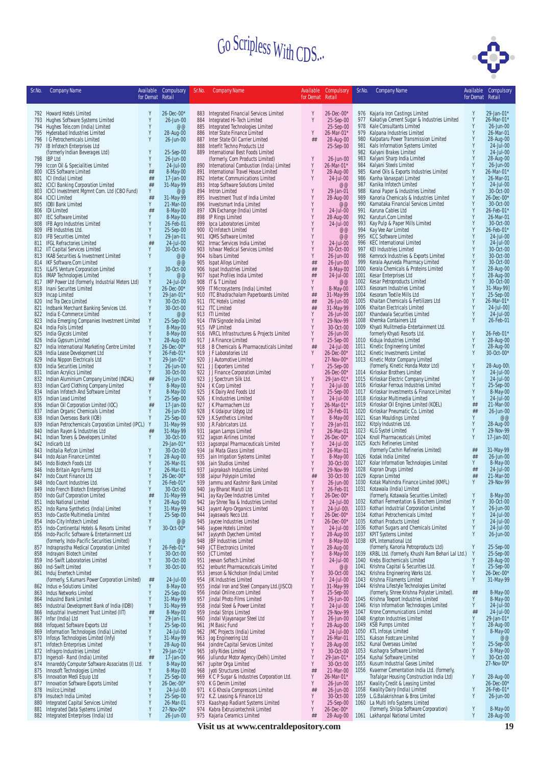

| Sr.No.     | <b>Company Name</b>                                                                     | Available<br>for Demat Retail | Compulsory                  | Sr.No.     | <b>Company Name</b>                                                           |                  | Available Compulsory        | Sr.No.       | <b>Company Name</b>                                                                        | Available<br>for Demat Retail | Compulsory                   |
|------------|-----------------------------------------------------------------------------------------|-------------------------------|-----------------------------|------------|-------------------------------------------------------------------------------|------------------|-----------------------------|--------------|--------------------------------------------------------------------------------------------|-------------------------------|------------------------------|
|            |                                                                                         |                               |                             |            |                                                                               | for Demat Retail |                             |              |                                                                                            |                               |                              |
|            | 792 Howard Hotels Limited                                                               | Y                             | 26-Dec-00*                  |            | 883 Integrated Financial Services Limited                                     | Y                | 26-Dec-00*                  |              | 976 Kajaria Iron Castings Limited                                                          | Y                             | 29-Jan-01*                   |
|            | 793 Hughes Software Systems Limited                                                     | Y<br>Y                        | 26-Jun-00<br>@@             | 885        | 884 Integrated Hi-Tech Limited                                                | Y                | 25-Sep-00                   | 977<br>978   | Kakatiya Cement Sugar & Industries Limited                                                 | Y<br>Y                        | 26-Mar-01*                   |
|            | 794 Hughes Tele.com (India) Limited<br>795 Hyderabad Industries Limited                 | Y                             | 28-Aug-00                   | 886        | Integrated Technologies Limited<br>Inter State Finance Limited                | Y                | 25-Sep-00<br>26-Mar-01*     | 979          | Kale Consultants Limited<br>Kalpana Industries Limited                                     | Y                             | 26-Jun-00<br>26-Mar-01       |
|            | 796 I G Petrochemicals Limited                                                          | Y                             | 26-Jun-00                   | 887        | Inter State Oil Carrier Limited                                               | ##               | 28-Aug-00                   | 980          | Kalpataru Power Transmission Limited                                                       | Y                             | 28-Aug-00                    |
|            | 797 IB Infotech Enterprises Ltd<br>(formerly Indian Beverages Ltd)                      | Y                             | 25-Sep-00                   | 888        | Interfit Techno Products Ltd<br>889 International Best Foods Limited          |                  | 25-Sep-00                   | 981<br>982   | Kals Information Systems Limited<br>Kalyani Brakes Limited                                 | Y                             | 24-Jul-00<br>24-Jul-00       |
|            | 798 IBP Ltd                                                                             | Υ                             | 26-Jun-00                   |            | (formerly, Corn Products Limited)                                             | Y                | 26-Jun-00                   | 983          | Kalyani Sharp India Limited                                                                | Y                             | 28-Aug-00                    |
| 799        | Iccon Oil & Specialities Limited                                                        | Y                             | 24-Jul-00                   | 890        | International Combustion (India) Limited                                      | Y<br>Y           | 26-Mar-01*                  | 984          | Kalyani Steels Limited                                                                     | Y<br>Y                        | 26-Jun-00                    |
| 800        | <b>ICES Software Limited</b><br>801 ICI (India) Limited                                 | ##<br>##                      | 8-May-00<br>$17 - Jan - 00$ |            | 891 International Travel House Limited<br>892 Intertec Communications Limited | Y                | 28-Aug-00<br>24-Jul-00      | 985<br>986   | Kanel Oils & Exports Industries Limited<br>Kanha Vanaspati Limited                         | Y                             | 26-Mar-01*<br>26-Mar-01      |
|            | 802 ICICI Banking Corporation Limited                                                   | ##                            | 31-May-99                   | 893        | Intop Software Solutions Limited                                              |                  | @@                          | 987          | Kanika Infotech Limited                                                                    | Y                             | 24-Jul-00                    |
| 804        | 803 ICICI Investment Mgmnt Com. Ltd (CBO Fund)<br><b>ICICI Limited</b>                  | Y<br>##                       | @@<br>31-May-99             |            | 894 Intron Limited<br>895 Investment Trust of India Limited                   | Y<br>Y           | 29-Jan-01<br>28-Aug-00      | 988<br>989   | Kanoi Paper & Industries Limited<br>Kanoria Chemicals & Industries Limited                 | Y<br>Y                        | 30-Oct-00<br>$26 - Dec -00*$ |
| 805        | <b>IDBI Bank Limited</b>                                                                | Y                             | 21-Mar-00                   |            | 896 Investsmart India Limited                                                 | Y                | @@                          | 990          | Karnataka Financial Services Limited                                                       | Y                             | 30-Oct-00                    |
|            | 806 IDI Limited                                                                         | ##<br>γ                       | 8-May-00                    |            | 897 ION Exchange (India) Limited                                              | Y<br>Y           | 24-Jul-00                   | 991          | Karuna Cables Ltd<br>992 Karuturi.Com Limited                                              | Y                             | 26-Feb-01*<br>26-Mar-01      |
|            | 807 IEC Software Limited<br>808 IFB Agro Industries Limited                             | Y                             | 8-May-00<br>26-Feb-01       | 899        | 898 IP Rings Limited<br>Ipca Laboratories Limited                             | Y                | 28-Aug-00<br>24-Jul-00      | 993          | Kay Pulp & Paper Mills Limited                                                             | Y                             | 30-Oct-00                    |
| 809        | IFB Industries Ltd.                                                                     | Υ                             | 25-Sep-00                   |            | 900 IQ Infotech Limited                                                       | Y                | @@                          | 994          | Kay Vee Aar Limited                                                                        | Y                             | 26-Feb-01*                   |
|            | 810 IFB Securities Limited<br>811 IFGL Refractories Limited                             | Y<br>##                       | 29-Jan-01<br>24-Jul-00      |            | 901 IQMS Software Limited<br>902 Irmac Services India Limited                 | Y<br>Y           | @@<br>24-Jul-00             | 995          | <b>KCC Software Limited</b><br>996 KEC International Limited                               | Y<br>Y                        | 24-Jul-00<br>24-Jul-00       |
|            | 812 IIT Capital Services Limited                                                        | Y                             | 30-Oct-00                   |            | 903 Ishwar Medical Services Limited                                           | Y                | 30-Oct-00                   |              | 997 KEI Industries Limited                                                                 | Y                             | 30-Oct-00                    |
|            | 813 IKAB Securities & Investment Limited<br>814 IKF Software.Com Limited                | Υ                             | @@<br>@@                    |            | 904 Isibars Limited                                                           | Y<br>##          | 26-Jun-00<br>26-Jun-00      | 998<br>999   | Kemrock Industries & Exports Limited<br>Kerala Ayurveda Pharmacy Limited                   | Y<br>Y                        | 30-Oct-00<br>30-Oct-00       |
|            | 815 IL&FS Venture Corporation Limited                                                   | Y                             | 30-Oct-00                   |            | 905 Ispat Alloys Limited<br>906 Ispat Industries Limited                      | $\# \#$          | 8-May-00                    | 1000         | Kerala Chemicals & Proteins Limited                                                        | Y                             | 28-Aug-00                    |
|            | 816 IMAP Technologies Limited                                                           | Y                             | @@                          |            | 907 Ispat Profiles India Limited                                              | ##               | 24-Jul-00                   | 1001         | Kesar Enterprises Ltd                                                                      | Y                             | 28-Aug-00                    |
|            | 817 IMP Power Ltd (formerly, Industrial Meters Ltd)<br>818 Inani Securites Limited      | Y<br>Y                        | 24-Jul-00<br>26-Dec-00*     |            | 908 IT & T Limited<br>909 IT Microsystems (India) Limited                     | Y<br>Y           | $@@$<br>8-May-00            | 1003         | 1002 Kesar Petroproducts Limited<br>Kesoram Industries Limited                             | Y<br>Y                        | 30-Oct-00<br>31-May-99]      |
|            | 819 Incap Limited                                                                       | Y                             | 29-Jan-01*                  |            | 910 ITC Bhadrachalam Paperboards Limited                                      | ##               | 31-May-99                   |              | 1004 Kesoram Textile Mills Ltd                                                             | Y                             | 25-Sep-00                    |
|            | 820 Ind Tra Deco Limited                                                                | Y<br>Y                        | 30-Oct-00<br>30-Oct-00      |            | 911 ITC Hotels Limited<br>912 ITC Limited                                     | ##<br>##         | 26-Jun-00                   |              | 1005 Khaitan Chemicals & Fertilizers Ltd<br>1006 Khaitan Electricals Limited               | Y<br>Y                        | 26-Mar-01*<br>24-Jul-00]     |
| 821        | Indbank Merchant Banking Services Ltd.<br>822 India E-Commerce Limited                  | Y                             | @@                          |            | 913 ITI Limited                                                               | Y                | 31-May-99<br>26-Jun-00      | 1007         | Khandwala Securities Limited                                                               | Y                             | 24-Jul-00                    |
|            | 823 India Emerging Companies Investment Limited                                         | Y                             | 25-Sep-00                   |            | 914 ITW Signode India Limited                                                 | Y                | 29-Nov-99                   |              | 1008 Khemka Containers Ltd                                                                 | Y                             | 26-Feb-01                    |
| 825        | 824 India Foils Limited<br>India Glycols Limited                                        | Y<br>Y                        | 8-May-00<br>8-May-00        |            | 915 IVP Limited<br>916 IVRCL Infrastructures & Projects Limited               | Y<br>Y           | 30-Oct-00<br>26-Jun-00      |              | 1009 Khyati Mulitmedia-Entertainment Ltd.<br>formerly Khyati Resorts Ltd.                  | Y                             | 26-Feb-01*                   |
|            | 826 India Gypsum Limited                                                                | Y                             | 28-Aug-00                   |            | 917 J A Finance Limited                                                       | Y                | 25-Sep-00                   |              | 1010 Kiduja Industries Limited                                                             | Y                             | 28-Aug-00                    |
|            | 827 India International Marketing Centre Limited                                        | Y<br>Y                        | 26-Dec-00*                  |            | 918 J B Chemicals & Pharmaceuticals Limited                                   | ##<br>Y          | 24-Jul-00                   |              | 1011 Kinetic Engineering Limited<br>1012 Kinetic Investments Limited                       | Y<br>Y                        | 28-Aug-00<br>30-Oct-00*      |
| 829        | 828 India Lease Development Ltd<br>India Nippon Electricals Ltd                         | Y                             | 26-Feb-01*<br>29-Jan-01*    |            | 919 JF Laboratories Ltd<br>920 JJ Automotive Limited                          |                  | 26-Dec-00*<br>27-Nov-00*    |              | 1013 Kinetic Motor Company Limited                                                         |                               |                              |
|            | 830 India Securities Limited                                                            | Y                             | 26-Jun-00                   |            | 921 JJ Exporters Limited                                                      | Y                | 25-Sep-00                   |              | (formerly, Kinetic Honda Motor Ltd)                                                        | Y                             | 28-Aug-00\                   |
| 832        | 831 Indian Acrylics Limited<br>Indian Aluminium Company Limited (INDAL)                 | Y<br>##                       | 30-Oct-00<br>26-Jun-00      |            | 922 J J Finance Corporation Limited<br>923 JJ Spectrum Silk Ltd.              | Y                | 26-Dec-00*<br>$29$ -Jan-01* |              | 1014 Kirloskar Brothers Limited<br>1015 Kirloskar Electric Company Limited                 | Y<br>Y                        | 24-Jul-00<br>24-Jul-00       |
| 833        | Indian Card Clothing Company Limited                                                    | Υ                             | 8-May-00                    |            | 924 J K Corp Limited                                                          | Y                | 24-Jul-00                   |              | 1016 Kirloskar Ferrous Industries Limited                                                  | Y                             | 25-Sep-00                    |
|            | 834 Indian Infotech And Software Limited<br>835 Indian Lead Limited                     | Y<br>Y                        | 8-May-00<br>25-Sep-00       |            | 925 J K Dairy And Foods Ltd<br>926 J K Industries Limited                     | Y<br>Y           | 25-Sep-00<br>24-Jul-00      |              | 1017 Kirloskar Investments & Finance Limited<br>1018 Kirloskar Multimedia Limited          | Y<br>Y                        | 8-May-00<br>24-Jul-00        |
|            | 836 Indian Oil Corporation Limited (IOC)                                                | ##                            | 17-Jan-00                   |            | 927 J K Pharmachem Ltd                                                        | Y                | 26-Mar-01*                  |              | 1019 Kirloskar Oil Engines Limited (KOEL)                                                  | ##                            | 21-Mar-00                    |
| 837        | Indian Organic Chemicals Limited                                                        | Y                             | 26-Jun-00                   |            | 928 J K Udaipur Udyog Ltd                                                     | Y                | 26-Feb-01                   | 1020         | Kirloskar Pneumatic Co. Limited                                                            | ##                            | 26-Jun-00                    |
| 839        | 838 Indian Overseas Bank (IOB)<br>Indian Petrochemicals Corporation Limited (IPCL)      | Y<br>Y                        | 25-Sep-00<br>31-May-99      |            | 929 J.K.Synthetics Limited<br>930 J.R.Fabricators Ltd.                        | Y<br>Y           | 8-May-00<br>29-Jan-01       | 1021         | Kisan Mouldings Limited<br>1022 Kitply Industries Ltd.                                     | Y<br>Y                        | @@<br>28-Aug-00              |
| 840        | Indian Rayon & Industries Ltd                                                           | ##                            | 31-May-99                   | 931        | Jagan Lamps Limited                                                           | Y                | 26-Mar-01                   |              | 1023 KLG Systel Limited                                                                    |                               | 29-Nov-99                    |
| 841<br>842 | Indian Toners & Developers Limited<br>Indicarb Ltd                                      | Y                             | 30-Oct-00<br>29-Jan-01*     | 932<br>933 | Jagson Airlines Limited<br>Jagsonpal Pharmaceuticals Limited                  | Y<br>Y           | 26-Dec-00*<br>24-Jul-00     |              | 1024 Knoll Pharmaceuticals Limited<br>1025 Kochi Refineries Limited                        | Y                             | 17-Jan-00]                   |
|            | 843 Inditalia Refcon Limited                                                            |                               | 30-Oct-00                   |            | 934 Jai Mata Glass Limited                                                    | Y                | 26-Mar-01                   |              | (formerly Cochin Refineries Limited)                                                       | ##                            | 31-May-99                    |
|            | 844 Indo Asian Finance Limited<br>Indo Biotech Foods Ltd                                | Y<br>Υ                        | 28-Aug-00<br>26-Mar-01      |            | 935 Jain Irrigation Systems Limited<br>936 Jain Studios Limited               | Y<br>Y           | 8-May-00<br>30-Oct-00       | 1027         | 1026 Kodak India Limited<br>Kolar Information Technologies Limited                         | ##<br>Y                       | 26-Jun-00<br>8-May-00        |
| 845<br>846 | Indo Britain Agro Farms Ltd                                                             | Y                             | 26-Mar-01                   | 937        | Jaiprakash Industries Limited                                                 | Y                | 29-Nov-99                   | 1028         | Kopran Drugs Limited                                                                       | ##                            | $24$ -Jul-00                 |
| 847        | Indo Count Finance Ltd                                                                  | Y<br>Y                        | 26-Dec-00*                  | 938        | Jaipur Polyspin Limited                                                       | ##               | 30-Oct-00                   | 1029         | Kopran Limited                                                                             | ##<br>Y                       | 21-Mar-00                    |
|            | 848 Indo Count Industries Ltd.<br>849 Indo French Biotech Enterprises Limited           | Y                             | 26-Feb-01*<br>30-Oct-00     |            | 939 Jammu and Kashmir Bank Limited<br>940 Jay Bharat Maruti Ltd               | Y<br>Y           | 26-Jun-00<br>26-Feb-01      |              | 1030 Kotak Mahindra Finance Limited (KMFL)<br>1031 Kotawala (India) Limited                |                               | 29-Nov-99                    |
| 850        | Indo Gulf Corporation Limited                                                           | ##                            | 31-May-99                   | 941        | Jay Kay Dee Industries Limited                                                |                  | 26-Dec-00*                  |              | (formerly, Kotawala Securities Limited)                                                    |                               | 8-May-00                     |
|            | 851 Indo National Limited<br>852 Indo Rama Synthetics (India) Limited                   | Υ<br>Y                        | 28-Aug-00<br>31-May-99      |            | 942 Jay Shree Tea & Industries Limited<br>943 Jayant Agro-Organics Limited    | Y<br>Y           | 24-Jul-00<br>24-Jul-00\     |              | 1032 Kothari Fermentation & Biochem Limited<br>1033 Kothari Industrial Corporation Limited | Y<br>Y                        | 30-Oct-00<br>26-Jun-00       |
| 853        | Indo-Castle Multimedia Limited                                                          | Y                             | 25-Sep-00                   |            | 944 Jayaswals Neco Ltd.                                                       | Y                | $26 - Dec -00*$             | 1034         | Kothari Petrochemicals Limited                                                             | Y                             | 24-Jul-00                    |
|            | 854 Indo-City Infotech Limited<br>855 Indo-Continental Hotels & Resorts Limited         | Y<br>Y                        | @@<br>30-Oct-00*            |            | 945 Jaycee Industries Limited<br>946 Jaypee Hotels Limited                    | Y<br>Y           | 26-Dec-00*<br>24-Jul-00     | 1036         | 1035 Kothari Products Limited<br>Kothari Sugars and Chemicals Limited                      | Y<br>Y                        | 24-Jul-00<br>24-Jul-00       |
|            | 856 Indo-Pacific Software & Entertainment Ltd                                           |                               |                             | 947        | Jaysynth Dyechem Limited                                                      | Y                | 28-Aug-00                   |              | 1037 KPIT Systems Limited                                                                  | Y                             | 26-Jun-00                    |
|            | (formerly, Indo-Pacific Securities Limited)<br>Indraprastha Medical Corporation Limited | Y<br>Y                        | @@<br>26-Feb-01*            | 948        | JBF Industries Limited<br>949 JCT Electronics Limited                         | Y<br>Y           | 8-May-00<br>28-Aug-00       |              | 1038 KPL International Ltd<br>(formerly, Kanoria Petroproducts Ltd)                        | Y                             | 25-Sep-00                    |
| 857        | 858 Indrayani Biotech Limited                                                           | Y                             | 30-Oct-00                   |            | 950 JCT Limited                                                               | Y                | 8-May-00                    | 1039         | KRBL Ltd. (formerly, Khushi Ram Behari Lal Ltd.)                                           | Y                             | 25-Sep-00                    |
|            | 859 Ind-Swift Laboratories Limited                                                      | γ                             | 30-Oct-00                   |            | 951 Jeevan Softech Limited                                                    | Y                | 24-Jul-00                   | 1040         | Krebs Biochemicals Limited                                                                 | Y                             | 28-Aug-00                    |
|            | 860 Ind-Swift Limited<br>861 Induj Enertech Limited                                     | Y                             | 30-Oct-00                   | 953        | 952 Jenburkt Pharmaceuticals Limited<br>Jenson & Nicholson (India) Limited    | Y<br>Y           | $@@$<br>30-Oct-00           | 1041<br>1042 | Krishna Capital & Securities Ltd.<br>Krishna Engineering Works Ltd.                        | Y<br>Y                        | 25-Sep-00<br>26-Dec-00*      |
|            | (formerly, S.Kumars Power Corporation Limited)                                          | ##                            | 24-Jul-00                   |            | 954 JIK Industries Limited                                                    | Y                | 24-Jul-00                   |              | 1043 Krishna Filaments Limited                                                             | Y                             | 31-May-99                    |
|            | 862 Indus e-Solutions Limited<br>863 Indus Networks Limited                             | Υ<br>Y                        | 8-May-00<br>25-Sep-00       | 955        | Jindal Iron and Steel Company Ltd.(JISCO)<br>956 Jindal Online.com Limited    | Y<br>Y           | 31-May-99<br>25-Sep-00      | 1044         | Krishna Lifestyle Technologies Limited<br>(formerly, Shree Krishna Polyster Limited).      | ##                            | 8-May-00                     |
|            | 864 IndusInd Bank Limited                                                               | Y                             | 31-May-99                   |            | 957 Jindal Photo Films Limited                                                | Y                | 26-Jun-00                   |              | 1045 Krishna Texport Industries Limited                                                    | Y                             | 8-May-00                     |
|            | 865 Industrial Development Bank of India (IDBI)                                         | Y<br>##                       | 31-May-99                   | 958        | Jindal Steel & Power Limited                                                  | Y<br>Y           | 24-Jul-00                   |              | 1046 Krisn Information Technologies Limited                                                | Y<br>##                       | 24-Jul-00<br>24-Jul-00       |
| 866<br>867 | Industrial Investment Trust Limited (IIT)<br>Infar (India) Ltd                          | Y                             | 8-May-00<br>29-Jan-01       | 959<br>960 | Jindal Strips Limited<br>Jindal Vijayanagar Steel Ltd                         | Y                | 29-Nov-99<br>26-Jun-00      | 1047<br>1048 | Krone Communications Limited<br>Krypton Industries Limited                                 | Y                             | 29-Jan-01*                   |
|            | 868 Infoquest Software Exports Ltd                                                      | Y                             | 25-Sep-00                   |            | 961 JM Basic Fund                                                             | Y                | 28-Aug-00                   | 1049         | <b>KSB Pumps Limited</b>                                                                   | Y                             | 28-Aug-00                    |
|            | 869 Information Technologies (India) Limited<br>870 Infosys Technologies Limited (Infy) | Y<br>Y                        | 24-Jul-00<br>31-May-99      | 963        | 962 JMC Projects (India) Limited<br>Jog Engineering Ltd                       | Y<br>Y           | 24-Jul-00<br>26-Mar-01      | 1051         | 1050 KTL Infosys Limited<br>Kukson Footcare Limited                                        | Y<br>Y                        | 8-May-00<br>@@               |
| 871        | Infotech Enterprises Limited                                                            | Y                             | 28-Aug-00                   | 964        | Joindre Capital Services Limited                                              | Y                | 28-Aug-00                   |              | 1052 Kunal Overseas Limited                                                                | Y                             | 25-Sep-00                    |
| 872<br>873 | Infragro Industries Limited<br>Ingersoll- Rand (India) Limited                          | Y<br>##                       | 29-Jan-01*<br>17-Jan-00     | 966        | 965 Jolly Rides Limited                                                       | Y<br>Y           | 30-Oct-00<br>$29$ -Jan-01*  | 1053<br>1054 | Kushagra Software Limited<br>Kushal Software Limited                                       | Y<br>Y                        | 8-May-00<br>30-Oct-00        |
|            | 874 Innareddy Computer Software Associates (I) Ltd.                                     | Y                             | 8-May-00                    |            | Jullundur Motor Agency (Delhi) Limited<br>967 Jupiter Orga Limited            | Y                | 30-Oct-00                   | 1055         | Kusum Industrial Gases Limited                                                             |                               | 27-Nov-00*                   |
|            | 875 Innosoft Technologies Limited                                                       | Y                             | 8-May-00                    | 968        | Jyoti Structures Limited                                                      | ##               | 21-Mar-00                   |              | 1056 Kvaerner Cementation India Ltd. (formerly,                                            |                               |                              |
|            | 876 Innovation Medi Equip Ltd<br>877 Innovation Software Exports Limited                | Y<br>Y                        | 25-Sep-00<br>26-Dec-00*     |            | 969 K C P Sugar & Industries Corporation Ltd.<br>970 K G Denim Limited        | Y<br>Y           | 26-Mar-01*<br>26-Jun-00     |              | Trafalgar Housing Construction India Ltd)<br>1057 Kwality Credit & Leasing Limited         | Y                             | 28-Aug-00<br>26-Dec-00*      |
| 878        | Insilco Limited                                                                         | Y                             | 24-Jul-00                   |            | 971 K G Khosla Compressors Limited                                            | ##               | 26-Jun-00                   | 1058         | Kwality Dairy (India) Limited                                                              | Y                             | 26-Feb-01*                   |
| 879<br>880 | Insutech India Limited<br>Integrated Capital Services Limited                           | Υ<br>Y                        | 25-Sep-00<br>26-Mar-01      |            | 972 K.Z. Leasing & Finance Ltd<br>973 Kaashyap Radiant Systems Limited        | Y<br>Y           | 30-Oct-00<br>25-Sep-00      |              | 1059 L.G.Balakrishnan & Bros Limited<br>1060 La Multi Info Systems Limited                 | Y                             | 26-Jun-00                    |
| 881        | Integrated Data Systems Limited                                                         | Y                             | 27-Nov-00*                  |            | 974 Kabra Extrusiontechnik Limited                                            | Y                | 26-Dec-00*                  |              | (formerly, Shilpa Software Corporation)                                                    | Y                             | 8-May-00                     |
|            | 882 Integrated Enterprises (India) Ltd                                                  | Y                             | 26-Jun-00                   |            | 975 Kajaria Ceramics Limited                                                  | ##               | 28-Aug-00                   |              | 1061 Lakhanpal National Limited                                                            | Y                             | 28-Aug-00                    |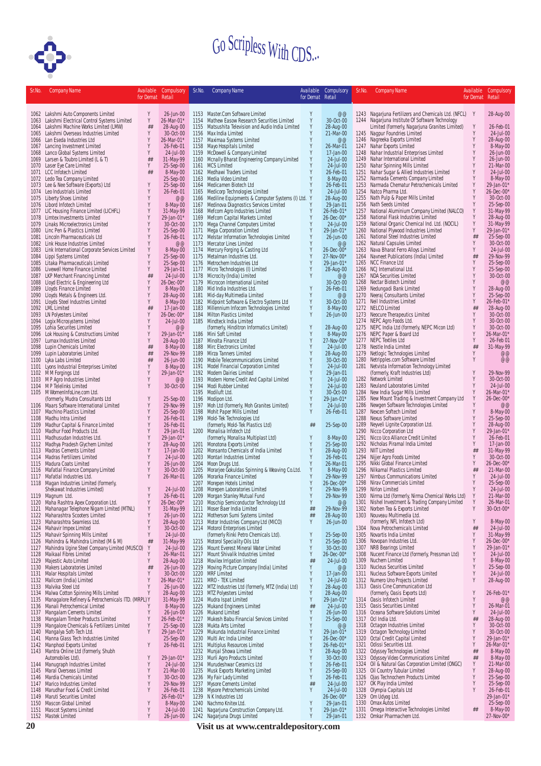

| Sr.No. | <b>Company Name</b>                                                                | Available        | Compulsory                  | Sr.No.       | <b>Company Name</b>                                                                | Available        | Compulsory                    | Sr.No.       | <b>Company Name</b>                                                           |                  | Available Compulsory    |
|--------|------------------------------------------------------------------------------------|------------------|-----------------------------|--------------|------------------------------------------------------------------------------------|------------------|-------------------------------|--------------|-------------------------------------------------------------------------------|------------------|-------------------------|
|        |                                                                                    | for Demat Retail |                             |              |                                                                                    | for Demat Retail |                               |              |                                                                               | for Demat Retail |                         |
|        | 1062 Lakshmi Auto Components Limited                                               | Υ                | 26-Jun-00                   |              | 1153 Master.Com Software Limited                                                   | Y                | @@                            |              | 1243 Nagarjuna Fertilizers and Chemicals Ltd. (NFCL) Y                        |                  | 28-Aug-00               |
|        | 1063 Lakshmi Electrical Control Systems Limited                                    | Y                | 26-Mar-01*                  |              | 1154 Mathew Easow Research Securities Limited                                      | Y                | 30-Oct-00                     |              | 1244 Nagarjuna Institute Of Software Technology                               |                  |                         |
|        | 1064 Lakshmi Machine Works Limited (LMW)                                           | ##               | 28-Aug-00                   |              | 1155 Matsushita Television and Audio India Limited                                 | Y                | 28-Aug-00                     |              | Limited (formerly, Nagarjuna Granites Limited)                                | Y                | 26-Feb-01               |
|        | 1065 Lakshmi Overseas Industries Limited<br>1066 Lan Eseda Industries Ltd          | Y                | 30-Oct-00<br>26-Mar-01*     | 1156<br>1157 | Max India Limited<br>Maximaa Systems Limited                                       | Y<br>Y           | 21-Mar-00<br>@@               |              | 1245 Nagpur Foundries Limited<br>1246 Nagreeka Exports Limited                | Y<br>Y           | 24-Jul-00<br>28-Aug-00  |
|        | 1067 Lancing Investment Limited                                                    | Y                | 26-Feb-01                   | 1158         | Mayo Hospitals Limited                                                             | Y                | 26-Mar-01                     |              | 1247 Nahar Exports Limited                                                    | Y                | 8-May-00                |
|        | 1068 Lanco Global Systems Limited                                                  | Y                | 24-Jul-00                   | 1159         | McDowell & Company Limited                                                         | Y                | 17-Jan-00                     | 1248         | Nahar Industrial Enterprises Limited                                          | Y                | 26-Jun-00               |
|        | 1069 Larsen & Toubro Limited (L & T)<br>1070 Laser Eye Care Limited                | ##<br>Y          | 31-May-99<br>25-Sep-00      | 1160<br>1161 | Mcnally Bharat Engineering Company Limited<br><b>MCS Limited</b>                   | Y<br>Y           | 24-Jul-00<br>24-Jul-00        |              | 1249 Nahar International Limited<br>1250 Nahar Spinning Mills Limited         | Y                | 26-Jun-00<br>21-Mar-00  |
|        | 1071 LCC Infotech Limited                                                          | ##               | 8-May-00                    |              | 1162 Medhawi Traders Limited                                                       | Y                | 26-Feb-01                     | 1251         | Nahar Sugar & Allied Industries Limited                                       | Υ                | $24$ -Jul- $00$         |
|        | 1072 Ledo Tea Company Limited<br>1073 Lee & Nee Software (Exports) Ltd             |                  | 25-Sep-00<br>25-Sep-00      | 1163<br>1164 | Media Video Limited<br>Medicamen Biotech Ltd                                       | Y                | 8-May-00<br>26-Feb-01         | 1252<br>1253 | Narmada Cements Company Limited<br>Narmada Chematur Petrochemicals Limited    | Υ<br>Y           | 8-May-00<br>29-Jan-01   |
|        | 1074 Leo Industrials Limited                                                       |                  | 26-Feb-01                   | 1165         | Medicorp Technologies Limited                                                      |                  | 24-Jul-00                     | 1254         | Natco Pharma Ltd.                                                             |                  | 26-Dec-00*              |
|        | 1075 Liberty Shoes Limited                                                         | Y                | @@                          |              | 1166 Mediline Equipments & Computer Systems (I) Ltd. Y                             |                  | 28-Aug-00                     |              | 1255 Nath Pulp & Paper Mills Limited                                          | Y                | 30-Oct-00               |
|        | 1076 Libord Infotech Limited<br>1077 LIC Housing Finance Limited (LICHFL)          |                  | 8-May-00<br>31-May-99       | 1167         | Medinova Diagnostics Services Limited<br>1168 Mefcom Agro Industries Limited       | Y<br>Y           | 29-Jan-01<br>26-Feb-01*       | 1257         | 1256 Nath Seeds Limited<br>National Aluminium Company Limited (NALCO)         | Υ<br>Y           | 25-Sep-00<br>31-May-99  |
|        | 1078 Limtex Investments Limited                                                    |                  | 29-Jan-01*                  |              | 1169 Mefcom Capital Markets Limited                                                | Y                | 26-Dec-00*                    | 1258         | National Flask Industries Limited                                             | Y                | 28-Aug-00               |
|        | 1079 Linaks Microelectronics Limited                                               |                  | 30-Oct-00                   |              | 1170 Mega Channel Computers Limited                                                | Y                | 24-Jul-00                     | 1259         | National Organic Chemical Ind. Ltd. (NOCIL)                                   | Y                | 31-May-99               |
|        | 1080 Linc Pen & Plastics Limited<br>1081 Lincoln Pharmaceuticals Ltd               | Y<br>Y           | 25-Sep-00<br>26-Feb-01      | 1171         | Mega Corporation Limited<br>1172 Melstar Information Technologies Limited          | Y<br>Y           | 29-Jan-01*<br>26-Jun-00       | 1260<br>1261 | National Plywood Industries Limited<br>National Steel Industries Limited      | Y<br>##          | 29-Jan-01<br>25-Sep-00  |
|        | 1082 Link House Industries Limited                                                 |                  | @@                          |              | 1173 Mercator Lines Limited                                                        | Y                | @@                            | 1262         | Natural Capsules Limited                                                      | γ                | 30-Oct-00               |
|        | 1083 Link International Corporate Services Limited                                 | Y                | 8-May-00                    |              | 1174 Mercury Forging & Casting Ltd                                                 | Y                | 26-Dec-00*                    | 1263         | Nava Bharat Ferro Alloys Limited                                              | Y                | 24-Jul-00               |
|        | 1084 Lippi Systems Limited<br>1085 Litaka Pharmaceuticals Limited                  | Y                | 25-Sep-00<br>25-Sep-00      |              | 1175 Metalman Industries Ltd.<br>1176 Metrochem Industries Ltd                     | Y<br>Y           | 27-Nov-00*<br>29-Jan-01*      | 1264         | Navneet Publications (India) Limited<br>1265 NCC Finance Ltd                  | ##<br>Υ          | 29-Nov-99<br>25-Sep-00  |
|        | 1086 Livewell Home Finance Limited                                                 | Y                | 29-Jan-01                   |              | 1177 Micro Technologies (I) Limited                                                | Y                | 28-Aug-00                     |              | 1266 NCJ International Ltd.                                                   | Y                | 25-Sep-00               |
|        | 1087 LKP Merchant Financing Limited                                                | ##<br>Y          | 24-Jul-00                   |              | 1178 Microcity (India) Limited                                                     | Y                | @@                            |              | 1267 NDA Securities Limited                                                   | Y                | 30-Oct-00               |
|        | 1088 Lloyd Electric & Engineering Ltd<br>1089 Lloyds Finance Limited               |                  | $26 - Dec -00*$<br>8-May-00 |              | 1179 Microcon International Limited<br>1180 Mid India Industries Ltd.              | Y                | 30-Oct-00<br>26-Feb-01        | 1269         | 1268 Nectar Biotech Limited<br>Nedungadi Bank Limited                         | Υ                | @@<br>28-Aug-00         |
|        | 1090 Lloyds Metals & Engineers Ltd.                                                |                  | 28-Aug-00                   |              | 1181 Mid-day Multimedia Limited                                                    | Y                | @@                            |              | 1270 Neeraj Consultants Limited                                               | γ                | 25-Sep-00               |
|        | 1091 Lloyds Steel Industries Limited                                               | Y                | 8-May-00<br>17-Jan-00       |              | 1182 Midpoint Software & Electro Systems Ltd                                       | Y<br>Y           | 30-Oct-00                     |              | 1271 Neil Industries Limited                                                  | Y                | 26-Feb-01               |
|        | 1092 LML Limited<br>1093 LN Polyesters Limited                                     | ##               | $26 - Dec -00*$             | 1183         | Millennium Infocom Technologies Limited<br>1184 Milton Plastics Limited            | Y                | 8-May-00<br>26-Jun-00         |              | 1272 NELCO Limited<br>1273 Neocure Therapeutics Limited                       | ##<br>Y          | 28-Aug-00<br>30-Oct-00  |
|        | 1094 Logix Microsystems Limited                                                    |                  | 24-Jul-00                   |              | 1185 Mindteck India Limited                                                        |                  |                               |              | 1274 NEPC Agro Foods Ltd.                                                     | Y                | 30-Oct-00               |
|        | 1095 Lohia Securites Limited<br>1096 Lok Housing & Constructions Limited           | Y                | @@<br>29-Jan-01*            |              | (formerly, Hinditron Informatics Limited)<br>1186 Mini Soft Limited                | Y<br>Y           | 28-Aug-00<br>8-May-00         |              | 1275 NEPC India Ltd (formerly, NEPC Micon Ltd)<br>1276 NEPC Paper & Board Ltd | Υ<br>Υ           | 30-Oct-00<br>26-Mar-01  |
|        | 1097 Lumax Industries Limited                                                      | Y                | 28-Aug-00                   |              | 1187 Minolta Finance Ltd                                                           | Y                | 27-Nov-00*                    |              | 1277 NEPC Textiles Ltd                                                        | Υ                | 26-Feb 01               |
|        | 1098 Lupin Chemicals Limited                                                       | ##               | 8-May-00                    |              | 1188 Mirc Electronics Limited                                                      | Y                | 24-Jul-00                     |              | 1278 Nestle India Limited                                                     | ##               | 31-May-99               |
|        | 1099 Lupin Laboratories Limited                                                    | ##<br>##         | 29-Nov-99                   |              | 1189 Mirza Tanners Limited                                                         | Y<br>Y           | 28-Aug-00                     | 1280         | 1279 Netlogic Technologies Limited<br>Netripples.com Software Limited         | Y<br>Y           | @@<br>@@                |
|        | 1100 Lyka Labs Limited<br>1101 Lyons Industrial Enterprises Limited                |                  | 26-Jun-00<br>8-May-00       | 1191         | 1190 Mobile Telecommunications Limited<br>Model Financial Corporation Limited      | Y                | 30-Oct-00<br>24-Jul-00        | 1281         | Netvista Information Technology Limited                                       |                  |                         |
|        | 1102 MM Forgings Ltd                                                               |                  | 29-Jan-01*                  |              | 1192 Modern Dairies Limited                                                        | Y                | 29-Jan-01                     |              | (formerly, Kraft Industries Ltd)                                              | Y                | 29-Nov-99               |
|        | 1103 M P Agro Industries Limited                                                   |                  | @@                          |              | 1193 Modern Home Credit And Capital Limited                                        | Y<br>Y           | 24-Jul-00                     |              | 1282 Network Limited<br>1283 Neuland Laboratories Limited                     | Y<br>Y           | 30-Oct-00<br>24-Jul-00  |
|        | 1104 M P Telelinks Limited<br>1105 M WomenInfoLine.com Ltd.                        |                  | 30-Oct-00                   |              | 1194 Modi Rubber Limited<br>1195 Modiluft Ltd.                                     | Y                | 24-Jul-00<br>30-Oct-00        | 1284         | New India Sugar Mills Limited                                                 | Y                | 26-Mar-01'              |
|        | (formerly, Mudra Consultants Ltd                                                   |                  | 25-Sep-00                   |              | 1196 Modipon Ltd.                                                                  | Y                | 29-Jan-01*                    | 1285         | New Mount Trading & Investment Company Ltd                                    | Y                | 26-Dec-00'              |
|        | 1106 Maars Software International Limited                                          |                  | 29-Nov-99                   |              | 1197 Moh Ltd (formerly, Moh Granites Limited)                                      | Y<br>Y           | 24-Jul-00                     | 1286         | Newgen Software Technologies Limited                                          | γ                | @@                      |
|        | 1107 Machino Plastics Limited<br>1108 Madhu Intra Limited                          |                  | 25-Sep-00<br>26-Feb-01      |              | 1198 Mohit Paper Mills Limited<br>1199 Mold-Tek Technologies Ltd                   |                  | 26-Feb-01                     | 1287<br>1288 | Nexcen Softech Limited<br>Nexus Software Limited                              |                  | 8-May-00<br>25-Sep-00   |
|        | 1109 Madhur Capital & Finance Limited                                              |                  | 26-Feb-01                   |              | (formerly, Mold-Tek Plastics Ltd)                                                  | ##               | 25-Sep-00                     | 1289         | Neyveli Lignite Corporation Ltd.                                              |                  | 28-Aug-00               |
|        | 1110 Madhur Food Products Ltd.<br>1111 Madhusudan Industries Ltd.                  |                  | 29-Jan-01                   |              | 1200 Monalisa Infotech Ltd                                                         | Y                |                               | 1290<br>1291 | Nicco Corporation Ltd<br>Nicco Uco Alliance Credit Limited                    | Y<br>Y           | 29-Jan-01<br>26-Feb-01  |
| 1112   | Madhya Pradesh Glychem Limited                                                     | Y                | 29-Jan-01*<br>28-Aug-00     |              | (formerly, Monalisa Multiplast Ltd)<br>1201 Monotona Exports Limited               | Y                | 8-May-00<br>25-Sep-00         |              | 1292 Nicholas Piramal India Limited                                           | Y                | 17-Jan-00               |
|        | 1113 Madras Cements Limited                                                        |                  | 17-Jan-00                   |              | 1202 Monsanto Chemicals of India Limited                                           | Y                | 28-Aug-00                     | 1293         | <b>NIIT Limited</b>                                                           | ##               | 31-May-99               |
|        | 1114 Madras Fertilizers Limited                                                    |                  | 24-Jul-00                   | 1204         | 1203 Montari Industries Limited                                                    | Y                | 26-Feb-01<br>26-Mar-01        | 1294         | Nijjer Agro Foods Limited<br>1295 Nikki Global Finance Limited                | γ<br>Υ           | 30-Oct-00<br>26-Dec-00' |
|        | 1115 Madura Coats Limited<br>1116 Mafatlal Finance Company Limited                 |                  | 26-Jun-00<br>30-Oct-00      | 1205         | Moon Drugs Ltd.<br>Morarjee Gokuldas Spinning & Weaving Co.Ltd.                    |                  | 8-May-00                      |              | 1296 Nilkamal Plastics Limited                                                | ##               | 21-Mar-00               |
|        | 1117 Mafatlal Industries Ltd.                                                      |                  | 26-Mar-01                   | 1206         | Morarka Finance Limited                                                            |                  | 29-Nov-99                     |              | 1297 Nimbus Communications Limited                                            | Y                | 24-Jul-00               |
|        | 1118 Magan Industries Limited (formerly,<br>Shekawat Industries Limited)           | Y                | 24-Jul-00                   |              | 1207 Morepen Hotels Limited<br>1208 Morepen Laboratories Limited                   | Y<br>Y           | $26 - Dec -00*$<br>29-Nov-99  |              | 1298 Niray Commercials Limited<br>1299 Nirlon Limited                         | Y<br>γ           | 25-Sep-00<br>24-Jul-00  |
|        | 1119 Magnum Ltd.                                                                   |                  | 26-Feb-01                   |              | 1209 Morgan Stanley Mutual Fund                                                    |                  | 29-Nov-99                     | 1300         | Nirma Ltd (formerly, Nirma Chemical Works Ltd)                                | Y                | 21-Mar-00               |
|        | 1120 Maha Rashtra Apex Corporation Ltd.                                            | Y                | 26-Dec-00*                  |              | 1210 Moschip Semiconductor Technology Ltd                                          | Y                | @@                            | 1301         | Nishel Investment & Trading Company Limited                                   | Y                | 26-Mar-01               |
|        | 1121 Mahanagar Telephone Nigam Limited (MTNL)<br>1122 Maharashtra Scooters Limited | Y<br>Y           | 31-May-99<br>26-Jun-00      |              | 1211 Moser Baer India Limited<br>1212 Motherson Sumi Systems Limited               | ##<br>##         | 29-Nov-99<br>28-Aug-00        | 1302<br>1303 | Norben Tea & Exports Limited<br>Nouveau Multimedia Ltd.                       | Y                | 30-Oct-00*              |
|        | 1123 Maharashtra Seamless Ltd.                                                     |                  | 28-Aug-00                   |              | 1213 Motor Industries Company Ltd (MICO)                                           | Υ                | 26-Jun-00                     |              | (formerly, NFL Infotech Ltd)                                                  | Υ                | 8-May-00                |
|        | 1124 Mahavir Impex Limited                                                         |                  | 30-Oct-00                   |              | 1214 Motorol Enterprises Limited                                                   |                  |                               |              | 1304 Nova Petrochemicals Limited                                              | ##               | 24-Jul-00               |
|        | 1125 Mahavir Spinning Mills Limited<br>1126 Mahindra & Mahindra Limited (M & M)    | Y<br>##          | 24-Jul-00<br>31-May-99      |              | (formerly Rinki Petro Chemicals Ltd).<br>1215 Motorol Speciality Oils Ltd          | Y<br>Y           | 25-Sep-00<br>25-Sep-00        | 1305<br>1306 | Novartis India Limited<br>Novopan Industries Ltd.                             | Y<br>Y           | 31-May-99<br>26-Dec-00' |
| 1127   | Mahindra Ugine Steel Company Limited (MUSCO)                                       | Y                | 24-Jul-00                   |              | 1216 Mount Everest Mineral Water Limited                                           | Y                | 30-Oct-00                     |              | 1307 NRB Bearings Limited                                                     | Y                | 29-Jan-01*              |
|        | 1128 Maikaal Fibres Limited                                                        |                  | 26-Mar-01                   |              | 1217 Mount Shivalik Industries Limited                                             | Y                | 26-Dec-00*                    | 1308         | Nucent Finance Ltd (formerly, Pressman Ltd)                                   | Y                | 24-Jul-00               |
|        | 1129 Majestic Auto Limited<br>1130 Makers Laboratories Limited                     | Y<br>##          | 28-Aug-00<br>26-Jun-00      |              | 1218 Movilex Irrigation limited<br>1219 Moving Picture Company (India) Limited     | ##<br>Y          | 24-Jul-00<br>@@               | 1309<br>1310 | Nuchem Limited<br>Nucleus Securities Limited                                  | γ<br>Υ           | 8-May-00<br>25-Sep-00   |
|        | 1131 Malar Hospitals Limited                                                       | Y                | 30-Oct-00                   |              | 1220 MRF Limited                                                                   | Y                | 17-Jan-00                     | 1311         | Nucleus Software Exports Limited                                              | Y                | 24-Jul-00               |
|        | 1132 Mallcom (India) Limited                                                       | Y                | 26-Mar-01*                  |              | 1221 MRO - TEK Limited                                                             | Y                | 24-Jul-00                     |              | 1312 Numero Uno Projects Limited                                              | Y                | 28-Aug-00               |
|        | 1133 Malvika Steel Ltd<br>1134 Malwa Cotton Spinning Mills Limited                 | Y                | 26-Jun-00<br>28-Aug-00      |              | 1222 MTZ Industries Ltd (formerly, MTZ (India) Ltd)<br>1223 MTZ Polyesters Limited | Y<br>Y           | 28-Aug-00<br>28-Aug-00        | 1313         | Oasis Cine Communication Ltd<br>(formerly, Oasis Exports Ltd)                 |                  | 26-Feb-01*              |
|        | 1135 Managalore Refinery & Petrochemicals ITD. (MRPL) Y                            |                  | 31-May-99                   |              | 1224 Mudra Ispat Limited                                                           | Y                | 29-Jan-01*                    |              | 1314 Oasis Infotech Limited                                                   | Y                | @@                      |
|        | 1136 Manali Petrochemical Limited                                                  |                  | 8-May-00                    |              | 1225 Mukand Engineers Limited                                                      | ##               | 24-Jul-00                     |              | 1315 Oasis Securities Limited                                                 | Y                | 26-Mar-01               |
|        | 1137 Mangalam Cements Limited<br>1138 Mangalam Timber Products Limited             | Y<br>Y           | 26-Jun-00<br>26-Feb-01*     | 1227         | 1226 Mukand Limited<br>Mukesh Babu Financial Services Limited                      | Y<br>Y           | 26-Jun-00<br>25-Sep-00        |              | 1316 Oceana Software Solutions Limited<br>1317 Ocl India Ltd.                 | Y<br>##          | 24-Jul-00<br>28-Aug-00  |
| 1139   | Mangalore Chemicals & Fertilizers Limited                                          |                  | 25-Sep-00                   |              | 1228 Mukta Arts Limited                                                            | Y                | @@                            | 1318         | Octagon Industries Limited                                                    | Y                | 30-Oct-00               |
|        | 1140 Mangalya Soft-Tech Ltd.                                                       | Y                | 29-Jan-01*                  |              | 1229 Mukunda Industrial Finance Limited                                            | Y                | 29-Jan-01*                    | 1319         | Octagon Technology Limited                                                    | Y                | 30-Oct-00               |
| 1141 - | Manna Glass Tech Industries Limited<br>1142 Manphool Exports Limited               | Y                | 25-Sep-00<br>26-Feb-01      | 1231         | 1230 Multi Arc India Limited<br>Multiplus Resources Limited                        | Y<br>Y           | $26 - Dec -00*$<br>26-Feb-01* | 1320<br>1321 | Octal Credit Capital Limited<br>Odissi Securities Ltd.                        | Υ<br>Υ           | 29-Jan-01<br>26-Mar-01  |
|        | 1143 Mantra Online Ltd (formerly, Shubh                                            |                  |                             |              | 1232 Munjal Showa Limited                                                          | Y                | 28-Aug-00                     | 1322         | Odyssey Technologies Limited                                                  | ##               | 8-May-00                |
|        | Automobiles Ltd).                                                                  |                  | 29-Jan-01*                  |              | 1233 Murli Agro Products Limited                                                   | Y                | 30-Oct-00                     | 1323         | Odyssey Video Communications Limited                                          | ##               | 8-May-00                |
|        | 1144 Manugraph Industries Limited<br>1145 Maral Overseas Limited                   | Y<br>Y           | 24-Jul-00<br>21-Mar-00      |              | 1234 Murudeshwar Ceramics Ltd<br>1235 Musk Exports Marketing Limited               | Y<br>Y           | 26-Feb-01<br>25-Sep-00        | 1324<br>1325 | Oil & Natural Gas Corporation Limited (ONGC)<br>Oil Country Tubular Limited   | Y<br>Υ           | 21-Mar-00<br>28-Aug-00  |
|        | 1146 Mardia Chemicals Limited                                                      | Y                | 30-Oct-00                   |              | 1236 My Fair Lady Limited                                                          | Y                | 26-Feb-01                     | 1326         | Ojas Technochem Products Limited                                              | Y                | 25-Sep-00               |
|        | 1147 Marico Industries Limited                                                     | Y                | 29-Nov-99                   |              | 1237 Mysore Cements Limited                                                        | ##               | 24-Jul-00                     |              | 1327 OK Play India Limited                                                    | Y                | 25-Sep-00               |
|        | 1148 Marudhar Food & Credit Limited<br>1149 Maruti Securities Limited              | Y                | 26-Feb-01<br>26-Feb-01*     |              | 1238 Mysore Petrochemicals Limited<br>1239 N K Industries Ltd                      | Y                | 24-Jul-00<br>26-Dec-00*       |              | 1328 Olympia Capitals Ltd<br>1329 Om Udyog Ltd.                               | Y                | 26-Feb-01<br>29-Jan-01  |
|        | 1150 Mascon Global Limited                                                         | Y                | 8-May-00                    |              | 1240 Nachmo Knitex Ltd.                                                            | Y                | 29-Jan-01                     | 1330         | Omax Autos Limited                                                            |                  | 25-Sep-00               |
|        | 1151 Mascot Systems Limited                                                        |                  | 24-Jul-00                   | 1241         | Nagarjuna Construction Company Ltd.                                                | Y                | 29-Jan-01*                    | 1331         | Omega Interactive Technologies Limited                                        | ##               | 8-May-00                |
|        | 1152 Mastek Limited                                                                | Y                | 26-Jun-00                   |              | 1242 Nagarjuna Drugs Limited                                                       | Y                | 29-Jan-01                     |              | 1332 Omkar Pharmachem Ltd.                                                    |                  | 27-Nov-00'              |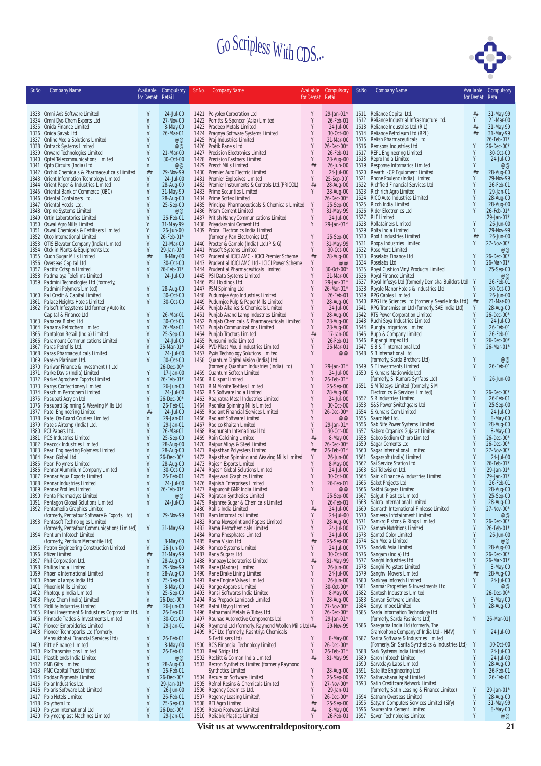

| Sr.No. | <b>Company Name</b>                                                                  | Available        | Compulsory              | Sr.No.       | <b>Company Name</b>                                                                     | Available        | Compulsory              | Sr.No.       | <b>Company Name</b>                                                                       |                  | Available Compulsory    |
|--------|--------------------------------------------------------------------------------------|------------------|-------------------------|--------------|-----------------------------------------------------------------------------------------|------------------|-------------------------|--------------|-------------------------------------------------------------------------------------------|------------------|-------------------------|
|        |                                                                                      | for Demat Retail |                         |              |                                                                                         | for Demat Retail |                         |              |                                                                                           | for Demat Retail |                         |
|        |                                                                                      |                  |                         |              |                                                                                         |                  |                         |              |                                                                                           |                  |                         |
|        | 1333 Omni Ax's Software Limited<br>1334 Omni Dye-Chem Exports Ltd                    | Y<br>Y           | 24-Jul-00<br>27-Nov-00  | 1422         | 1421 Polyplex Corporation Ltd<br>Porritts & Spencer (Asia) Limited                      | Y<br>Y           | 29-Jan-01*<br>26-Feb-01 |              | 1511 Reliance Capital Ltd.<br>1512 Reliance Industrial Infrastructure Ltd.                | ##<br>Y          | 31-May-99<br>21-Mar-00  |
|        | 1335 Onida Finance Limited                                                           | Y                | 8-May-00                | 1423         | Pradeep Metals Limited                                                                  | Y                | 24-Jul-00               | 1513         | Reliance Industries Ltd.(RIL)                                                             | ##               | 31-May-99               |
|        | 1336 Onida Savak Ltd                                                                 | Y                | 26-Mar-01               | 1424         | Pragnya Software Systems Limited                                                        |                  | 30-Oct-00               |              | 1514 Reliance Petroleum Ltd. (RPL)                                                        | ##               | 31-May-99               |
|        | 1337 Online Media Solutions Limited                                                  |                  | @@                      | 1425         | Praj Industries Limited                                                                 |                  | 21-Mar-00               |              | 1515 Relish Pharmaceuticals Ltd                                                           |                  | 26-Feb-01*              |
|        | 1338 Ontrack Systems Limited<br>1339 Onward Technologies Limited                     | Y<br>Y           | @@<br>21-Mar-00         | 1426         | Pratik Panels Ltd<br>1427 Precision Electronics Limited                                 | Y                | 26-Dec-00*<br>26-Feb-01 |              | 1516 Remsons Industries Ltd<br>1517 REPL Engineering Limited                              | Y                | 26-Dec-00*<br>30-Oct-00 |
|        | 1340 Optel Telecommunications Limited                                                | Υ                | 30-Oct-00               | 1428         | Precision Fastners Limited                                                              | Y                | 28-Aug-00               |              | 1518 Repro India Limited                                                                  | Y                | 24-Jul-00               |
|        | 1341 Opto Circuits (India) Ltd                                                       | Y                | @@                      | 1429         | <b>Precot Mills Limited</b>                                                             | ##               | 26-Jun-00               |              | 1519 Response Informatics Limited                                                         | Y                | @@                      |
|        | 1342 Orchid Chemicals & Pharmaceuticals Limited                                      | ##               | 29-Nov-99               | 1430         | Premier Auto Electric Limited                                                           | Y                | 24-Jul-00               |              | 1520 Revathi - CP Equipment Limited                                                       | ##               | 28-Aug-00               |
|        | 1343 Orient Information Technology Limited<br>1344 Orient Paper & Industries Limited | Y<br>Y           | 24-Jul-00<br>28-Aug-00  | 1431         | Premier Explosives Limited<br>1432 Premier Instruments & Controls Ltd. (PRICOL)         | Y<br>##          | 25-Sep-00]<br>28-Aug-00 | 1521         | Rhone Poulenc (India) Limited<br>1522 Richfield Financial Services Ltd                    | Y<br>Y           | 29-Nov-99<br>26-Feb-01  |
|        | 1345 Oriental Bank of Commerce (OBC)                                                 | Y                | 31-May-99               |              | 1433 Prime Securities Limited                                                           | Y                | 28-Aug-00               |              | 1523 Richirich Agro Limited                                                               | Y                | 29-Jan-01               |
|        | 1346 Oriental Containers Ltd.                                                        | Y                | 28-Aug-00               | 1434         | Prime Softex Limited                                                                    |                  | $26$ -Dec-00*           |              | 1524 RICO Auto Industries Limited                                                         | Y                | 28-Aug-00               |
|        | 1347 Oriental Hotels Ltd.                                                            |                  | 25-Sep-00               | 1435         | Principal Pharmaceuticals & Chemicals Limited                                           | Y                | 25-Sep-00               |              | 1525 Ricoh India Limited                                                                  |                  | 28-Aug-00               |
|        | 1348 Orpine Systems Limited<br>1349 Ortin Laboratories Limited                       | γ                | @@<br>26-Feb-01         | 1436<br>1437 | Prism Cement Limited<br>Pritish Nandy Communications Limited                            | Y                | 31-May-99<br>24-Jul-00  |              | 1526 Rider Electronics Ltd<br>1527 RLF Limited                                            |                  | 26-Feb-01<br>29-Jan-01  |
|        | 1350 Oswal Agro Mills Limited                                                        | γ                | 31-May-99               |              | 1438 Priyadarshini Cement Ltd                                                           |                  | 29-Jan-01*              |              | 1528 Rollatainers Limited                                                                 | γ                | 26-Jun-00               |
|        | 1351 Oswal Chemicals & Fertilisers Limited                                           | Y                | 26-Jun-00               | 1439         | Procal Electronics India Limited                                                        |                  |                         | 1529         | Rolta India Limited                                                                       | Y                | 29-Nov-99               |
|        | 1352 Otco International Limited                                                      | Y                | 26-Feb-01*              |              | (formerly, Pan Electronics Ltd)                                                         |                  | 25-Sep-00               | 1530         | Roofit Industries Limited                                                                 | ##               | 26-Jun-00               |
|        | 1353 OTIS Elevator Company (India) Limited<br>1354 Otoklin Plants & Equipments Ltd   | Y                | 21-Mar-00<br>29-Jan-01* | 1440<br>1441 | Procter & Gamble (India) Ltd.(P & G)<br><b>Prosoft Systems Limited</b>                  | Y<br>Y           | 31-May-99<br>30-Oct-00  | 1531<br>1532 | Roopa Industries Limited<br>Rose Merc Limited                                             | Y                | 27-Nov-00*<br>@@        |
|        | 1355 Oudh Sugar Mills Limited                                                        | ##               | 8-May-00                | 1442         | Prudential ICICI AMC - ICICI Premier Scheme                                             | ##               | 28-Aug-00               | 1533         | Roselabs Finance Ltd                                                                      | Y                | $26$ -Dec-00            |
|        | 1356 Overseas Capital Ltd                                                            | Υ                | 30-Oct-00               |              | 1443 Prudential ICICI AMC Ltd - ICICI Power Scheme                                      | Y                | $@@$                    | 1534         | Roselabs Ltd                                                                              | Y                | 26-Mar-01               |
|        | 1357 Pacific Cotspin Limited                                                         | Y                | 26-Feb-01*              | 1444         | Prudential Pharmaceuticals Limited                                                      |                  | 30-Oct-00*              | 1535         | Royal Cushion Vinyl Products Limited                                                      | Y                | 25-Sep-00               |
| 1359   | 1358 Padmalaya Telefilms Limited<br>Padmini Technologies Ltd (formerly,              | Y                | 24-Jul-00               |              | 1445 PSI Data Systems Limited<br>1446 PSL Holdings Ltd                                  |                  | 21-Mar-00<br>29-Jan-01* | 1537         | 1536 Royal Finance Limited<br>Royal Infosys Ltd (formerly Demisha Builders Ltd Y          |                  | @@<br>26-Feb-01         |
|        | Padmini Polymers Limited)                                                            | Y                | 28-Aug-00               | 1447         | PSM Spinning Ltd                                                                        |                  | 26-Mar-01*              | 1538         | Royale Manor Hotels & Industries Ltd                                                      | Y                | 30-Oct-00               |
|        | 1360 Pal Credit & Capital Limited                                                    | Y                | 30-Oct-00               |              | 1448 Pudumjee Agro Industries Limited                                                   | Y                | 26-Feb-01               |              | 1539 RPG Cables Limited                                                                   | Y                | 26-Jun-00               |
|        | 1361 Palace Heights Hotels Limited                                                   | Y                | 30-Oct-00               | 1449         | Pudumjee Pulp & Paper Mills Limited                                                     | Y                | 28-Aug-00               |              | 1540 RPG Life Sciences Ltd (formerly, Searle India Ltd)                                   | ##               | 21-Mar-00               |
|        | 1362 Palsoft Infosystems Ltd formerly Autolite<br>Capital & Finance Ltd              | Y                | 26-Mar-01               | 1450<br>1451 | Punjab Alkalies & Chemicals Limited<br>Punjab Anand Lamp Industries Limited             | Y<br>Y           | 24-Jul-00<br>28-Aug-00  |              | 1541 RPG Transmission Ltd (formerly, SAE India Ltd)<br>1542 RTS Power Corporation Limited | Y                | 28-Aug-00<br>26-Dec-00* |
|        | 1363 Panacea Biotec Ltd                                                              | Y                | 30-Oct-00               | 1452         | Punjab Chemicals & Pharmaceuticals Limited                                              | Y                | 28-Aug-00               |              | 1543 Ruchi Soya Industries Limited                                                        |                  | 24-Jul-00               |
|        | 1364 Panama Petrochem Limited                                                        | Y                | 26-Mar-01               | 1453         | Punjab Communications Limited                                                           | Y                | 28-Aug-00               |              | 1544 Rungta Irrigations Limited                                                           | Y                | 26-Feb-01               |
|        | 1365 Pantaloon Retail (India) Limited                                                | Y                | 25-Sep-00               | 1454         | Punjab Tractors Limited                                                                 | ##               | 17-Jan-00               | 1545         | Rupa & Company Limited                                                                    | Υ                | 26-Feb-01               |
|        | 1366 Paramount Communications Limited                                                |                  | 24-Jul-00               |              | 1455 Punsumi India Limited                                                              | Y<br>Y           | 26-Feb-01               |              | 1546 Rupangi Impex Ltd                                                                    |                  | 26-Dec-00*              |
|        | 1367 Paras Petrofils Ltd.<br>1368 Paras Pharmaceuticals Limited                      | Y                | 26-Mar-01*<br>24-Jul-00 | 1457         | 1456 PVD Plast Mould Industries Limited<br>Pyxis Technology Solutions Limited           | Y                | 26-Mar-01<br>@@         |              | 1547 SB & T International Ltd<br>1548 S B International Ltd                               |                  | 26-Mar-01               |
|        | 1369 Parekh Platinum Ltd.                                                            | Y                | 30-Oct-00               |              | 1458 Quantum Digital Vision (India) Ltd                                                 |                  |                         |              | (formerly, Sarda Brothers Ltd)                                                            |                  | @@                      |
|        | 1370 Pariwar Finance & Investment (I) Ltd                                            |                  | 26-Dec-00*              |              | (formerly, Quantum Industries (India) Ltd)                                              | Y                | 29-Jan-01*              |              | 1549 S E Investments Limited                                                              | γ                | 26-Feb-01               |
|        | 1371 Parke Davis (India) Limited                                                     | Y                | 17-Jan-00               |              | 1459 Quantum Softech Limited                                                            |                  | 24-Jul-00               |              | 1550 S Kumars Nationwide Ltd                                                              |                  |                         |
|        | 1372 Parker Agrochem Exports Limited<br>1373 Parrys Confectionery Limited            | Y<br>Y           | 26-Feb-01*<br>26-Jun-00 | 1461         | 1460 R K Ispat Limited<br>R M Mohite Textiles Limited                                   | Y                | 26-Feb-01*<br>25-Sep-00 |              | (formerly, S. Kumars Synfabs Ltd)<br>1551 S M Telesys Limited (formerly, S M              | Y                | 26-Jun-00               |
|        | 1374 Paschim Petrochem Limited                                                       | Y                | 24-Jul-00               |              | 1462 R S Software India Limited                                                         |                  | 28-Aug-00               |              | Electronics & Services Limited)                                                           |                  | 26-Dec-00               |
|        | 1375 Pasupati Acrylon Ltd                                                            | Y                | 26-Dec-00*              | 1463         | Raajratna Metal Industries Limited                                                      | Y                | 24-Jul-00               |              | 1552 S R Industries Limited                                                               | Υ                | 26-Feb-01               |
|        | 1376 Pasupati Spinning & Weaving Mills Ltd                                           | Υ                | 26-Feb-01               | 1464         | Radhika Spinning Mills Limited                                                          |                  | 30-Oct-00               |              | 1553 S&S Power Switchgears Ltd                                                            | Y                | 25-Sep-00               |
|        | 1377 Patel Engineering Limited                                                       | ##               | 24-Jul-00               | 1465         | Radiant Financial Services Limited                                                      | Y                | 26-Dec-00*              |              | 1554 S.Kumars.Com Limited                                                                 |                  | 24-Jul-00               |
| 1378   | Patel On-Board Couriers Limited<br>1379 Patels Airtemp (India) Ltd.                  | Y<br>Y           | 29-Jan-01<br>29-Jan-01  | 1466<br>1467 | Radiant Software Limited<br>Radico Khaitan Limited                                      |                  | $@@$<br>29-Jan-01*      |              | 1555 Saarc Net Ltd.<br>1556 Sab Nife Power Systems Limited                                |                  | 8-May-00<br>28-Aug-00   |
|        | 1380 PCI Papers Ltd.                                                                 | Y                | 26-Mar-01               |              | 1468 Raghunath International Ltd                                                        | Y                | 30-Oct-00               | 1557         | Sabero Organics Gujarat Limited                                                           |                  | 8-May-00                |
|        | 1381 PCS Industries Limited                                                          | Y                | 25-Sep-00               | 1469         | Rain Calcining Limited                                                                  | ##               | 8-May-00                | 1558         | Saboo Sodium Chloro Limited                                                               | Y                | 26-Dec-00               |
|        | 1382 Peacock Industries Limited                                                      |                  | 28-Aug-00               | 1470         | Raipur Alloys & Steel Limited                                                           | Y                | 26-Dec-00*              |              | 1559 Sagar Cements Ltd                                                                    |                  | 26-Dec-00               |
|        | 1383 Pearl Engineering Polymers Limited<br>1384 Pearl Global Ltd                     | Y<br>Y           | 28-Aug-00<br>26-Dec-00* | 1471<br>1472 | Rajasthan Polyesters Limited<br>Rajasthan Spinning and Weaving Mills Limited            | ##<br>Y          | 26-Feb-01*<br>26-Jun-00 | 1560<br>1561 | Sagar International Limited<br>Sagarsoft (India) Limited                                  |                  | 27-Nov-00<br>24-Jul-00  |
|        | 1385 Pearl Polymers Limited                                                          | Y                | 28-Aug-00               | 1473         | Rajesh Exports Limited                                                                  | Y                | 8-May-00                |              | 1562 Sai Service Station Ltd                                                              |                  | 26-Feb-01               |
|        | 1386 Pennar Aluminium Company Limited                                                | Y                | 30-Oct-00               |              | 1474 Rajesh Global Solutions Limited                                                    | Y                | 24-Jul-00               |              | 1563 Sai Television Ltd.                                                                  |                  | 29-Jan-01               |
| 1387   | Pennar Aqua Exports Limited                                                          | Y<br>Y           | 26-Feb-01               |              | 1475 Rajeswari Graphics Limited                                                         | Y<br>Y           | 30-Oct-00               |              | 1564 Sainik Finance & Industries Limited                                                  | Y                | 29-Jan-01               |
| 1389   | 1388 Pennar Industries Limited<br>Pennar Profiles Limited                            |                  | 24-Jul-00<br>26-Feb-01* |              | 1476 Rajnish Enterprises Limited<br>1477 Rajpurohit GMP India Limited                   |                  | 26-Feb-01<br>@@         |              | 1565 Saket Projects Ltd<br>1566 Sakthi Sugars Limited                                     |                  | 26-Feb-01<br>28-Aug-00  |
|        | 1390 Penta Pharmadyes Limited                                                        | Y                | @@                      |              | 1478 Rajratan Synthetics Limited                                                        |                  | 25-Sep-00               |              | 1567 Salguti Plastics Limited                                                             |                  | 25-Sep-00               |
|        | 1391 Pentagon Global Solutions Limited                                               | Y                | 24-Jul-00               |              | 1479 Rajshree Sugar & Chemicals Limited                                                 | Y                | 26-Feb-01               |              | 1568 Salora International Limited                                                         | γ                | 28-Aug-00               |
|        | 1392 Pentamedia Graphics Limited                                                     |                  |                         | 1480         | Rallis India Limited                                                                    | ##               | 24-Jul-00               |              | 1569 Samarth International Finlease Limited                                               | Y                | 27-Nov-00*              |
|        | (formerly, Pentafour Software & Exports Ltd)<br>1393 Pentasoft Technologies Limited  | Y                | 29-Nov-99               | 1481<br>1482 | Ram Informatics Limited<br>Rama Newsprint and Papers Limited                            | Y<br>Y           | 24-Jul-00<br>28-Aug-00  |              | 1570 Sameera Infotainment Limited<br>1571 Samkrg Pistons & Rings Limited                  |                  | @@<br>26-Dec-00*        |
|        | (formerly, Pentafour Communications Limited)                                         | Y                | 31-May-99               | 1483         | Rama Petrochemicals Limited                                                             | Y                | 24-Jul-00               |              | 1572 Sampre Nutritions Limited                                                            | Υ                | 26-Feb-01'              |
|        | 1394 Pentium Infotech Limited                                                        |                  |                         |              | 1484 Rama Phosphates Limited                                                            | Y                | 24-Jul-00               |              | 1573 Samtel Color Limited                                                                 | Y                | 26-Jun-00               |
|        | (formerly, Pentium Mercantile Ltd)                                                   | Y                | 8-May-00                | 1485         | Rama Vision Ltd                                                                         | ##               | 25-Sep-00               |              | 1574 San Media Limited                                                                    | Y                | @@                      |
|        | 1395 Petron Engineering Construction Limited                                         | Y                | 26-Jun-00               | 1486         | Ramco Systems Limited<br>Rana Sugars Ltd                                                | Y<br>Y           | 24-Jul-00               |              | 1575 Sandvik Asia Limited<br>1576 Sangam (India) Ltd                                      | Υ                | 28-Aug-00<br>26-Dec-00* |
|        | 1396 Pfizer Limited<br>1397 Phil Corporation Ltd.                                    | ##<br>Y          | 31-May-99<br>28-Aug-00  | 1487<br>1488 | Ranbaxy Laboratories Limited                                                            | ##               | 30-Oct-00<br>31-May-99  |              | 1577 Sanghi Industries Ltd                                                                | Y                | 26-Mar-01*              |
|        | 1398 Philips India Limited                                                           | Y                | 29-Nov-99               | 1489         | Rane (Madras) Limited                                                                   | Y                | 26-Jun-00               |              | 1578 Sanghi Polysters Limited                                                             | Y                | 8-May-00                |
|        | 1399 Phoenix International Limited                                                   | Y                | 28-Aug-00               | 1490         | Rane Brake Lining Limited                                                               | Y                | 24-Jul-00               | 1579         | Sanghvi Movers Limited                                                                    | ##               | 28-Aug-00               |
|        | 1400 Phoenix Lamps India Ltd                                                         | Y                | 25-Sep-00               | 1491         | Rane Engine Valves Limited                                                              | Y                | 26-Jun-00               | 1580         | Sankhya Infotech Limited                                                                  | γ                | 24-Jul-00               |
|        | 1401 Phoenix Mills Limited<br>1402 Photoquip India Limited                           | Y<br>Y           | 8-May-00<br>25-Sep-00   | 1492<br>1493 | Range Apparels Limited<br>Ransi Softwares India Limited                                 | Y<br>Y           | 30-Oct-00*<br>8-May-00  | 1581<br>1582 | Sanmar Properties & Investments Ltd<br>Santosh Industries Limited                         | Y                | @@<br>26-Dec-00*        |
|        | 1403 Phyto Chem (India) Limited                                                      | Y                | 26-Dec-00*              | 1494         | Ras Propack Lamipack Limited                                                            |                  | 28-Aug-00               | 1583         | Sanvan Software Limited                                                                   |                  | 8-May-00                |
|        | 1404 Pidilite Industries Limited                                                     | ##               | 26-Jun-00               |              | 1495 Rathi Udyog Limited                                                                | Y                | 27-Nov-00*              |              | 1584 Sanyo Impex Limited                                                                  | γ                | 28-Aug-00               |
|        | 1405 Pilani Investment & Industries Corporation Ltd.                                 | Υ                | 26-Feb-01               |              | 1496 Ratnamani Metals & Tubes Ltd                                                       | Y                | 26-Dec-00*              | 1585         | Sarda Information Technology Ltd                                                          |                  |                         |
|        | 1406 Pinnacle Trades & Investments Limited                                           | Y<br>Υ           | 30-Oct-00               | 1497<br>1498 | Raunag Automotive Components Ltd<br>Raymond Ltd (formerly, Raymond Woollen Mills Ltd)## | Y                | 29-Jan-01*<br>29-Nov-99 |              | (formerly, Sarda Fashions Ltd)<br>1586 Saregama India Ltd (formerly, The                  | Υ                | 26-Mar-01]              |
|        | 1407 Pioneer Embroideries Limited<br>1408 Pioneer Technoparks Ltd (formerly,         |                  | 29-Jan-01               |              | 1499 RCF Ltd (formerly, Rashtriya Chemicals                                             |                  |                         |              | Gramophone Company of India Ltd - HMV)                                                    | Y                | 24-Jul-00               |
|        | Mansukhbhai Financial Services Ltd)                                                  | Y                | 26-Feb-01               |              | & Fertilisers Ltd)                                                                      | Y                | 8-May-00                |              | 1587 Sarita Software & Industries Limited                                                 |                  |                         |
|        | 1409 Pittie Finance Limited                                                          | Y                | 8-May-00                |              | 1500 RCS Financial Technology Limited                                                   | Y                | 26-Dec-00*              |              | (Formerly, Sri Sarita Synthetics & Industries Ltd)                                        | Y                | 30-Oct-00               |
|        | 1410 Pix Transmissions Limited                                                       | Y                | 26-Feb-01               |              | 1501 Real Strips Ltd                                                                    | Y                | 26-Feb-01*              |              | 1588 Sark Systems India Limited                                                           |                  | 24-Jul-00               |
|        | 1411 Plastiblends India Limited<br>1412 PNB Gilts Limited                            | Y<br>Y           | @@<br>28-Aug-00         |              | 1502 Reckitt & Colman India Limited<br>1503 Recron Synthetics Limited (formerly Raymond | ##               | 31-May-99               |              | 1589 Saroh Infotech Limited<br>1590 Sarvodaya Labs Limited                                | Y<br>Y           | 24-Jul-00<br>28-Aug-00  |
|        | 1413 PNC Capital Trust Limited                                                       | Y                | 26-Feb-01               |              | <b>Synthetics Limited</b>                                                               |                  | 28-Aug-00               |              | 1591 Satellite Engineering Ltd                                                            |                  | 26-Feb-01               |
|        | 1414 Poddar Pigments Limited                                                         | Y                | 26-Dec-00*              |              | 1504 Recursion Software Limited                                                         | Y                | 25-Sep-00               |              | 1592 Sathavahana Ispat Limited                                                            | Y                | 26-Feb-01               |
|        | 1415 Polar Industries Ltd                                                            |                  | 29-Jan-01*              |              | 1505 Refnol Resins & Chemicals Limited                                                  | Y                | 27-Nov-00*              | 1593         | Satin Creditcare Network Limited                                                          |                  |                         |
| 1417   | 1416 Polaris Software Lab Limited<br>Polo Hotels Limited                             | Y<br>Y           | 26-Jun-00<br>26-Feb-01  | 1506<br>1507 | Regency Ceramics Ltd.<br>Regency Leasing Limited\                                       | Y                | 29-Jan-01<br>26-Dec-00* |              | (formerly, Satin Leasing & Finance Limited)<br>1594 Satnam Overseas Limited               | Y<br>Y           | 29-Jan-01'<br>28-Aug-00 |
|        | 1418 Polychem Ltd                                                                    | Y                | 25-Sep-00               | 1508         | <b>REI Agro Limited</b>                                                                 | ##               | 25-Sep-00               | 1595         | Satyam Computers Services Limited (Sify)                                                  | Y                | 31-May-99               |
|        | 1419 Polycon International Ltd                                                       | Y                | $26 - Dec -00*$         |              | 1509 Relaxo Footwears Limited                                                           | ##               | 8-May-00                |              | 1596 Saurashtra Cement Limited                                                            | Y                | 8-May-00                |
|        | 1420 Polymechplast Machines Limited                                                  | Y                | 29-Jan-01               |              | 1510 Reliable Plastics Limited                                                          | Y                | 26-Feb-01               |              | 1597 Saven Technologies Limited                                                           | Y                | @@                      |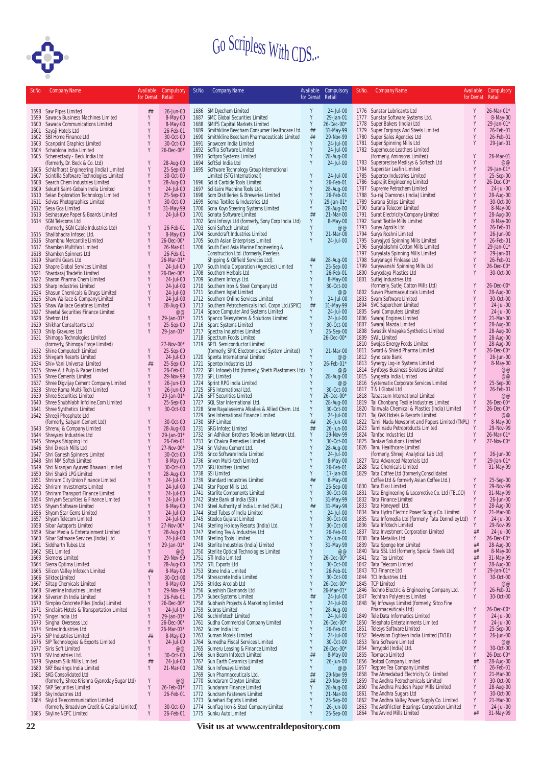

| Sr.No        | <b>Company Name</b>                                                         | for Demat Retail | Available Compulsory        | Sr.No. | <b>Company Name</b>                                                                    | Available<br>for Demat Retail | Compulsory              | Sr.No.       | <b>Company Name</b>                                                                                    | Available<br>for Demat Retail | Compulsory              |
|--------------|-----------------------------------------------------------------------------|------------------|-----------------------------|--------|----------------------------------------------------------------------------------------|-------------------------------|-------------------------|--------------|--------------------------------------------------------------------------------------------------------|-------------------------------|-------------------------|
|              | 1598 Saw Pipes Limited                                                      | $\# \#$          | 26-Jun-00                   |        | 1686 SM Dyechem Limited                                                                | Y                             | 24-Jul-00               |              | 1776 Sunstar Lubricants Ltd                                                                            | Y                             | 26-Mar-01*              |
| 1599         | Sawaca Business Machines Limited                                            | Υ                | 8-May-00                    |        | 1687 SMC Global Securities Limited                                                     | Y                             | 29-Jan-01               |              | 1777 Sunstar Software Systems Ltd.                                                                     | Y                             | 8-May-00                |
| 1600         | Sawaca Communications Limited                                               | Y<br>Y           | 8-May-00<br>26-Feb-01       | 1689   | 1688 SMIFS Capital Markets Limited<br>Smithkline Beecham Consumer Healthcare Ltd.      | Y<br>##                       | 26-Dec-00*<br>31-May-99 | 1778         | Super Bakers (India) Ltd<br>1779 Super Forgings And Steels Limited                                     | Y<br>Y                        | 29-Jan-01*<br>26-Feb-01 |
| 1601         | Sayaji Hotels Ltd<br>1602 SBI Home Finance Ltd                              | Y                | 30-Oct-00                   | 1690   | Smithkline Beecham Pharmaceuticals Limited                                             | ##                            | 29-Nov-99               | 1780         | Super Sales Agencies Ltd                                                                               |                               | 26-Feb-01               |
| 1603         | <b>Scanpoint Graphics Limited</b>                                           | Y                | 30-Oct-00                   |        | 1691 Snowcem India Limited                                                             | Y                             | 24-Jul-00               |              | 1781 Super Spinning Mills Ltd                                                                          |                               | 29-Jan-01               |
| 1604         | Schablona India Limited                                                     | Y                | $26 - Dec -00*$             |        | 1692 Soffia Software Limited                                                           | Y                             | 24-Jul-00               |              | 1782 Superhouse Leathers Limited                                                                       |                               |                         |
| 1605         | Schenectady - Beck India Ltd<br>(formerly, Dr. Beck & Co. Ltd)              | Y                | 28-Aug-00                   | 1693   | Softpro Systems Limited<br>1694 SoftSol India Ltd                                      | Y<br>Y                        | 28-Aug-00<br>24-Jul-00  |              | (formerly, Aminsons Limited)<br>1783 Superprecise Medisys & Softech Ltd                                | Y                             | 26-Mar-01<br>@@         |
|              | 1606 Schlafhorst Engineering (India) Limited                                | Y                | 25-Sep-00                   |        | 1695 Software Technology Group International                                           |                               |                         | 1784         | Superstar Leafin Limited                                                                               |                               | 29-Jan-01*              |
| 1607         | Scintilla Software Technologies Limited                                     | Y                | 30-Oct-00                   |        | Limited (STG International)                                                            | Y                             | 24-Jul-00               | 1785         | Supertex Industries Limited                                                                            | Y                             | 25-Sep-00               |
| 1608         | Search Chem Industries Limited                                              | Y                | 28-Aug-00                   |        | 1696 Solid Carbide Tools Limited                                                       | Y                             | 26-Feb-01               |              | 1786 Suprajit Engineering Limited                                                                      | Y<br>Y                        | $26 - Dec -00*$         |
| 1609<br>1610 | Sekurit Saint-Gobain India Limited<br>Selan Exploration Technology Limited  | Y<br>Y           | 24-Jul-00<br>25-Sep-00      |        | 1697 Solitaire Machine Tools Ltd.<br>1698 Som Distilleries & Breweries Limited         | Y<br>Y                        | 28-Aug-00<br>26-Feb-01  | 1787<br>1788 | Supreme Petrochem Limited<br>Su-raj Diamonds (India) Limited                                           | Y                             | 24-Jul-00<br>28-Aug-00  |
|              | 1611 Selvas Photographics Limited                                           | Y                | 30-Oct-00                   |        | 1699 Soma Textiles & Industries Ltd                                                    | Y                             | 29-Jan-01*              |              | 1789 Surana Strips Limited                                                                             |                               | 30-Oct-00               |
| 1612         | Sesa Goa Limited                                                            | Y                | 31-May-99                   |        | 1700 Sona Koyo Steering Systems Limited                                                | Y                             | 28-Aug-00               | 1790         | Surana Telecom Limited                                                                                 |                               | 8-May-00                |
|              | 1613 Seshasayee Paper & Boards Limited                                      | Y                | 24-Jul-00                   |        | 1701 Sonata Software Limited                                                           | ##<br>Y                       | 21-Mar-00               | 1791         | Surat Electricity Company Limited                                                                      |                               | 28-Aug-00               |
|              | 1614 SGN Telecoms Ltd<br>(formerly, SGN Cable Industries Ltd)               | Y                | 26-Feb-01                   |        | 1702 Soni Infosys Ltd (formerly, Sony Corp India Ltd)<br>1703 Soni Softech Limited     | Y                             | 8-May-00<br>@@          | 1793         | 1792 Surat Textile Mills Limited<br>Surya Agroils Ltd                                                  |                               | 8-May-00<br>26-Feb-01   |
|              | 1615 Shalibhadra Infosec Ltd.                                               | Y                | 8-May-00                    |        | 1704 Soundcraft Industries Limited                                                     | Y                             | 21-Mar-00               | 1794         | Surya Roshni Limited                                                                                   |                               | 26-Jun-00               |
|              | 1616 Shambhu Mercantile Limited                                             | Y                | 26-Dec-00*                  | 1705   | South Asian Enterprises Limited                                                        | Υ                             | 24-Jul-00               | 1795         | Suryajyoti Spinning Mills Limited                                                                      | Y                             | 26-Feb-01               |
|              | 1617 Shamken Multifab Limited                                               | Y<br>Υ           | 26-Mar-01                   |        | 1706 South East Asia Marine Engineering &                                              |                               |                         | 1796         | Suryalakshmi Cotton Mills Limited<br>1797 Suryalata Spinning Mills Limited                             | Y<br>Y                        | 29-Jan-01*<br>29-Jan-01 |
| 1619         | 1618 Shamken Spinners Ltd<br>Shanthi Gears Ltd                              |                  | 26-Feb-01<br>26-Mar-01*     |        | Construction Ltd. (formerly, Peerless<br>Shipping & Oilfield Services Ltd).            | ##                            | 28-Aug-00               | 1798         | Suryanagri Finlease Ltd                                                                                | Y                             | 26-Feb-01               |
| 1620         | Shapre Global Services Limited                                              | Y                | 24-Jul-00                   |        | 1707 South India Corporation (Agencies) Limited                                        | Y                             | 25-Sep-00               | 1799         | Suryavanshi Spinning Mills Ltd                                                                         |                               | 26-Dec-00*              |
| 1621         | Shardaraj Tradefin Limited                                                  | Y                | 26-Dec-00*                  |        | 1708 Southern Herbals Ltd                                                              | Y                             | 26-Feb-01               | 1800         | Suryodaya Plastics Ltd                                                                                 | Y                             | 30-Oct-00               |
| 1622         | Sharon Pharma Chem Limited                                                  | Y                | 24-Jul-00                   |        | 1709 Southern Infosys Ltd.                                                             |                               | 8-May-00                |              | 1801 Sutlej Industries Ltd                                                                             |                               |                         |
| 1624         | 1623 Sharp Industries Limited<br>Shasun Chemicals & Drugs Limited           | Y<br>Y           | 24-Jul-00<br>24-Jul-00      |        | 1710 Southern Iron & Steel Company Ltd<br>1711 Southern Ispat Limited                  | Y<br>Y                        | 30-Oct-00<br>@@         |              | (formerly, Sutlej Cotton Mills Ltd)<br>1802 Suven Pharmaceuticals Limited                              | Y<br>Y                        | 26-Dec-00*<br>28-Aug-00 |
| 1625         | Shaw Wallace & Company Limited                                              | Y                | 24-Jul-00                   |        | 1712 Southern Online Services Limited                                                  | Y                             | 24-Jul-00               | 1803         | Svam Software Limited                                                                                  | Y                             | 30-Oct-00               |
| 1626         | Shaw Wallace Gelatines Limited                                              | Y                | 28-Aug-00                   |        | 1713 Southern Petrochemicals Indl. Corpn Ltd.(SPIC)                                    | ##                            | 31-May-99               |              | 1804 SVC Superchem Limited                                                                             |                               | 24-Jul-00               |
| 1627         | Sheetal Securities Finance Limited                                          |                  | @@                          |        | 1714 Space Computer And Systems Limited                                                | Y                             | 24-Jul-00               | 1805         | Swal Computers Limited                                                                                 |                               | 24-Jul-00               |
| 1629         | 1628 Shetron Ltd                                                            | Y                | 29-Jan-01*<br>25-Sep-00     |        | 1715 Spanco Telesystems & Solutions Limited                                            | Y<br>Y                        | 24-Jul-00<br>30-Oct-00  | 1806         | Swaraj Engines Limited<br>1807 Swaraj Mazda Limited                                                    |                               | 21-Mar-00<br>28-Aug-00  |
| 1630         | Shikhar Consultants Ltd<br>Shilp Gravures Ltd                               | Y                | 29-Jan-01*                  |        | 1716 Sparc Systems Limited<br>1717 Spectra Industries Limited                          | Y                             | 25-Sep-00               | 1808         | Swastik Vinayaka Synthetics Limited                                                                    | Y                             | 28-Aug-00               |
| 1631         | Shimoga Technologies Limited                                                |                  |                             |        | 1718 Spectrum Foods Limited                                                            |                               | 26-Dec-00*              |              | 1809 SWIL Limited                                                                                      |                               | 28-Aug-00               |
|              | (formerly, Shimoga Forge Limited)                                           |                  | 27-Nov-00*                  |        | 1719 SPEL Semiconductor Limited                                                        |                               |                         |              | 1810 Swojas Energy Foods Limited                                                                       |                               | 28-Aug-00               |
|              | 1632 Shine Computech Limited                                                | Y<br>Y           | 25-Sep-00                   |        | (formerly, SPIC Electronic and System Limited)                                         | Y<br>Y                        | 21-Mar-00<br>@@         |              | 1811 Sword & Shield Pharma Limited<br>1812 Syndicate Bank                                              | Y                             | 26-Dec-00*<br>26-Jun-00 |
| 1633<br>1634 | Shivgarh Resorts Limited<br>Shiv-Vani Universal Limited                     | ##               | 24-Jul-00<br>25-Sep-00      |        | 1720 Spenta International Limited<br>1721 Spentex Industries Ltd                       | Y                             | 26-Feb-01*              | 1813         | Synergy Log-in Systems Limited                                                                         | Y                             | 8-May-00                |
| 1635         | Shree Ajit Pulp & Paper Limited                                             | Y                | 26-Feb-01                   |        | 1722 SPL Infoweb Ltd (formerly, Sheth Plastomers Ltd)                                  | Y                             | @@                      | 1814         | Synfosys Business Solutions Limited                                                                    |                               | @@                      |
| 1636         | Shree Cements Limited                                                       | Y                | 29-Nov-99                   |        | 1723 SPL Limited                                                                       |                               | 28-Aug-00               |              | 1815 Syngenta India Limited                                                                            | Y                             | @@                      |
| 1637         | Shree Digvijay Cement Company Limited                                       | Y<br>Y           | 26-Jun-00                   |        | 1724 Sprint RPG India Limited                                                          | Y<br>Y                        | @@                      |              | 1816 Systematix Corporate Services Limited<br>1817 T & I Global Ltd                                    | Y                             | 25-Sep-00<br>26-Feb-01  |
| 1638<br>1639 | Shree Rama Multi-Tech Limited<br><b>Shree Securities Limited</b>            | Y                | 26-Jun-00<br>29-Jan-01*     |        | 1725 SPS International Ltd.<br>1726 SPT Securities Limited                             | Y                             | 30-Oct-00<br>26-Dec-00* |              | 1818 Tabassum International Limited                                                                    | Y                             | @@                      |
| 1640         | Shree Shubhlabh Infoline.Com Limited                                        |                  | 25-Sep-00                   |        | 1727 SQL Star International Ltd.                                                       | Y                             | 28-Aug-00               | 1819         | Tai Chonbang Textile Industries Limited                                                                | Y                             | 26-Dec-00*              |
| 1641         | Shree Synthetics Limited                                                    | Y                | 30-Oct-00                   |        | 1728 Sree Rayalaseema Alkalies & Allied Chem. Ltd.                                     | Y                             | 30-Oct-00               |              | 1820 Tainwala Chemical & Plastics (India) Limited                                                      | Y                             | 26-Dec-00*              |
| 1642         | Shreeji Phosphate Ltd                                                       | Y                |                             |        | 1729 Srei International Finance Limited                                                | Y                             | 24-Jul-00               | 1822         | 1821 Taj GVK Hotels & Resorts Limited                                                                  | Y                             | @@                      |
| 1643         | (formerly, Satyam Cement Ltd)<br>Shrenuj & Company Limited                  | Y                | 30-Oct-00<br>28-Aug-00      |        | 1730 SRF Limited<br>1731 SRG Infotec Limited                                           | ##<br>##                      | 26-Jun-00<br>26-Jun-00  |              | Tamil Nadu Newsprint and Papers Limited (TNPL)<br>1823 Tamilnadu Petroproducts Limited                 |                               | 8-May-00<br>29-Nov-99   |
| 1644         | Shreyans Industries Ltd                                                     | Y                | 29-Jan-01*                  |        | 1732 Sri Adhikari Brothers Television Network Ltd.                                     | Y                             | 29-Nov-99               |              | 1824 Tanfac Industries Ltd                                                                             | Y                             | 26-Mar-01*              |
| 1645         | Shreyas Shipping Ltd                                                        | Y                | 26-Feb-01                   |        | 1733 Sri Chakra Remedies Limited                                                       | Y                             | 30-Oct-00               |              | 1825 Tanlaw Solutions Limited                                                                          | Y                             | 27-Nov-00*              |
| 1646         | Shri Dinesh Mills Ltd                                                       | Y<br>Y           | $27 - Nov-00*$<br>30-Oct-00 |        | 1734 Sri Vishnu Cement Ltd.<br>1735 Srico Software India Limited                       | Y<br>Y                        | 28-Aug-00<br>24-Jul-00  |              | 1826 Tanu Healthcare Limited<br>(formerly, Shreeji Analytical Lab Ltd)                                 | Y                             | 26-Jun-00               |
| 1647<br>1648 | Shri Ganesh Spinners Limited<br>Shri MM Softek Limited                      | Y                | 8-May-00                    |        | 1736 Sriven Multi-tech Limited                                                         | Y                             | 8-May-00                |              | 1827 Tata Advanced Materials Ltd                                                                       | Y                             | 29-Jan-01*              |
| 1649         | Shri Niranjan Ayurved Bhawan Limited                                        | Y                | 30-Oct-00                   |        | 1737 SRU Knitters Limited                                                              | Y                             | 26-Feb-01               |              | 1828 Tata Chemicals Limited                                                                            |                               | 31-May-99               |
| 1650         | Shri Shakti LPG Limited                                                     | Υ                | 28-Aug-00                   |        | 1738 SSI Limited                                                                       | Y                             | 17-Jan-00               |              | 1829 Tata Coffee Ltd (formerly, Consolidated                                                           |                               |                         |
| 1651         | Shriram City Union Finance Limited<br>1652 Shriram Investments Limited      | Y<br>Y           | 24-Jul-00<br>24-Jul-00      |        | 1739 Standard Industries Limited<br>1740 Star Paper Mills Ltd.                         | ##<br>Y                       | 8-May-00<br>25-Sep-00   |              | Coffee Ltd & formerly Asian Coffee Ltd.)<br>1830 Tata Elxsi Limited                                    | Y                             | 25-Sep-00<br>29-Nov-99  |
|              | 1653 Shriram Transport Finance Limited                                      | Y                | $24$ -Jul-00                |        | 1741 Starlite Components Limited                                                       |                               | 30-Oct-00               |              | 1831 Tata Engineering & Locomotive Co. Ltd (TELCO)                                                     | Y                             | 31-May-99               |
|              | 1654 Shriyam Securities & Finance Limited                                   | Y                | 24-Jul-00                   |        | 1742 State Bank of India (SBI)                                                         | Y                             | 31-May-99               |              | 1832 Tata Finance Limited                                                                              | Y                             | 26-Jun-00               |
|              | 1655 Shyam Software Limited                                                 | Y                | 8-May-00                    |        | 1743 Steel Authority of India Limited (SAIL)                                           | ##                            | 31-May-99               |              | 1833 Tata Honeywell Ltd.                                                                               | Y                             | 28-Aug-00               |
|              | 1656 Shyam Star Gems Limited<br>1657 Shyam Telecom Limited                  | Y<br>Y           | 24-Jul-00<br>24-Jul-00      |        | 1744 Steel Tubes of India Limited<br>1745 Steelco Gujarat Limited                      | Y                             | 24-Jul-00<br>30-Oct-00  | 1835         | 1834 Tata Hydro Electric Power Supply Co. Limited<br>Tata Infomedia Ltd (formerly, Tata Donnelley Ltd) | Y<br>Y                        | 21-Mar-00<br>24-Jul-00  |
|              | 1658 Sibar Autoparts Limited                                                | Y                | 27-Nov-00*                  |        | 1746 Sterling Holiday Resorts (India) Ltd.                                             | Y                             | 30-Oct-00               |              | 1836 Tata Infotech Limited                                                                             | Y                             | 29-Nov-99               |
|              | 1659 Sibar Media & Entertainment Limited                                    | Y                | 28-Aug-00                   |        | 1747 Sterling Tea & Industries Ltd                                                     | Y                             | 26-Feb-01               |              | 1837 Tata Investment Corporation Limited                                                               | ##                            | 24-Jul-00               |
| 1660         | Sibar Software Services (India) Ltd                                         | Y<br>Y           | $24 - Ju - 00$              |        | 1748 Sterling Tools Limited                                                            | Y<br>Y                        | 26-Jun-00               |              | 1838 Tata Metaliks Ltd<br>1839 Tata Sponge Iron Limited                                                | Y                             | 26-Dec-00*              |
|              | 1661 Siddharth Tubes Ltd<br>1662 SIEL Limited                               | Υ                | 29-Jan-01*<br>@@            |        | 1749 Sterlite Industries (India) Limited<br>1750 Sterlite Optical Technologies Limited | Y                             | 31-May-99<br>@@         |              | 1840 Tata SSL Ltd (formerly, Special Steels Ltd)                                                       | ##<br>##                      | 28-Aug-00<br>8-May-00   |
|              | 1663 Siemens Limited                                                        | Y                | 29-Nov-99                   |        | 1751 STI India Limited                                                                 | Y                             | 26-Dec-00*              |              | 1841 Tata Tea Limited                                                                                  | ##                            | 31-May-99               |
|              | 1664 Sierra Optima Limited                                                  | Y                | 28-Aug-00                   |        | 1752 STL Exports Ltd                                                                   | Y                             | 30-Oct-00               |              | 1842 Tata Telecom Limited                                                                              | Y                             | 28-Aug-00               |
| 1665         | Silicon Valley Infotech Limited                                             | ##               | 8-May-00                    |        | 1753 Stone India Limited                                                               | Y<br>Y                        | 26-Feb-01<br>30-Oct-00  |              | 1843 TCI Finance Ltd                                                                                   | Y<br>Y                        | 29-Jan-01*              |
|              | 1666 Silktex Limited<br>1667 Siltap Chemicals Limited                       | Y<br>Y           | 30-Oct-00<br>8-May-00       |        | 1754 Stresscrete India Limited<br>1755 Strides Arcolab Ltd                             | Y                             | 26-Dec-00*              |              | 1844 TCI Industries Ltd.<br>1845 TCP Limited                                                           | Y                             | 30-Oct-00<br>@@         |
| 1668         | Silverline Industries Limited                                               | Y                | 29-Nov-99                   |        | 1756 Suashish Diamonds Ltd                                                             | Y                             | 26-Mar-01*              |              | 1846 Techno Electric & Engineering Company Ltd.                                                        | Y                             | 26-Feb-01               |
|              | 1669 Silversmith India Limited                                              | Y                | 26-Feb-01                   |        | 1757 Subex Systems Limited                                                             | ##                            | 24-Jul-00               |              | 1847 Techtran Polylenses Limited                                                                       |                               | 30-Oct-00               |
|              | 1670 Simplex Concrete Piles (India) Limited                                 | Y                | 26-Dec-00*                  |        | 1758 Subhash Projects & Marketing limited                                              | Y<br>Y                        | 24-Jul-00               |              | 1848 Tej Infoways Limited (formerly, Sitco Fine                                                        | Y                             |                         |
| 1671         | Sinclairs Hotels & Transportation Limited<br>1672 Singer India Ltd          | Y<br>Y           | 24-Jul-00<br>29-Jan-01*     |        | 1759 Subros Limited<br>1760 Suchinfotech Limited                                       | Y                             | 28-Aug-00<br>24-Jul-00  |              | Pharmaceuticals Ltd)<br>1849 Tele Data Informatics Limited                                             | Y                             | 26-Dec-00*<br>24-Jul-00 |
|              | 1673 Singhal Overseas Ltd                                                   | Υ                | $26 - Dec -00*$             |        | 1761 Sudha Commercial Company Limited                                                  | Y                             | 26-Dec-00*              |              | 1850 Telephoto Entertainments Limited                                                                  | Y                             | 24-Jul-00               |
|              | 1674 Sintex Industries Ltd                                                  | Y                | 26-Mar-01*                  |        | 1762 Sulzer India Ltd                                                                  | Y                             | 26-Feb-01               | 1851         | <b>Telesys Software Limited</b>                                                                        | Y                             | 25-Sep-00               |
|              | 1675 SIP Industries Limited                                                 | ##               | 8-May-00                    |        | 1763 Suman Motels Limited                                                              | Y                             | 24-Jul-00               |              | 1852 Television Eighteen India Limited (TV18)                                                          | Y                             | 26-Jun-00               |
|              | 1676 SIP Technologies & Exports Limited<br>1677 Siris Soft Limited          | Y<br>Y           | 24-Jul-00<br>@@             |        | 1764 Sumedha Fiscal Services Limited<br>1765 Sumeru Leasing & Finance Limited          | Y<br>Y                        | 30-Oct-00<br>26-Dec-00* | 1853         | Tera Software Limited<br>1854 Terrygold (India) Ltd.                                                   | Y<br>Y                        | @@<br>30-Oct-00         |
|              | 1678 SIV Industries Ltd.                                                    | Υ                | 30-Oct-00                   |        | 1766 Sun Beam Infotech Limited                                                         | ##                            | 8-May-00                |              | 1855 Texmaco Limited                                                                                   | Y                             | 26-Dec-00*              |
|              | 1679 Siyaram Silk Mills Limited                                             | ##               | 24-Jul-00                   |        | 1767 Sun Earth Ceramics Limited                                                        | Y                             | 26-Jun-00               |              | 1856 Textool Company Limited                                                                           | ##                            | 28-Aug-00               |
|              | 1680 SKF Bearings India Limited                                             | Y                | 21-Mar-00                   |        | 1768 Sun Infoways Limited                                                              | Y                             | @@                      | 1857         | Tezpore Tea Company Limited                                                                            | Y                             | 26-Feb-01               |
|              | 1681 SKG Consolidated Ltd<br>(formerly, Shree Krishna Gyanoday Sugar Ltd)   | Υ                | @@                          | 1769   | Sun Pharmaceuticals Ltd.<br>1770 Sundaram Clayton Limited                              | ##<br>##                      | 29-Nov-99<br>29-Nov-99  |              | 1858 The Ahmedabad Electricity Co. Limited<br>1859 The Andhra Petrochemicals Limited                   | Y<br>Y                        | 21-Mar-00<br>30-Oct-00  |
|              | 1682 SKP Securities Limited                                                 | Y                | 26-Feb-01*                  |        | 1771 Sundaram Finance Limited                                                          | Y                             | 28-Aug-00               |              | 1860 The Andhra Pradesh Paper Mills Limited                                                            | Y                             | 28-Aug-00               |
|              | 1683 Sky Industries Ltd                                                     | Υ                | 26-Feb-01                   |        | 1772 Sundram Fasteners Limited                                                         | Y                             | 21-Mar-00               |              | 1861 The Andhra Sugars Ltd                                                                             |                               | 30-Oct-00               |
|              | 1684 Skylid Telecommunication Limited                                       |                  |                             |        | 1773 Sunehari Exports Limited                                                          | Y                             | 25-Sep-00               |              | 1862 The Andhra Valley Power Supply Co. Limited                                                        | Y                             | 21-Mar-00               |
|              | (formerly, Broadview Credit & Capital Limited)<br>1685 Skyline NEPC Limited | Υ<br>Y           | 30-Oct-00<br>26-Feb-01      |        | 1774 Sunflag Iron & Steel Company Limited<br>1775 Sunku Auto Limited                   | Y<br>Y                        | 26-Jun-00<br>25-Sep-00  |              | 1863 The Antifriction Bearings Corporation Limited<br>1864 The Arvind Mills Limited                    | Y<br>##                       | 24-Jul-00<br>31-May-99  |
|              |                                                                             |                  |                             |        |                                                                                        |                               |                         |              |                                                                                                        |                               |                         |
| 22           |                                                                             |                  |                             |        | Visit us at www.centraldepository.com                                                  |                               |                         |              |                                                                                                        |                               |                         |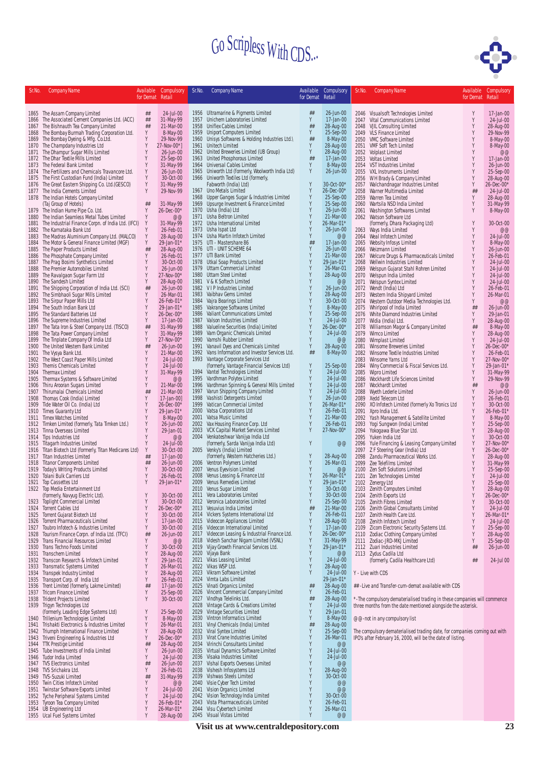

| Sr.No.       | <b>Company Name</b>                                                                       | Available        | Compulsory                    | Sr.No.       | <b>Company Name</b>                                                               | Available        | Compulsory                    | Sr.No.       | <b>Company Name</b>                                                                                                                      |                  | Available Compulsory    |
|--------------|-------------------------------------------------------------------------------------------|------------------|-------------------------------|--------------|-----------------------------------------------------------------------------------|------------------|-------------------------------|--------------|------------------------------------------------------------------------------------------------------------------------------------------|------------------|-------------------------|
|              |                                                                                           | for Demat Retail |                               |              |                                                                                   | for Demat Retail |                               |              |                                                                                                                                          | for Demat Retail |                         |
|              | 1865 The Assam Company Limited                                                            | ##               | 24-Jul-00                     |              | 1956 Ultramarine & Pigments Limited                                               | ##               | 26-Jun-00                     |              | 2046 Visualsoft Technologies Limited                                                                                                     | Y                | 17-Jan-00               |
|              | 1866 The Associated Cement Companies Ltd. (ACC)                                           | ##               | 31-May-99                     | 1957         | Unichem Laboratories Limited                                                      | Υ                | 17-Jan-00                     |              | 2047 Vital Communications Limited                                                                                                        | Y                | 24-Jul-00               |
|              | 1867 The Bishnauth Tea Company Limited                                                    | ##               | 21-Mar-00                     | 1958         | <b>Uniflex Cables Limited</b>                                                     | ##<br>Y          | 28-Aug-00                     |              | 2048 VJIL Consulting Limited                                                                                                             | Y                | 28-Aug-00               |
|              | 1868 The Bombay Burmah Trading Corporation Ltd.<br>1869 The Bombay Dyeing & Mfg. Co.Ltd.  | Υ<br>Υ           | 8-May-00<br>29-Nov-99         | 1959<br>1960 | <b>Uniport Computers Limited</b><br>Unisys Softwares & Holding Industries Ltd.\   | ##               | 25-Sep-00<br>8-May-00         |              | 2049 VLS Finance Limited<br>2050 VMC Software Limited                                                                                    | Y<br>Y           | 29-Nov-99<br>8-May-00   |
|              | 1870 The Champdany Industries Ltd                                                         | Y                | 27-Nov-00*1                   | 1961         | Unitech Limited                                                                   | Y                | 28-Aug-00                     |              | 2051 VMF Soft Tech Limited                                                                                                               | Y                | 8-May-00                |
|              | 1871 The Dhampur Sugar Mills Limited                                                      | Y                | 26-Jun-00                     | 1962         | United Breweries Limited (UB Group)                                               | Y<br>##          | 28-Aug-00                     |              | 2052 Volplast Limited                                                                                                                    | Y                | @@                      |
|              | 1872 The Dhar Textile Mills Limited<br>1873 The Federal Bank Limited                      | Y<br>Y           | 25-Sep-00<br>31-May-99        | 1963         | United Phosphorous Limited<br>1964 Universal Cables Limited                       | Y                | 17-Jan-00<br>8-May-00         |              | 2053 Voltas Limited<br>2054 VST Industries Limited                                                                                       | Y<br>Y           | 17-Jan-00<br>26-Jun-00  |
|              | 1874 The Fertilizers and Chemicals Travancore Ltd.                                        | Y                | 26-Jun-00                     | 1965         | Uniworth Ltd (formerly, Woolworth India Ltd)                                      | Y                | 26-Jun-00                     |              | 2055 VXL Instruments Limited                                                                                                             | Y                | 25-Sep-00               |
|              | 1875 The First Custodian Fund (India) Limited                                             | Υ                | 30-Oct-00                     | 1966         | Uniworth Textiles Ltd (formerly,                                                  |                  |                               | 2056         | W H Brady & Company Limited                                                                                                              | Υ                | 28-Aug-00               |
| 1876         | The Great Eastern Shipping Co. Ltd.(GESCO)<br>1877 The India Cements Limited              | Υ<br>Υ           | 31-May-99<br>29-Nov-99        |              | Fabworth (India) Ltd)<br>1967 Uno Metals Limited                                  |                  | 30-Oct-00*<br>$26 - Dec -00*$ | 2057<br>2058 | Walchandnagar Industries Limited<br>Warner Multimedia Limited                                                                            | Y<br>##          | 26-Dec-00*<br>24-Jul-00 |
|              | 1878 The Indian Hotels Company Limited                                                    |                  |                               | 1968         | Upper Ganges Sugar & Industries Limited                                           | Y                | 25-Sep-00                     |              | 2059 Warren Tea Limited                                                                                                                  | Υ                | 28-Aug-00               |
|              | (Taj Group of Hotels)                                                                     | ##<br>Y          | 31-May-99<br>26-Dec-00*       | 1969<br>1970 | Upsurge Investment & Finance Limited<br>Usha (India) Ltd                          |                  | 25-Sep-00<br>26-Jun-00        |              | 2060 Wartsila NSD India Limited                                                                                                          | Υ<br>Y           | 31-May-99               |
|              | 1879 The Indian Hume Pipe Co. Ltd.<br>1880 The Indian Seamless Metal Tubes Limited        | Y                | @@                            |              | 1971 Usha Beltron Limited                                                         |                  | 21-Mar-00                     | 2061         | Washington Softwares Limited<br>2062 Watson Software Ltd                                                                                 |                  | 8-May-00                |
|              | 1881 The Industrial Finance Corpn. of India Ltd. (IFCI)                                   | Y                | 31-May-99                     |              | 1972 Usha International Limited                                                   |                  | 26-Mar-01*                    |              | (formerly, Dhara Packaging Ltd)                                                                                                          | Y                | 30-Oct-00               |
|              | 1882 The Karnataka Bank Ltd<br>1883 The Madras Aluminium Company Ltd. (MALCO)             | Υ<br>Y           | 26-Feb-01<br>28-Aug-00        |              | 1973 Usha Ispat Ltd<br>1974 Usha Martin Infotech Limited                          | Y                | 26-Jun-00<br>@@               |              | 2063 Ways India Limited<br>2064 Weal Infotech Limited                                                                                    | Υ<br>Υ           | @@<br>24-Jul-00         |
|              | 1884 The Motor & General Finance Limited (MGF)                                            | Υ                | 29-Jan-01*                    |              | 1975 UTI - Mastershare 86                                                         | ##               | 17-Jan-00                     |              | 2065 Websity Infosys Limited                                                                                                             | Y                | 8-May-00                |
|              | 1885 The Paper Products Limited                                                           | ##               | 28-Aug-00                     |              | 1976 UTI - UNIT SCHEME 64                                                         | Y                | 26-Jun-00                     | 2066         | Weizmann Limited                                                                                                                         | Υ                | 26-Jun-00               |
| 1886         | The Phosphate Company Limited                                                             | Y                | 26-Feb-01                     | 1977         | UTI Bank Limited                                                                  |                  | 21-Mar-00                     | 2067         | Welcure Drugs & Pharmaceuticals Limited                                                                                                  | Υ                | 26-Feb-01               |
| 1887         | The Prag Bosimi Synthetics Limited<br>1888 The Premier Automobiles Limited                | Y<br>Y           | 30-Oct-00<br>26-Jun-00        | 1978         | Utkal Soap Products Limited<br>1979 Uttam Commercial Limited                      |                  | 29-Jan-01*<br>26-Mar-01       |              | 2068 Wellwin Industries Limited<br>2069 Welspun Gujarat Stahl Rohren Limited                                                             | Y<br>Y           | 24-Jul-00<br>24-Jul-00  |
| 1889         | The Ravalgaon Sugar Farm Ltd                                                              | Υ                | 27-Nov-00*                    | 1980         | <b>Uttam Steel Limited</b>                                                        |                  | 28-Aug-00                     |              | 2070 Welspun India Limited                                                                                                               | Y                | 24-Jul-00               |
| 1890         | The Sandesh Limited                                                                       | Υ                | 28-Aug-00                     |              | 1981 V & K Softech Limited                                                        |                  | @@                            | 2071         | Welspun Syntex Limited                                                                                                                   | Υ                | 24-Jul-00               |
| 1891         | The Shipping Corporation of India Ltd. (SCI)<br>1892 The Simbhaoli Sugar Mills Limited    | ##<br>Y          | 26-Jun-00<br>26-Mar-01        | 1983         | 1982 VIP Industries Limited<br>Vaibhav Gems Limited                               |                  | 26-Jun-00<br>28-Aug-00        | 2072         | Wendt (India) Ltd<br>2073 Western India Shipyard Limited                                                                                 | Y<br>Υ           | 26-Feb-01<br>26-Mar-01  |
|              | 1893 The Sirpur Paper Mills Ltd                                                           | Y                | 26-Feb-01*                    | 1984         | Vajra Bearings Limited                                                            |                  | 30-Oct-00                     |              | 2074 Western Outdoor Media Technologies Ltd.                                                                                             | Y                | @@                      |
|              | 1894 The South Indian Bank Ltd                                                            | Υ                | 29-Jan-01*                    |              | 1985 Vakrangee Softwares Limited                                                  |                  | 8-May-00                      |              | 2075 Whirlpool of India Limited                                                                                                          | ##               | 26-Jun-00               |
|              | 1895 The Standard Batteries Ltd<br>1896 The Supreme Industries Limited                    | Y<br>Y           | 26-Dec-00*<br>17-Jan-00       | 1986<br>1987 | Valiant Communications Limited<br>Valson Industries Limited                       |                  | 25-Sep-00<br>24-Jul-00        |              | 2076 White Diamond Industries Limited<br>2077 Widia (India) Ltd.                                                                         | Y<br>Y           | 29-Jan-01<br>28-Aug-00  |
| 1897         | The Tata Iron & Steel Company Ltd. (TISCO)                                                | ##               | 31-May-99                     | 1988         | Valueline Securities (India) Limited                                              |                  | 26-Dec-00*                    |              | 2078 Williamson Magor & Company Limited                                                                                                  | ##               | 8-May-00                |
| 1898         | The Tata Power Company Limited                                                            | Y                | 31-May-99                     | 1989         | Vam Organic Chemicals Limited                                                     | Y                | 24-Jul-00                     |              | 2079 Wimco Limited                                                                                                                       | Y                | 28-Aug-00               |
|              | 1899 The Tinplate Company Of India Ltd<br>1900 The United Western Bank Limited            | Y<br>##          | 27-Nov-00*<br>26-Jun-00       | 1990<br>1991 | Vamshi Rubber Limited<br>Vanavil Dyes and Chemicals Limited                       | Y<br>Y           | @@<br>28-Aug-00               |              | 2080 Wimplast Limited<br>2081 Winsome Breweries Limited                                                                                  | Y<br>Y           | 24-Jul-00<br>26-Dec-00' |
| 1901         | The Vysya Bank Ltd.                                                                       | Y                | 21-Mar-00                     | 1992         | Vans Information and Investor Services Ltd.                                       | ##               | 8-May-00                      |              | 2082 Winsome Textile Industries Limited                                                                                                  | Y                | 26-Feb-01               |
| 1902         | The West Coast Paper Mills Limited                                                        | Y                | 24-Jul-00                     |              | 1993 Vantage Corporate Services Ltd                                               |                  |                               | 2083         | Winsome Yarns Ltd                                                                                                                        |                  | 27-Nov-00'              |
|              | 1903 Themis Chemicals Limited                                                             | Y<br>Y           | 24-Jul-00                     |              | (formerly, Vantage Financial Services Ltd)<br>1994 Vantel Technologies Limited    |                  | 25-Sep-00<br>24-Jul-00        | 2084         | Winy Commercial & Fiscal Services Ltd.<br>2085 Wipro Limited                                                                             | Y<br>Y           | 29-Jan-01               |
|              | 1904 Thermax Limited<br>1905 Thermax Systems & Software Limited                           | Y                | 31-May-99<br>@@               |              | 1995 Vardhman Polytex Limited                                                     | Y                | 24-Jul-00                     |              | 2086 Wockhardt Life Sciences Limited                                                                                                     | Y                | 31-May-99<br>29-Nov-99  |
| 1906         | Thiru Arooran Sugars Limited                                                              | Y                | 21-Mar-00                     | 1996         | Vardhman Spinning & General Mills Limited                                         |                  | 24-Jul-00                     |              | 2087 Wockhardt Limited                                                                                                                   | ##               | @@                      |
| 1907         | Thirumalai Chemicals Limited                                                              | ##               | 21-Mar-00                     | 1997         | Varun Shipping Company Limited                                                    |                  | 24-Jul-00                     |              | 2088 Wyeth Lederle Limited                                                                                                               | Y<br>Υ           | 26-Jun-00               |
| 1908<br>1909 | Thomas Cook (India) Limited<br>Tide Water Oil Co. (India) Ltd                             | Y<br>Y           | $17 - Jan - 00$<br>26-Dec-00* | 1998<br>1999 | Vashisti Detergents Limited<br>Vatican Commercial Limited                         |                  | 26-Jun-00<br>26-Mar-01*       |              | 2089 Xedd Telecom Ltd<br>2090 XO Infotech Limited (formerly Xo Tronics Ltd                                                               | Y                | 26-Feb-01<br>30-Oct-00  |
| 1910         | <b>Times Guaranty Ltd</b>                                                                 | Y                | 29-Jan-01*                    | 2000         | Vatsa Corporations Ltd                                                            |                  | 26-Feb-01                     |              | 2091 Xpro India Ltd.                                                                                                                     | Y                | 26-Feb-01'              |
|              | 1911 Timex Watches Limited                                                                | Y                | 8-May-00                      | 2001         | Vatsa Music Limited                                                               |                  | 21-Mar-00                     |              | 2092 Yash Management & Satellite Limited                                                                                                 | Y                | 8-May-00                |
|              | 1912 Timken Limited (formerly, Tata Timken Ltd.)<br>1913 Tinna Overseas Limited           | Y<br>Y           | 26-Jun-00<br>29-Jan-01        | 2002<br>2003 | Vax Housing Finance Corp. Ltd<br>VCK Capital Market Services Limited              |                  | 26-Feb-01<br>27-Nov-00*       |              | 2093 Yogi Sungwon (India) Limited<br>2094 Yokogawa Blue Star Ltd.                                                                        | Υ<br>Υ           | 25-Sep-00<br>28-Aug-00  |
| 1914         | Tips Industries Ltd                                                                       | Υ                | @@                            |              | 2004 Venkateshwar Vanijya India Ltd                                               |                  |                               |              | 2095 Yuken India Ltd                                                                                                                     | Y                | 30-Oct-00               |
|              | 1915 Titagarh Industries Limited                                                          | Y                | 24-Jul-00                     |              | (formerly, Sarda Vanijya India Ltd)                                               | Y                | @@                            |              | 2096 Yule Financing & Leasing Company Limited                                                                                            | Υ                | 27-Nov-00*              |
| 1917         | 1916 Titan Biotech Ltd (formerly, Titan Medicares Ltd)<br><b>Titan Industries Limited</b> | Υ<br>##          | 30-Oct-00<br>17-Jan-00        | 2005         | Venky's (India) Limited<br>(formerly, Western Hatcheries Ltd.)                    |                  | 28-Aug-00                     |              | 2097 Z F Steering Gear (India) Ltd<br>2098 Zandu Pharmaceutical Works Ltd.                                                               | Υ<br>Υ           | 26-Dec-00*<br>28-Aug-00 |
| 1918         | <b>Titanor Components Limited</b>                                                         | ##               | 26-Jun-00                     |              | 2006 Ventron Polymers Limited                                                     |                  | 26-Mar-01                     |              | 2099 Zee Telefilms Limited                                                                                                               |                  | 31-May-99               |
| 1919         | Today's Writing Products Limited                                                          | Y                | 30-Oct-00                     | 2007         | Venus Eyevision Limited                                                           |                  | @@                            |              | 2100 Zen Soft Solutions Limited                                                                                                          | Y                | 25-Sep-00               |
| 1920<br>1921 | Tolani Bulk Carriers Ltd<br>Top Cassettes Ltd                                             | Y<br>Y           | 26-Feb-01<br>29-Jan-01*       | 2008<br>2009 | Venus Leasing & Finance Ltd<br>Venus Remedies Limited                             | Y                | 26-Mar-01*<br>29-Jan-01*      |              | 2101 Zen Technologies Limited<br>2102 Zenergy Ltd                                                                                        | Y<br>Υ           | 24-Jul-00<br>25-Sep-00  |
|              | 1922 Top Media Entertainment Ltd                                                          |                  |                               |              | 2010 Venus Sugar Limited                                                          |                  | 30-Oct-00                     |              | 2103 Zenith Computers Limited                                                                                                            | Y                | 28-Aug-00               |
|              | (formerly, Navyug Electric Ltd).                                                          |                  | 30-Oct-00                     |              | 2011 Vera Laboratories Limited                                                    | Y                | 30-0ct-00                     |              | 2104 Zenith Exports Ltd                                                                                                                  |                  | 26-Dec-00'              |
| 1924         | 1923 Toplight Commercial Limited<br>Torrent Cables Ltd                                    | Y<br>Y           | 30-Oct-00<br>$26 - Dec -00*$  |              | 2012 Veronica Laboratories Limited<br>2013 Vesuvius India Limited                 | ##               | 25-Sep-00<br>21-Mar-00        |              | 2105 Zenith Fibres Limited<br>2106 Zenith Global Consultants Limited                                                                     | Y<br>Υ           | 30-Oct-00<br>24-Jul-00  |
|              | 1925 Torrent Gujarat Biotech Ltd                                                          | Υ                | 30-Oct-00                     |              | 2014 Vickers Systems International Ltd                                            | Y                | 26-Feb-01                     |              | 2107 Zenith Health Care Ltd.                                                                                                             | Y                | 26-Mar-01'              |
| 1926         | Torrent Pharmaceuticals Limited                                                           | Y                | 17-Jan-00                     |              | 2015 Videocon Appliances Limited                                                  | Y                | 28-Aug-00                     |              | 2108 Zenith Infotech Limited                                                                                                             | Y<br>Υ           | 24-Jul-00               |
| 1927<br>1928 | Toubro Infotech & Industries Limited<br>Tourism Finance Corpn. of India Ltd. (TFCI)       | Υ<br>##          | 30-Oct-00<br>26-Jun-00        | 2017         | 2016 Videocon International Limited<br>Videocon Leasing & Industrial Finance Ltd. |                  | 17-Jan-00<br>26-Dec-00*       |              | 2109 Zicom Electronic Security Systems Ltd.<br>2110 Zodiac Clothing Company Limited                                                      | Υ                | 25-Sep-00<br>28-Aug-00  |
| 1929         | Trans Financial Resources Limited                                                         | Y                | @@                            | 2018         | Videsh Sanchar Nigam Limited (VSNL)                                               | Y                | 31-May-99                     |              | 2111 Zodiac-JRD-MKJ Limited                                                                                                              | Y                | 25-Sep-00               |
| 1930         | Trans Techno Foods Limited                                                                | Y                | 30-Oct-00                     | 2019         | Vijay Growth Financial Services Ltd.                                              | Y                | 29-Jan-01*                    |              | 2112 Zuari Industries Limited                                                                                                            | ##               | 26-Jun-00               |
| 1931<br>1932 | <b>Transchem Limited</b><br>Transcon Research & Infotech Limited                          | Y<br>Y           | 28-Aug-00<br>29-Jan-01        | 2020         | Vijaya Bank<br>2021 Vikas Leasing Limited                                         |                  | @@<br>24-Jul-00               |              | 2113 Zydus Cadila Ltd<br>(formerly, Cadila Healthcare Ltd)                                                                               | ##               | 24-Jul 00               |
| 1933         | <b>Transmatic Systems Limited</b>                                                         | Y                | 26-Mar-01                     | 2022         | Vikas WSP Ltd.                                                                    |                  | 28-Aug-00                     |              |                                                                                                                                          |                  |                         |
|              | 1934 Transpek Industry Limited                                                            | Y                | 28-Aug-00                     | 2023         | Vikram Software Limited                                                           |                  | 24-Jul-00                     |              | Y - Live with CDS                                                                                                                        |                  |                         |
|              | 1935 Transport Corp. of India Ltd<br>1936 Trent Limited (formerly, Lakme Limited)         | Y<br>##          | 26-Feb-01<br>17-Jan-00        |              | 2024 Vimta Labs Limited<br>2025 Vinati Organics Limited                           | ##               | 29-Jan-01*<br>28-Aug-00       |              | ## -Live and Transfer-cum-demat available with CDS                                                                                       |                  |                         |
| 1937         | <b>Tricom Finance Limited</b>                                                             | Y                | 25-Sep-00                     | 2026         | Vincent Commercial Company Limited                                                | Y                | 26-Feb-01                     |              |                                                                                                                                          |                  |                         |
| 1938         | <b>Trident Projects Limited</b>                                                           | Υ                | 30-Oct-00                     | 2027         | Vindhya Telelinks Ltd.                                                            | ##               | 28-Aug-00                     |              | *-The compulsory dematerialised trading in these companies will commence                                                                 |                  |                         |
|              | 1939 Trigyn Technologies Ltd<br>(formerly, Leading Edge Systems Ltd)                      | Y                | 25-Sep-00                     | 2028<br>2029 | Vintage Cards & Creations Limited<br>Vintage Securities Limited                   | Y<br>Y           | $24 - Ju - 00$<br>29-Jan-01   |              | three months from the date mentioned alongside the asterisk.                                                                             |                  |                         |
| 1940         | Trillenium Technologies Limited                                                           | Υ                | 8-May-00                      | 2030         | Vintron Informatics Limited                                                       | Y                | 8-May-00                      |              | @@-not in any compulsory list                                                                                                            |                  |                         |
|              | 1941 Trishakti Electronics & Industries Limited                                           | Y                | 26-Mar-01                     | 2031         | Vinyl Chemicals (India) Limited                                                   | ##               | 28-Aug-00                     |              |                                                                                                                                          |                  |                         |
| 1943         | 1942 Triumph International Finance Limited<br>Triveni Engineering & Industries Ltd        | Y<br>Y           | 28-Aug-00<br>26-Dec-00*       | 2032<br>2033 | Viral Syntex Limited<br>Virat Crane Industries Limited                            | Y<br>Y           | 25-Sep-00<br>26-Mar-01        |              | The compulsory dematerialised trading date, for companies coming out with<br>IPO's after February 16, 2000, will be the date of listing. |                  |                         |
|              | 1944 TTK Prestige Limited                                                                 | ##               | 28-Aug-00                     | 2034         | Virinchi Consultants Limited                                                      |                  | @@                            |              |                                                                                                                                          |                  |                         |
|              | 1945 Tube Investments of India Limited                                                    | Y                | 26-Jun-00                     |              | 2035 Virtual Dynamics Software Limited                                            | Y                | 24-Jul-00                     |              |                                                                                                                                          |                  |                         |
|              | 1946 Tudor India Limited<br>1947 TVS Electronics Limited                                  | Υ<br>##          | 24-Jul-00<br>26-Jun-00        | 2036<br>2037 | Visaka Industries Limited<br>Vishal Exports Overseas Limited                      |                  | 24-Jul-00<br>@@               |              |                                                                                                                                          |                  |                         |
|              | 1948 TVS Srichakra Ltd.                                                                   | Y                | 26-Feb-01                     | 2038         | Vishesh Infosystems Ltd                                                           |                  | 28-Aug-00                     |              |                                                                                                                                          |                  |                         |
|              | 1949 TVS-Suzuki Limited                                                                   | ##               | 31-May-99                     | 2039         | Vishwas Steels Limited                                                            |                  | 30-Oct-00                     |              |                                                                                                                                          |                  |                         |
| 1951         | 1950 Twin Cities Infotech Limited<br>Twinstar Software Exports Limited                    | Y<br>Υ           | @@<br>24-Jul-00               |              | 2040 Visie Cyber Tech Limited<br>2041 Vision Organics Limited                     | Y                | @@<br>@@                      |              |                                                                                                                                          |                  |                         |
| 1952         | Tyche Peripheral Systems Limited                                                          | Υ                | 24-Jul-00                     | 2042         | Vision Technology India Limited                                                   |                  | 30-Oct-00                     |              |                                                                                                                                          |                  |                         |
| 1953         | Tyroon Tea Company Limited                                                                | Y                | 26-Feb-01*                    | 2043         | Vista Pharmaceuticals Limited                                                     |                  | 26-Feb-01                     |              |                                                                                                                                          |                  |                         |
|              | 1954 UB Engineering Ltd<br>1955 Ucal Fuel Systems Limited                                 | Y<br>Y           | 26-Mar-01*<br>28-Aug-00       | 2044         | Visu Cybertech Limited<br>2045 Visual Vistas Limited                              |                  | 26-Mar-01<br>@@               |              |                                                                                                                                          |                  |                         |
|              |                                                                                           |                  |                               |              |                                                                                   |                  |                               |              |                                                                                                                                          |                  |                         |